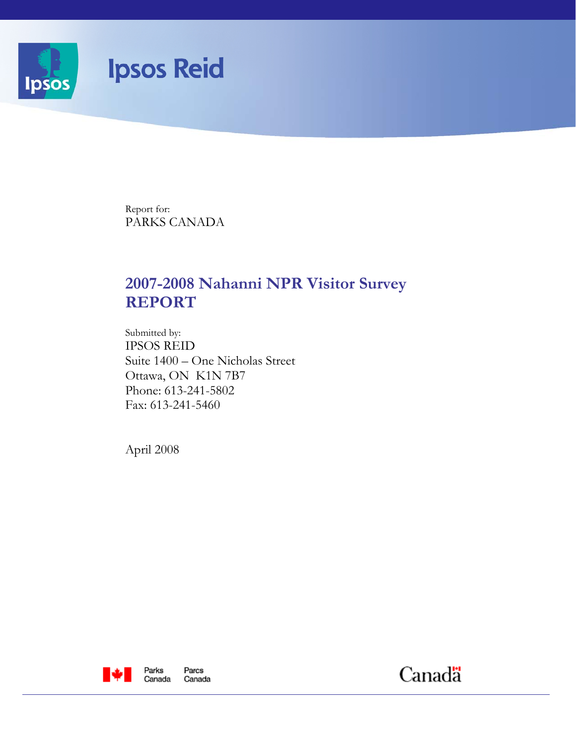

Report for: PARKS CANADA

# **2007-2008 Nahanni NPR Visitor Survey REPORT**

Submitted by: IPSOS REID Suite 1400 – One Nicholas Street Ottawa, ON K1N 7B7 Phone: 613-241-5802 Fax: 613-241-5460

April 2008



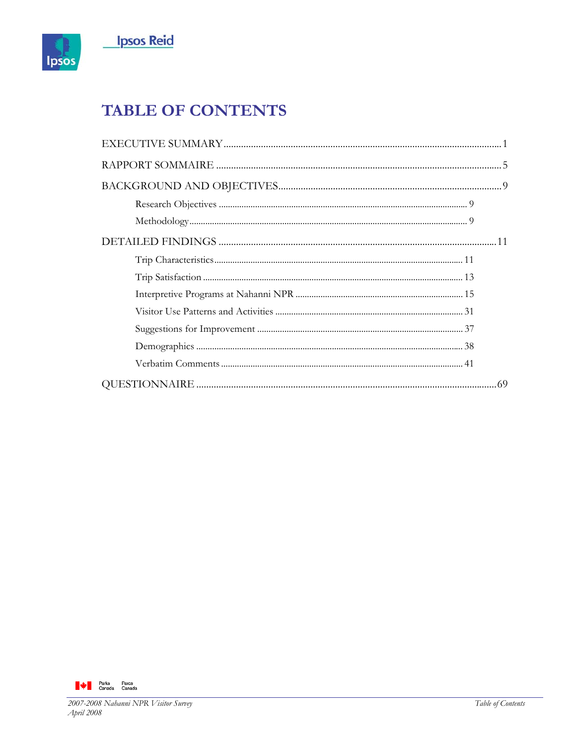

# **TABLE OF CONTENTS**

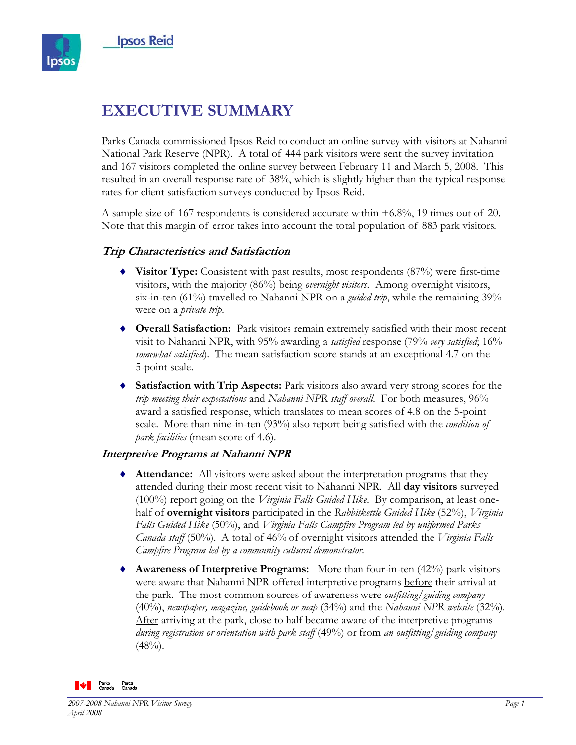

# **EXECUTIVE SUMMARY**

Parks Canada commissioned Ipsos Reid to conduct an online survey with visitors at Nahanni National Park Reserve (NPR). A total of 444 park visitors were sent the survey invitation and 167 visitors completed the online survey between February 11 and March 5, 2008. This resulted in an overall response rate of 38%, which is slightly higher than the typical response rates for client satisfaction surveys conducted by Ipsos Reid.

A sample size of 167 respondents is considered accurate within  $\pm 6.8\%$ , 19 times out of 20. Note that this margin of error takes into account the total population of 883 park visitors.

### **Trip Characteristics and Satisfaction**

- ♦ **Visitor Type:** Consistent with past results, most respondents (87%) were first-time visitors, with the majority (86%) being *overnight visitors*. Among overnight visitors, six-in-ten (61%) travelled to Nahanni NPR on a *guided trip*, while the remaining 39% were on a *private trip*.
- ♦ **Overall Satisfaction:** Park visitors remain extremely satisfied with their most recent visit to Nahanni NPR, with 95% awarding a *satisfied* response (79% *very satisfied*; 16% *somewhat satisfied*). The mean satisfaction score stands at an exceptional 4.7 on the 5-point scale.
- ♦ **Satisfaction with Trip Aspects:** Park visitors also award very strong scores for the *trip meeting their expectations* and *Nahanni NPR staff overall*. For both measures, 96% award a satisfied response, which translates to mean scores of 4.8 on the 5-point scale. More than nine-in-ten (93%) also report being satisfied with the *condition of park facilities* (mean score of 4.6).

#### **Interpretive Programs at Nahanni NPR**

- ♦ **Attendance:** All visitors were asked about the interpretation programs that they attended during their most recent visit to Nahanni NPR. All **day visitors** surveyed (100%) report going on the *Virginia Falls Guided Hike*. By comparison, at least onehalf of **overnight visitors** participated in the *Rabbitkettle Guided Hike* (52%), *Virginia Falls Guided Hike* (50%), and *Virginia Falls Campfire Program led by uniformed Parks Canada staff* (50%). A total of 46% of overnight visitors attended the *Virginia Falls Campfire Program led by a community cultural demonstrator*.
- ♦ **Awareness of Interpretive Programs:** More than four-in-ten (42%) park visitors were aware that Nahanni NPR offered interpretive programs before their arrival at the park. The most common sources of awareness were *outfitting/guiding company* (40%), *newspaper, magazine, guidebook or map* (34%) and the *Nahanni NPR website* (32%). After arriving at the park, close to half became aware of the interpretive programs *during registration or orientation with park staff* (49%) or from *an outfitting/guiding company*  $(48%)$ .

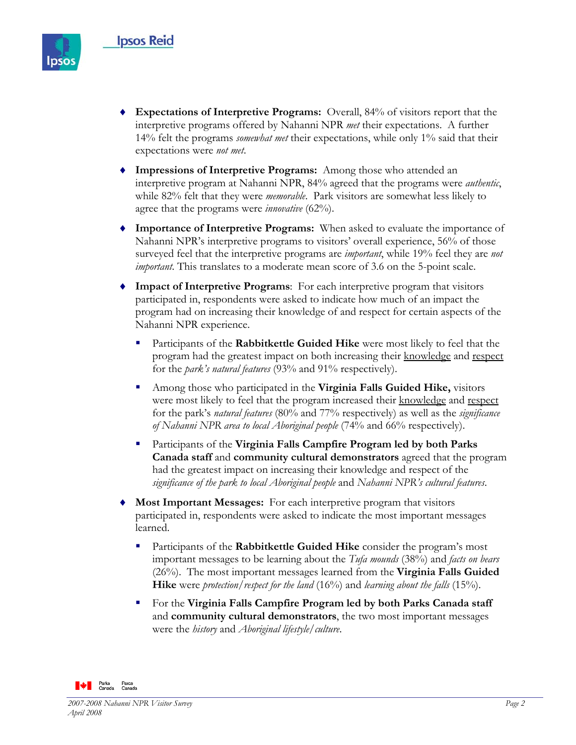

- ♦ **Expectations of Interpretive Programs:** Overall, 84% of visitors report that the interpretive programs offered by Nahanni NPR *met* their expectations. A further 14% felt the programs *somewhat met* their expectations, while only 1% said that their expectations were *not met*.
- ♦ **Impressions of Interpretive Programs:** Among those who attended an interpretive program at Nahanni NPR, 84% agreed that the programs were *authentic*, while 82% felt that they were *memorable*. Park visitors are somewhat less likely to agree that the programs were *innovative* (62%).
- ♦ **Importance of Interpretive Programs:** When asked to evaluate the importance of Nahanni NPR's interpretive programs to visitors' overall experience, 56% of those surveyed feel that the interpretive programs are *important*, while 19% feel they are *not important*. This translates to a moderate mean score of 3.6 on the 5-point scale.
- ♦ **Impact of Interpretive Programs**: For each interpretive program that visitors participated in, respondents were asked to indicate how much of an impact the program had on increasing their knowledge of and respect for certain aspects of the Nahanni NPR experience.
	- Participants of the **Rabbitkettle Guided Hike** were most likely to feel that the program had the greatest impact on both increasing their knowledge and respect for the *park's natural features* (93% and 91% respectively).
	- Among those who participated in the **Virginia Falls Guided Hike,** visitors were most likely to feel that the program increased their knowledge and respect for the park's *natural features* (80% and 77% respectively) as well as the *significance of Nahanni NPR area to local Aboriginal people* (74% and 66% respectively).
	- Participants of the **Virginia Falls Campfire Program led by both Parks Canada staff** and **community cultural demonstrators** agreed that the program had the greatest impact on increasing their knowledge and respect of the *significance of the park to local Aboriginal people* and *Nahanni NPR's cultural features*.
- **Most Important Messages:** For each interpretive program that visitors participated in, respondents were asked to indicate the most important messages learned.
	- Participants of the **Rabbitkettle Guided Hike** consider the program's most important messages to be learning about the *Tufa mounds* (38%) and *facts on bears*  (26%). The most important messages learned from the **Virginia Falls Guided Hike** were *protection/respect for the land* (16%) and *learning about the falls* (15%).
	- For the **Virginia Falls Campfire Program led by both Parks Canada staff**  and **community cultural demonstrators**, the two most important messages were the *history* and *Aboriginal lifestyle/culture*.

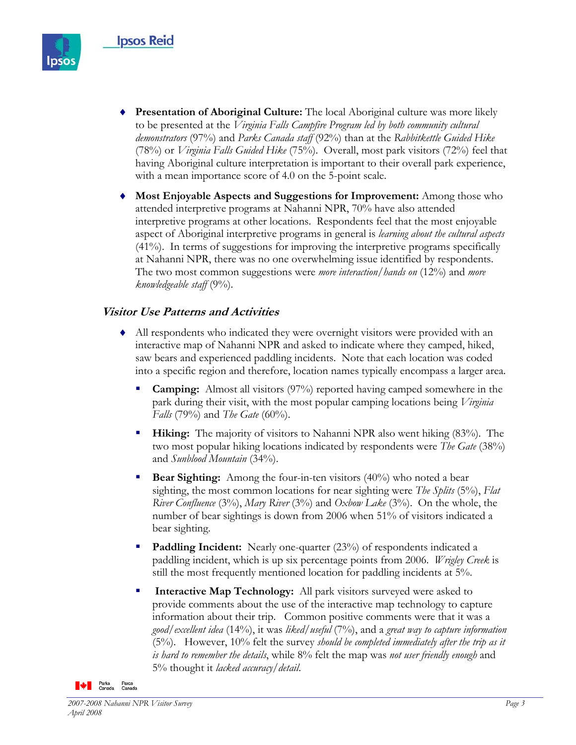

- ♦ **Presentation of Aboriginal Culture:** The local Aboriginal culture was more likely to be presented at the *Virginia Falls Campfire Program led by both community cultural demonstrators* (97%) and *Parks Canada staff* (92%) than at the *Rabbitkettle Guided Hike* (78%) or *Virginia Falls Guided Hike* (75%). Overall, most park visitors (72%) feel that having Aboriginal culture interpretation is important to their overall park experience, with a mean importance score of 4.0 on the 5-point scale.
- **Most Enjoyable Aspects and Suggestions for Improvement:** Among those who attended interpretive programs at Nahanni NPR, 70% have also attended interpretive programs at other locations. Respondents feel that the most enjoyable aspect of Aboriginal interpretive programs in general is *learning about the cultural aspects* (41%). In terms of suggestions for improving the interpretive programs specifically at Nahanni NPR, there was no one overwhelming issue identified by respondents. The two most common suggestions were *more interaction/hands on* (12%) and *more knowledgeable staff* (9%).

### **Visitor Use Patterns and Activities**

- ♦ All respondents who indicated they were overnight visitors were provided with an interactive map of Nahanni NPR and asked to indicate where they camped, hiked, saw bears and experienced paddling incidents. Note that each location was coded into a specific region and therefore, location names typically encompass a larger area.
	- **Camping:** Almost all visitors (97%) reported having camped somewhere in the park during their visit, with the most popular camping locations being *Virginia Falls* (79%) and *The Gate* (60%).
	- **Hiking:** The majority of visitors to Nahanni NPR also went hiking (83%). The two most popular hiking locations indicated by respondents were *The Gate* (38%) and *Sunblood Mountain* (34%).
	- **Bear Sighting:** Among the four-in-ten visitors (40%) who noted a bear sighting, the most common locations for near sighting were *The Splits* (5%), *Flat River Confluence* (3%), *Mary River* (3%) and *Oxbow Lake* (3%). On the whole, the number of bear sightings is down from 2006 when 51% of visitors indicated a bear sighting.
	- **Paddling Incident:** Nearly one-quarter (23%) of respondents indicated a paddling incident, which is up six percentage points from 2006. *Wrigley Creek* is still the most frequently mentioned location for paddling incidents at 5%.
	- **Interactive Map Technology:** All park visitors surveyed were asked to provide comments about the use of the interactive map technology to capture information about their trip. Common positive comments were that it was a *good/excellent idea* (14%), it was *liked/useful* (7%), and a *great way to capture information* (5%). However, 10% felt the survey *should be completed immediately after the trip as it is hard to remember the details*, while 8% felt the map was *not user friendly enough* and 5% thought it *lacked accuracy/detail*.

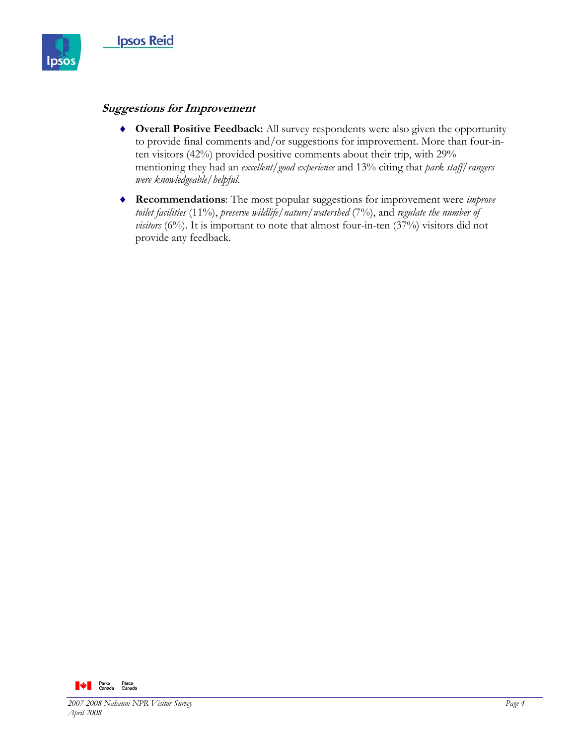

### **Suggestions for Improvement**

- ♦ **Overall Positive Feedback:** All survey respondents were also given the opportunity to provide final comments and/or suggestions for improvement. More than four-inten visitors (42%) provided positive comments about their trip, with 29% mentioning they had an *excellent/good experience* and 13% citing that *park staff/rangers were knowledgeable/helpful*.
- ♦ **Recommendations**: The most popular suggestions for improvement were *improve toilet facilities* (11%), *preserve wildlife/nature/watershed* (7%), and *regulate the number of visitors* (6%). It is important to note that almost four-in-ten (37%) visitors did not provide any feedback.

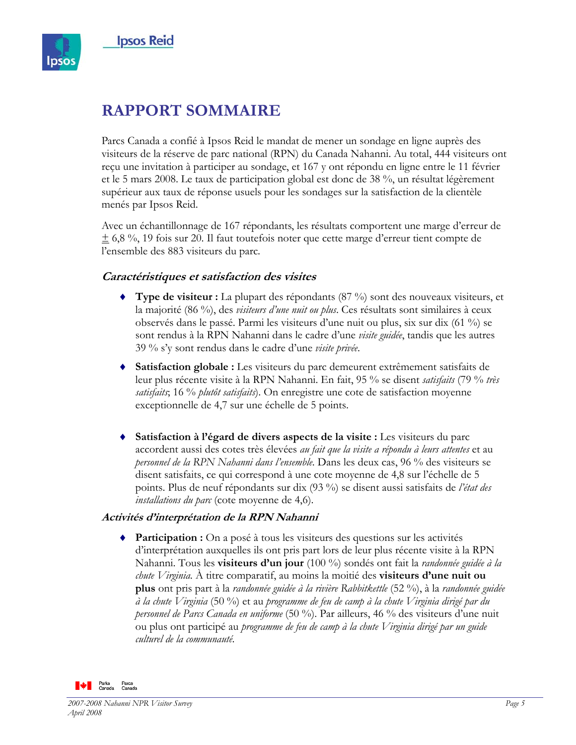

# **RAPPORT SOMMAIRE**

Parcs Canada a confié à Ipsos Reid le mandat de mener un sondage en ligne auprès des visiteurs de la réserve de parc national (RPN) du Canada Nahanni. Au total, 444 visiteurs ont reçu une invitation à participer au sondage, et 167 y ont répondu en ligne entre le 11 février et le 5 mars 2008. Le taux de participation global est donc de 38 %, un résultat légèrement supérieur aux taux de réponse usuels pour les sondages sur la satisfaction de la clientèle menés par Ipsos Reid.

Avec un échantillonnage de 167 répondants, les résultats comportent une marge d'erreur de  $\pm$  6,8 %, 19 fois sur 20. Il faut toutefois noter que cette marge d'erreur tient compte de l'ensemble des 883 visiteurs du parc.

### **Caractéristiques et satisfaction des visites**

- ♦ **Type de visiteur :** La plupart des répondants (87 %) sont des nouveaux visiteurs, et la majorité (86 %), des *visiteurs d'une nuit ou plus*. Ces résultats sont similaires à ceux observés dans le passé. Parmi les visiteurs d'une nuit ou plus, six sur dix (61 %) se sont rendus à la RPN Nahanni dans le cadre d'une *visite guidée*, tandis que les autres 39 % s'y sont rendus dans le cadre d'une *visite privée*.
- **Satisfaction globale :** Les visiteurs du parc demeurent extrêmement satisfaits de leur plus récente visite à la RPN Nahanni. En fait, 95 % se disent *satisfaits* (79 % *très satisfaits*; 16 % *plutôt satisfaits*). On enregistre une cote de satisfaction moyenne exceptionnelle de 4,7 sur une échelle de 5 points.
- **Satisfaction à l'égard de divers aspects de la visite :** Les visiteurs du parc accordent aussi des cotes très élevées *au fait que la visite a répondu à leurs attentes* et au *personnel de la RPN Nahanni dans l'ensemble*. Dans les deux cas, 96 % des visiteurs se disent satisfaits, ce qui correspond à une cote moyenne de 4,8 sur l'échelle de 5 points. Plus de neuf répondants sur dix (93 %) se disent aussi satisfaits de *l'état des installations du parc* (cote moyenne de 4,6).

### **Activités d'interprétation de la RPN Nahanni**

♦ **Participation :** On a posé à tous les visiteurs des questions sur les activités d'interprétation auxquelles ils ont pris part lors de leur plus récente visite à la RPN Nahanni. Tous les **visiteurs d'un jour** (100 %) sondés ont fait la *randonnée guidée à la chute Virginia*. À titre comparatif, au moins la moitié des **visiteurs d'une nuit ou plus** ont pris part à la *randonnée guidée à la rivière Rabbitkettle* (52 %), à la *randonnée guidée à la chute Virginia* (50 %) et au *programme de feu de camp à la chute Virginia dirigé par du personnel de Parcs Canada en uniforme* (50 %). Par ailleurs, 46 % des visiteurs d'une nuit ou plus ont participé au *programme de feu de camp à la chute Virginia dirigé par un guide culturel de la communauté*.

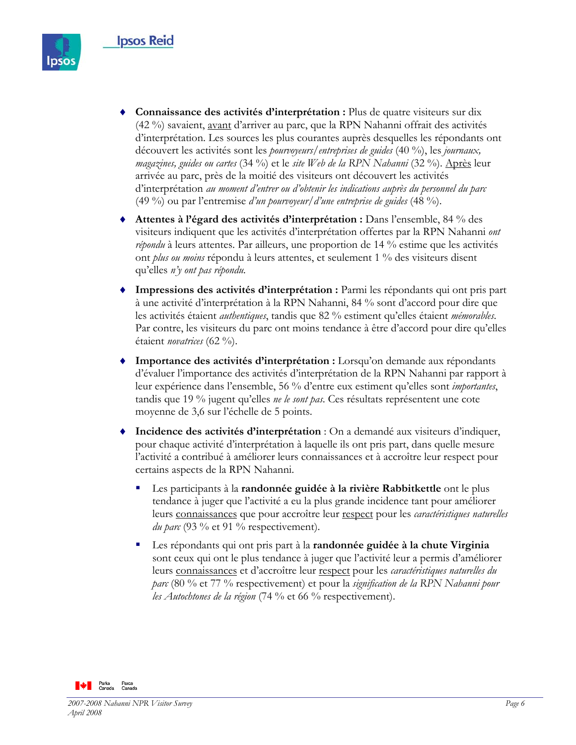

- ♦ **Connaissance des activités d'interprétation :** Plus de quatre visiteurs sur dix (42 %) savaient, avant d'arriver au parc, que la RPN Nahanni offrait des activités d'interprétation. Les sources les plus courantes auprès desquelles les répondants ont découvert les activités sont les *pourvoyeurs/entreprises de guides* (40 %), les *journaux, magazines, guides ou cartes* (34 %) et le *site Web de la RPN Nahanni* (32 %). Après leur arrivée au parc, près de la moitié des visiteurs ont découvert les activités d'interprétation *au moment d'entrer ou d'obtenir les indications auprès du personnel du parc* (49 %) ou par l'entremise *d'un pourvoyeur/d'une entreprise de guides* (48 %).
- ♦ **Attentes à l'égard des activités d'interprétation :** Dans l'ensemble, 84 % des visiteurs indiquent que les activités d'interprétation offertes par la RPN Nahanni *ont répondu* à leurs attentes. Par ailleurs, une proportion de 14 % estime que les activités ont *plus ou moins* répondu à leurs attentes, et seulement 1 % des visiteurs disent qu'elles *n'y ont pas répondu.*
- **Impressions des activités d'interprétation :** Parmi les répondants qui ont pris part à une activité d'interprétation à la RPN Nahanni, 84 % sont d'accord pour dire que les activités étaient *authentiques*, tandis que 82 % estiment qu'elles étaient *mémorables*. Par contre, les visiteurs du parc ont moins tendance à être d'accord pour dire qu'elles étaient *novatrices* (62 %).
- Importance des activités d'interprétation : Lorsqu'on demande aux répondants d'évaluer l'importance des activités d'interprétation de la RPN Nahanni par rapport à leur expérience dans l'ensemble, 56 % d'entre eux estiment qu'elles sont *importantes*, tandis que 19 % jugent qu'elles *ne le sont pas*. Ces résultats représentent une cote moyenne de 3,6 sur l'échelle de 5 points.
- **Incidence des activités d'interprétation** : On a demandé aux visiteurs d'indiquer, pour chaque activité d'interprétation à laquelle ils ont pris part, dans quelle mesure l'activité a contribué à améliorer leurs connaissances et à accroître leur respect pour certains aspects de la RPN Nahanni.
	- Les participants à la **randonnée guidée à la rivière Rabbitkettle** ont le plus tendance à juger que l'activité a eu la plus grande incidence tant pour améliorer leurs connaissances que pour accroître leur respect pour les *caractéristiques naturelles du parc* (93 % et 91 % respectivement).
	- Les répondants qui ont pris part à la **randonnée guidée à la chute Virginia**  sont ceux qui ont le plus tendance à juger que l'activité leur a permis d'améliorer leurs connaissances et d'accroître leur respect pour les *caractéristiques naturelles du parc* (80 % et 77 % respectivement) et pour la *signification de la RPN Nahanni pour les Autochtones de la région* (74 % et 66 % respectivement).

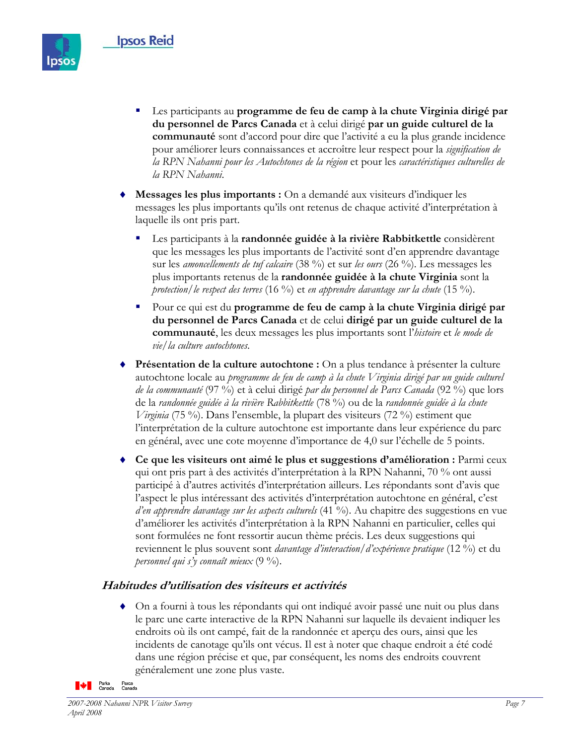

- Les participants au **programme de feu de camp à la chute Virginia dirigé par du personnel de Parcs Canada** et à celui dirigé **par un guide culturel de la communauté** sont d'accord pour dire que l'activité a eu la plus grande incidence pour améliorer leurs connaissances et accroître leur respect pour la *signification de la RPN Nahanni pour les Autochtones de la région* et pour les *caractéristiques culturelles de la RPN Nahanni*.
- **Messages les plus importants :** On a demandé aux visiteurs d'indiquer les messages les plus importants qu'ils ont retenus de chaque activité d'interprétation à laquelle ils ont pris part.
	- Les participants à la **randonnée guidée à la rivière Rabbitkettle** considèrent que les messages les plus importants de l'activité sont d'en apprendre davantage sur les *amoncellements de tuf calcaire* (38 %) et sur *les ours* (26 %). Les messages les plus importants retenus de la **randonnée guidée à la chute Virginia** sont la *protection/le respect des terres* (16 %) et *en apprendre davantage sur la chute* (15 %).
	- Pour ce qui est du **programme de feu de camp à la chute Virginia dirigé par du personnel de Parcs Canada** et de celui **dirigé par un guide culturel de la communauté**, les deux messages les plus importants sont l'*histoire* et *le mode de vie/la culture autochtones*.
- **Présentation de la culture autochtone :** On a plus tendance à présenter la culture autochtone locale au *programme de feu de camp à la chute Virginia dirigé par un guide culturel de la communauté* (97 %) et à celui dirigé *par du personnel de Parcs Canada* (92 %) que lors de la *randonnée guidée à la rivière Rabbitkettle* (78 %) ou de la *randonnée guidée à la chute Virginia* (75 %). Dans l'ensemble, la plupart des visiteurs (72 %) estiment que l'interprétation de la culture autochtone est importante dans leur expérience du parc en général, avec une cote moyenne d'importance de 4,0 sur l'échelle de 5 points.
- Ce que les visiteurs ont aimé le plus et suggestions d'amélioration : Parmi ceux qui ont pris part à des activités d'interprétation à la RPN Nahanni, 70 % ont aussi participé à d'autres activités d'interprétation ailleurs. Les répondants sont d'avis que l'aspect le plus intéressant des activités d'interprétation autochtone en général, c'est *d'en apprendre davantage sur les aspects culturels* (41 %). Au chapitre des suggestions en vue d'améliorer les activités d'interprétation à la RPN Nahanni en particulier, celles qui sont formulées ne font ressortir aucun thème précis. Les deux suggestions qui reviennent le plus souvent sont *davantage d'interaction/d'expérience pratique* (12 %) et du *personnel qui s'y connaît mieux* (9 %).

## **Habitudes d'utilisation des visiteurs et activités**

♦ On a fourni à tous les répondants qui ont indiqué avoir passé une nuit ou plus dans le parc une carte interactive de la RPN Nahanni sur laquelle ils devaient indiquer les endroits où ils ont campé, fait de la randonnée et aperçu des ours, ainsi que les incidents de canotage qu'ils ont vécus. Il est à noter que chaque endroit a été codé dans une région précise et que, par conséquent, les noms des endroits couvrent généralement une zone plus vaste.

**De** Parks Parcs<br>**De** Canada Canada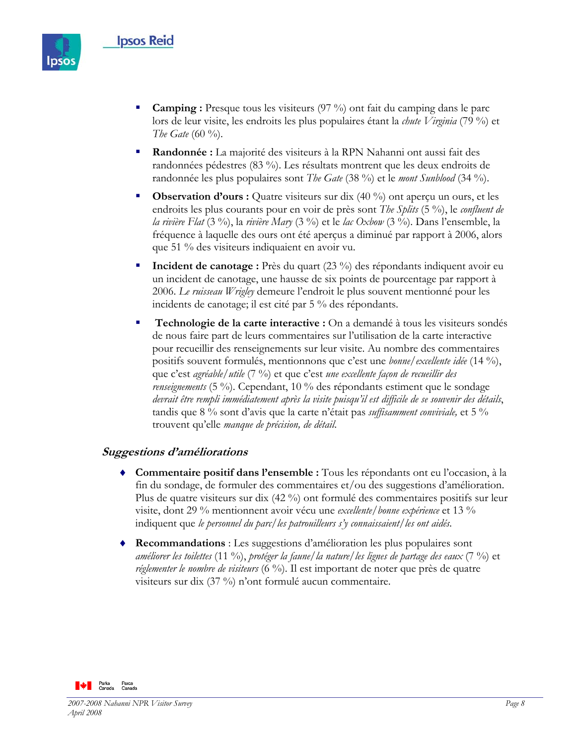

- **Camping :** Presque tous les visiteurs (97 %) ont fait du camping dans le parc lors de leur visite, les endroits les plus populaires étant la *chute Virginia* (79 %) et *The Gate* (60 %).
- **Randonnée :** La majorité des visiteurs à la RPN Nahanni ont aussi fait des randonnées pédestres (83 %). Les résultats montrent que les deux endroits de randonnée les plus populaires sont *The Gate* (38 %) et le *mont Sunblood* (34 %).
- **Observation d'ours :** Quatre visiteurs sur dix (40 %) ont aperçu un ours, et les endroits les plus courants pour en voir de près sont *The Splits* (5 %), le *confluent de la rivière Flat* (3 %), la *rivière Mary* (3 %) et le *lac Oxbow* (3 %). Dans l'ensemble, la fréquence à laquelle des ours ont été aperçus a diminué par rapport à 2006, alors que 51 % des visiteurs indiquaient en avoir vu.
- **Incident de canotage :** Près du quart (23 %) des répondants indiquent avoir eu un incident de canotage, une hausse de six points de pourcentage par rapport à 2006. *Le ruisseau Wrigley* demeure l'endroit le plus souvent mentionné pour les incidents de canotage; il est cité par 5 % des répondants.
- **Technologie de la carte interactive :** On a demandé à tous les visiteurs sondés de nous faire part de leurs commentaires sur l'utilisation de la carte interactive pour recueillir des renseignements sur leur visite. Au nombre des commentaires positifs souvent formulés, mentionnons que c'est une *bonne/excellente idée* (14 %), que c'est *agréable/utile* (7 %) et que c'est *une excellente façon de recueillir des renseignements* (5 %). Cependant, 10 % des répondants estiment que le sondage *devrait être rempli immédiatement après la visite puisqu'il est difficile de se souvenir des détails*, tandis que 8 % sont d'avis que la carte n'était pas *suffisamment conviviale,* et 5 % trouvent qu'elle *manque de précision, de détail*.

#### **Suggestions d'améliorations**

- ♦ **Commentaire positif dans l'ensemble :** Tous les répondants ont eu l'occasion, à la fin du sondage, de formuler des commentaires et/ou des suggestions d'amélioration. Plus de quatre visiteurs sur dix (42 %) ont formulé des commentaires positifs sur leur visite, dont 29 % mentionnent avoir vécu une *excellente/bonne expérience* et 13 % indiquent que *le personnel du parc/les patrouilleurs s'y connaissaient/les ont aidés*.
- **Recommandations** : Les suggestions d'amélioration les plus populaires sont *améliorer les toilettes* (11 %), *protéger la faune/la nature/les lignes de partage des eaux* (7 %) et *réglementer le nombre de visiteurs* (6 %). Il est important de noter que près de quatre visiteurs sur dix (37 %) n'ont formulé aucun commentaire.

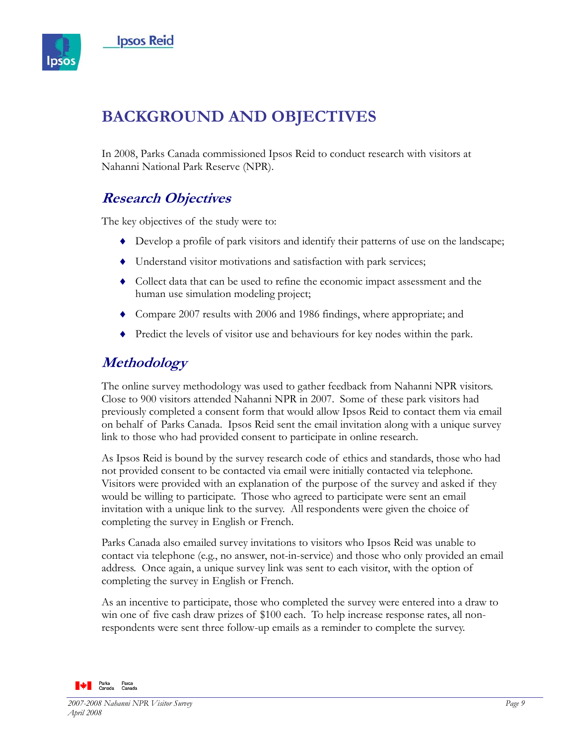

# **BACKGROUND AND OBJECTIVES**

In 2008, Parks Canada commissioned Ipsos Reid to conduct research with visitors at Nahanni National Park Reserve (NPR).

# **Research Objectives**

The key objectives of the study were to:

- ♦ Develop a profile of park visitors and identify their patterns of use on the landscape;
- ♦ Understand visitor motivations and satisfaction with park services;
- ♦ Collect data that can be used to refine the economic impact assessment and the human use simulation modeling project;
- ♦ Compare 2007 results with 2006 and 1986 findings, where appropriate; and
- ♦ Predict the levels of visitor use and behaviours for key nodes within the park.

# **Methodology**

The online survey methodology was used to gather feedback from Nahanni NPR visitors. Close to 900 visitors attended Nahanni NPR in 2007. Some of these park visitors had previously completed a consent form that would allow Ipsos Reid to contact them via email on behalf of Parks Canada. Ipsos Reid sent the email invitation along with a unique survey link to those who had provided consent to participate in online research.

As Ipsos Reid is bound by the survey research code of ethics and standards, those who had not provided consent to be contacted via email were initially contacted via telephone. Visitors were provided with an explanation of the purpose of the survey and asked if they would be willing to participate. Those who agreed to participate were sent an email invitation with a unique link to the survey. All respondents were given the choice of completing the survey in English or French.

Parks Canada also emailed survey invitations to visitors who Ipsos Reid was unable to contact via telephone (e.g., no answer, not-in-service) and those who only provided an email address. Once again, a unique survey link was sent to each visitor, with the option of completing the survey in English or French.

As an incentive to participate, those who completed the survey were entered into a draw to win one of five cash draw prizes of \$100 each. To help increase response rates, all nonrespondents were sent three follow-up emails as a reminder to complete the survey.

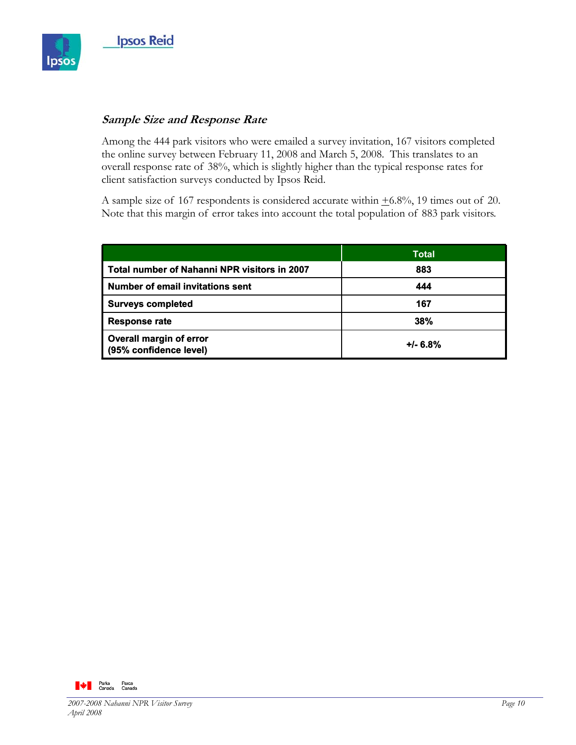

### **Sample Size and Response Rate**

Among the 444 park visitors who were emailed a survey invitation, 167 visitors completed the online survey between February 11, 2008 and March 5, 2008. This translates to an overall response rate of 38%, which is slightly higher than the typical response rates for client satisfaction surveys conducted by Ipsos Reid.

A sample size of 167 respondents is considered accurate within  $\pm 6.8\%$ , 19 times out of 20. Note that this margin of error takes into account the total population of 883 park visitors.

|                                                   | Total      |
|---------------------------------------------------|------------|
| Total number of Nahanni NPR visitors in 2007      | 883        |
| <b>Number of email invitations sent</b>           | 444        |
| <b>Surveys completed</b>                          | 167        |
| <b>Response rate</b>                              | 38%        |
| Overall margin of error<br>(95% confidence level) | $+/- 6.8%$ |

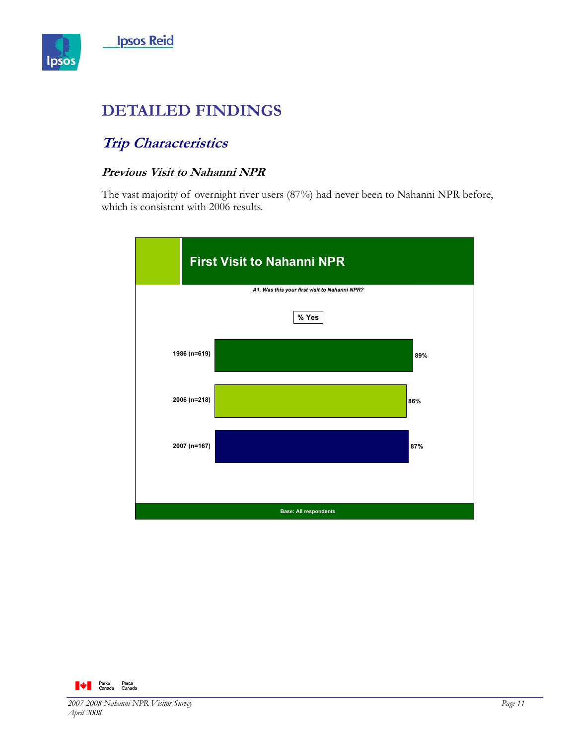

# **DETAILED FINDINGS**

# **Trip Characteristics**

## **Previous Visit to Nahanni NPR**

The vast majority of overnight river users (87%) had never been to Nahanni NPR before, which is consistent with 2006 results.



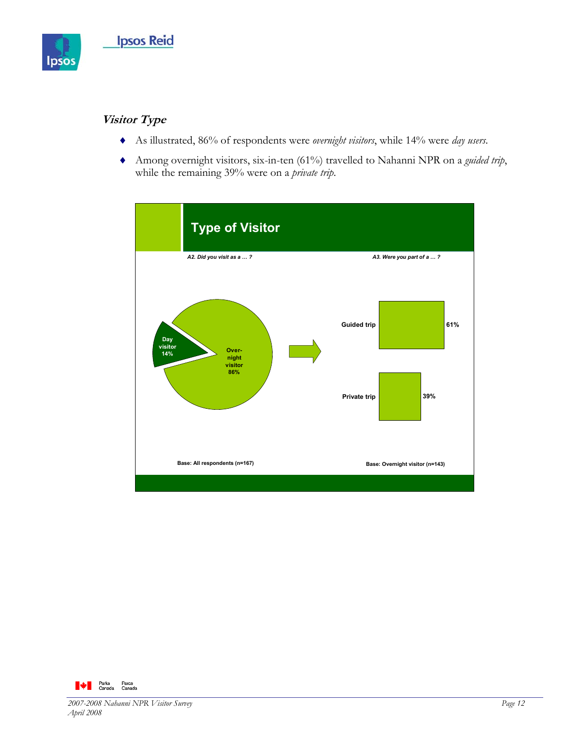

# **Visitor Type**

- ♦ As illustrated, 86% of respondents were *overnight visitors*, while 14% were *day users*.
- ♦ Among overnight visitors, six-in-ten (61%) travelled to Nahanni NPR on a *guided trip*, while the remaining 39% were on a *private trip*.



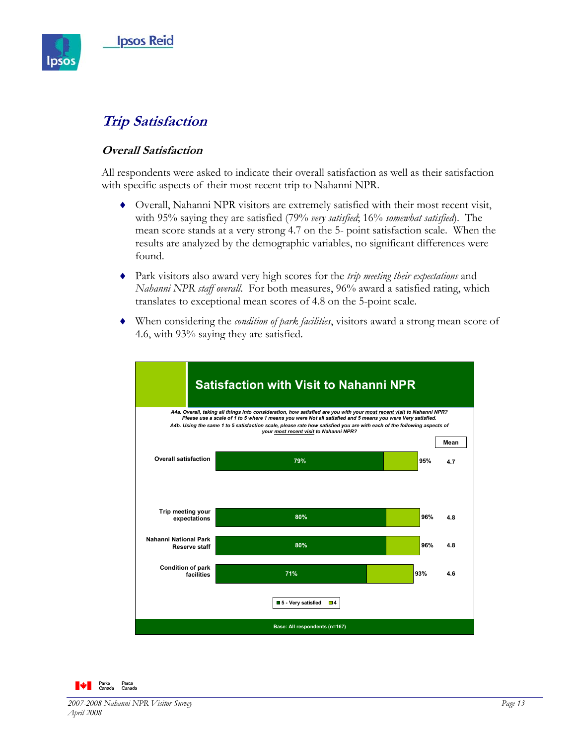

# **Trip Satisfaction**

### **Overall Satisfaction**

All respondents were asked to indicate their overall satisfaction as well as their satisfaction with specific aspects of their most recent trip to Nahanni NPR.

- ♦ Overall, Nahanni NPR visitors are extremely satisfied with their most recent visit, with 95% saying they are satisfied (79% *very satisfied*; 16% *somewhat satisfied*). The mean score stands at a very strong 4.7 on the 5- point satisfaction scale. When the results are analyzed by the demographic variables, no significant differences were found.
- ♦ Park visitors also award very high scores for the *trip meeting their expectations* and *Nahanni NPR staff overall*. For both measures, 96% award a satisfied rating, which translates to exceptional mean scores of 4.8 on the 5-point scale.
- ♦ When considering the *condition of park facilities*, visitors award a strong mean score of 4.6, with 93% saying they are satisfied.



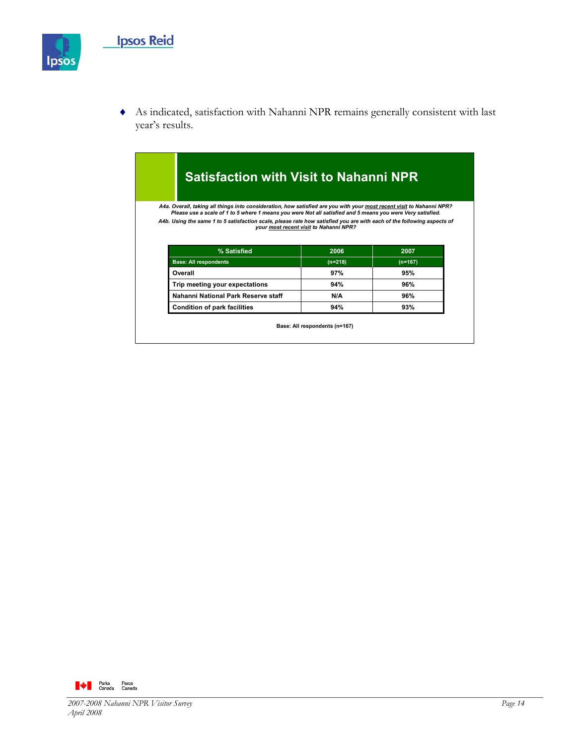

♦ As indicated, satisfaction with Nahanni NPR remains generally consistent with last year's results.

### **Satisfaction with Visit to Nahanni NPR Base: All respondents (n=167)** A4a. Overall, taking all things into consideration, how satisfied are you with your <u>most recent visit</u> to Nahanni NPR?<br>Please use a scale of 1 to 5 where 1 means you were Not all satisfied and 5 means you were Very satisf *A4b. Using the same 1 to 5 satisfaction scale, please rate how satisfied you are with each of the following aspects of your most recent visit to Nahanni NPR?*  **Trip meeting your expectations 94% 96% Overall 97% 95% 94% N/A (n=218) 2006 Condition of park facilities 93% Nahanni National Park Reserve staff 96% Base: All respondents** (n=218) (n=167) **% Satisfied 2007**

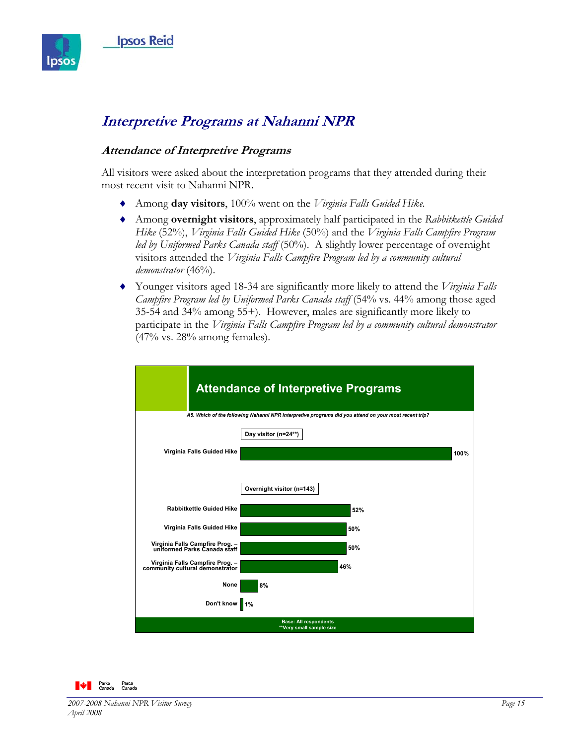

# **Interpretive Programs at Nahanni NPR**

### **Attendance of Interpretive Programs**

All visitors were asked about the interpretation programs that they attended during their most recent visit to Nahanni NPR.

- ♦ Among **day visitors**, 100% went on the *Virginia Falls Guided Hike.*
- ♦ Among **overnight visitors**, approximately half participated in the *Rabbitkettle Guided Hike* (52%), *Virginia Falls Guided Hike* (50%) and the *Virginia Falls Campfire Program led by Uniformed Parks Canada staff* (50%). A slightly lower percentage of overnight visitors attended the *Virginia Falls Campfire Program led by a community cultural demonstrator* (46%).
- ♦ Younger visitors aged 18-34 are significantly more likely to attend the *Virginia Falls Campfire Program led by Uniformed Parks Canada staff* (54% vs. 44% among those aged 35-54 and 34% among 55+). However, males are significantly more likely to participate in the *Virginia Falls Campfire Program led by a community cultural demonstrator* (47% vs. 28% among females).



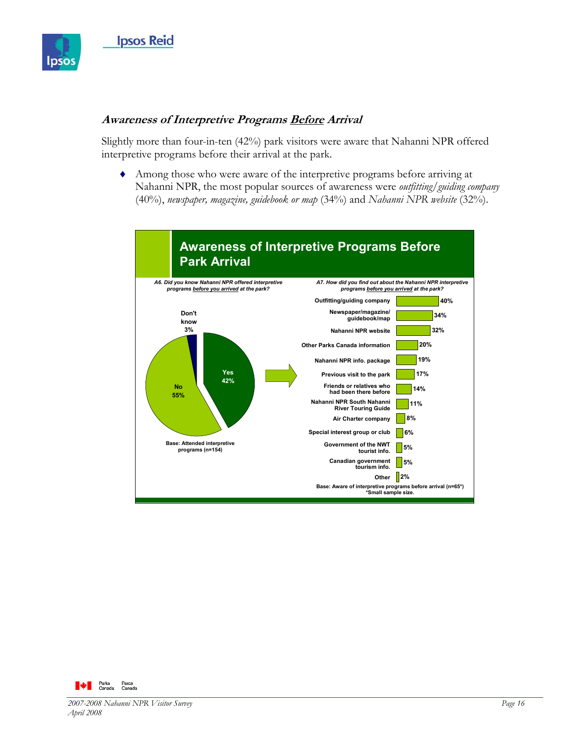

### **Awareness of Interpretive Programs Before Arrival**

Slightly more than four-in-ten (42%) park visitors were aware that Nahanni NPR offered interpretive programs before their arrival at the park.

♦ Among those who were aware of the interpretive programs before arriving at Nahanni NPR, the most popular sources of awareness were *outfitting/guiding company*  (40%), *newspaper, magazine, guidebook or map* (34%) and *Nahanni NPR website* (32%).



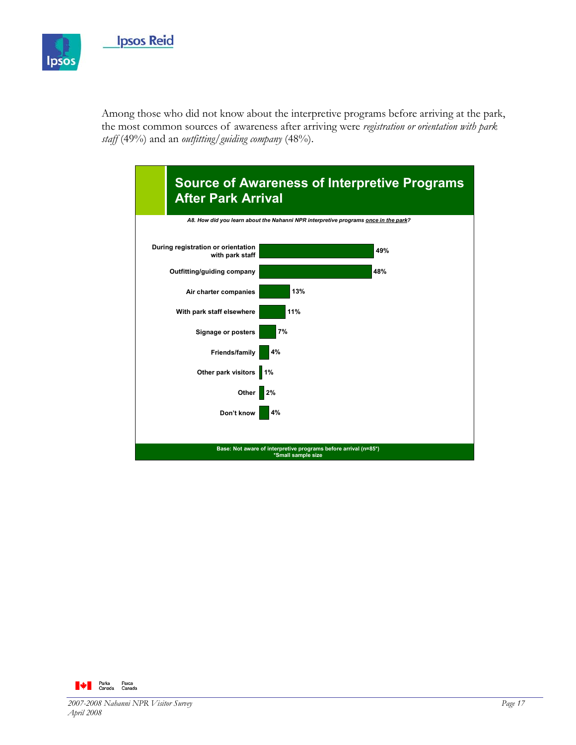

Among those who did not know about the interpretive programs before arriving at the park, the most common sources of awareness after arriving were *registration or orientation with park staff* (49%) and an *outfitting/guiding company* (48%).



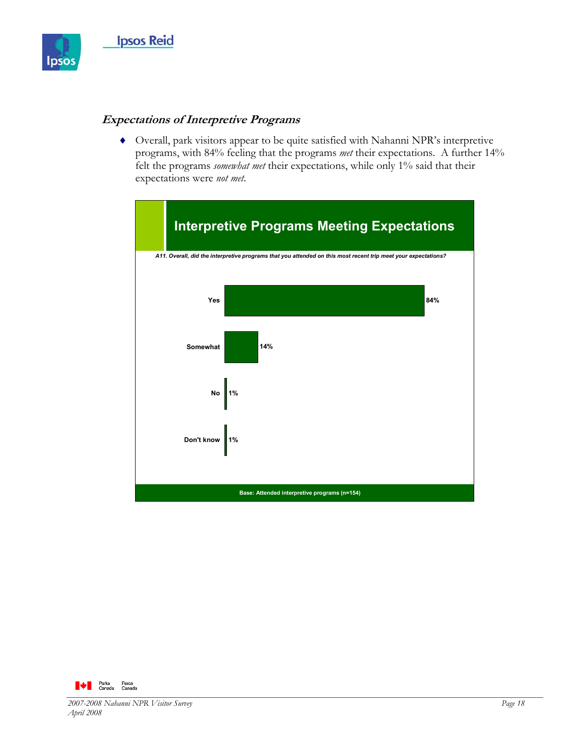

### **Expectations of Interpretive Programs**

♦ Overall, park visitors appear to be quite satisfied with Nahanni NPR's interpretive programs, with 84% feeling that the programs *met* their expectations. A further 14% felt the programs *somewhat met* their expectations, while only 1% said that their expectations were *not met*.



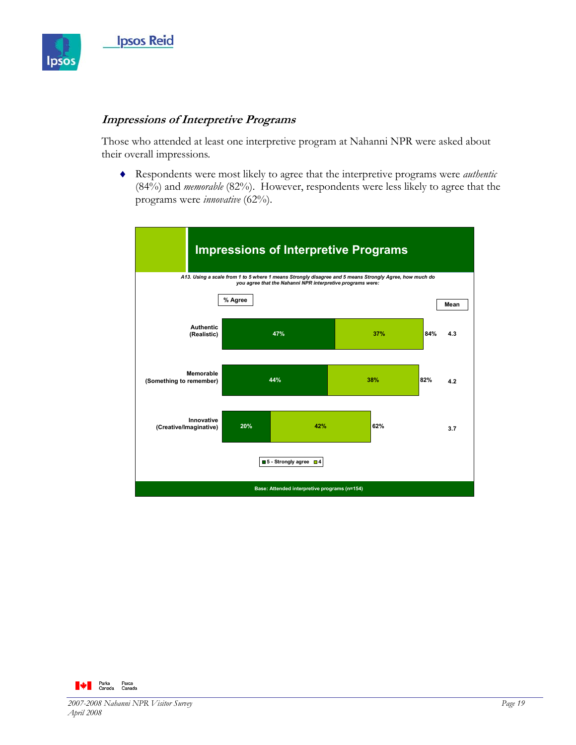

### **Impressions of Interpretive Programs**

Those who attended at least one interpretive program at Nahanni NPR were asked about their overall impressions.

♦ Respondents were most likely to agree that the interpretive programs were *authentic* (84%) and *memorable* (82%). However, respondents were less likely to agree that the programs were *innovative* (62%).



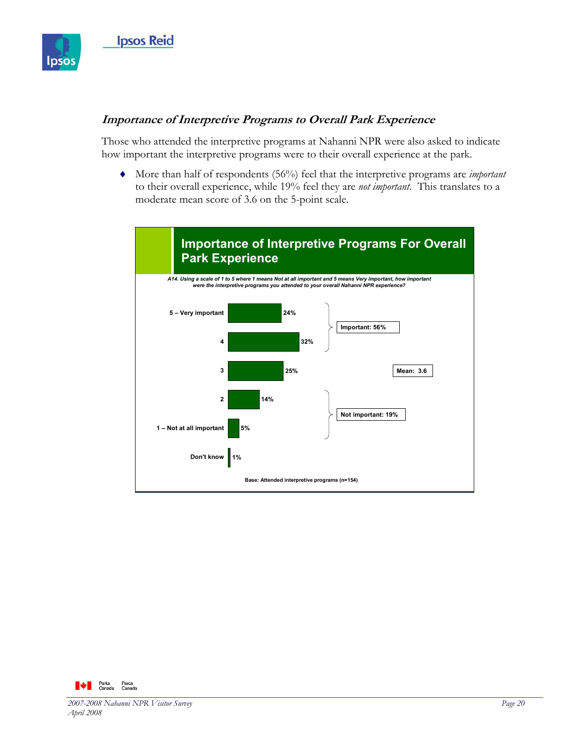

## **Importance of Interpretive Programs to Overall Park Experience**

Those who attended the interpretive programs at Nahanni NPR were also asked to indicate how important the interpretive programs were to their overall experience at the park.

♦ More than half of respondents (56%) feel that the interpretive programs are *important* to their overall experience, while 19% feel they are *not important*. This translates to a moderate mean score of 3.6 on the 5-point scale.



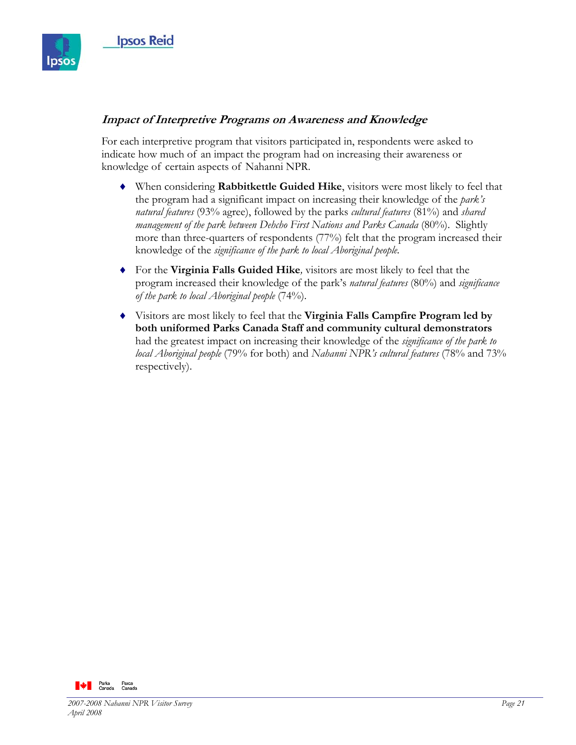

## **Impact of Interpretive Programs on Awareness and Knowledge**

For each interpretive program that visitors participated in, respondents were asked to indicate how much of an impact the program had on increasing their awareness or knowledge of certain aspects of Nahanni NPR.

- ♦ When considering **Rabbitkettle Guided Hike**, visitors were most likely to feel that the program had a significant impact on increasing their knowledge of the *park's natural features* (93% agree), followed by the parks *cultural features* (81%) and *shared management of the park between Dehcho First Nations and Parks Canada* (80%). Slightly more than three-quarters of respondents (77%) felt that the program increased their knowledge of the *significance of the park to local Aboriginal people.*
- ♦ For the **Virginia Falls Guided Hike***,* visitors are most likely to feel that the program increased their knowledge of the park's *natural features* (80%) and *significance of the park to local Aboriginal people* (74%).
- ♦ Visitors are most likely to feel that the **Virginia Falls Campfire Program led by both uniformed Parks Canada Staff and community cultural demonstrators** had the greatest impact on increasing their knowledge of the *significance of the park to local Aboriginal people* (79% for both) and *Nahanni NPR's cultural features* (78% and 73% respectively).

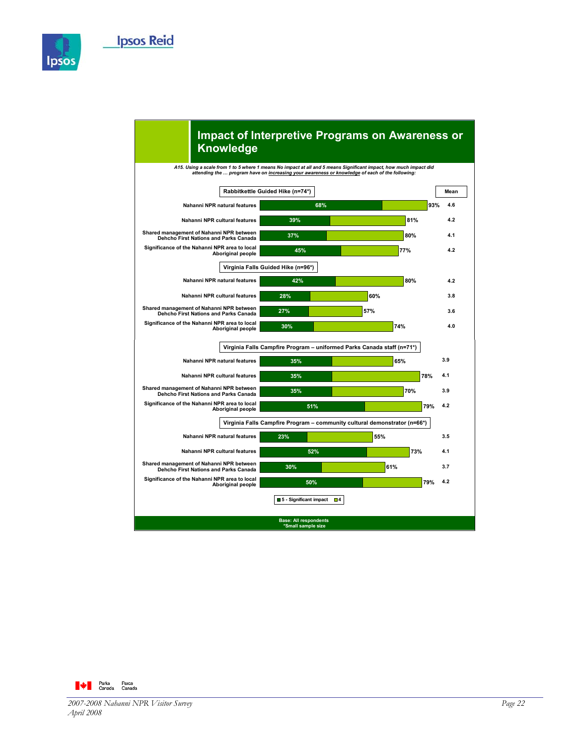



### **Impact of Interpretive Programs on Awareness or Knowledge**

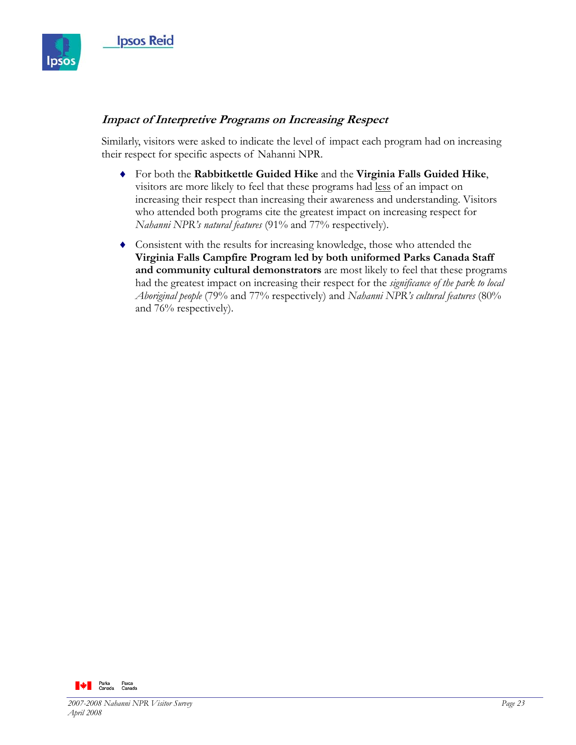

## **Impact of Interpretive Programs on Increasing Respect**

Similarly, visitors were asked to indicate the level of impact each program had on increasing their respect for specific aspects of Nahanni NPR.

- ♦ For both the **Rabbitkettle Guided Hike** and the **Virginia Falls Guided Hike**, visitors are more likely to feel that these programs had less of an impact on increasing their respect than increasing their awareness and understanding. Visitors who attended both programs cite the greatest impact on increasing respect for *Nahanni NPR's natural features* (91% and 77% respectively).
- ♦ Consistent with the results for increasing knowledge, those who attended the **Virginia Falls Campfire Program led by both uniformed Parks Canada Staff and community cultural demonstrators** are most likely to feel that these programs had the greatest impact on increasing their respect for the *significance of the park to local Aboriginal people* (79% and 77% respectively) and *Nahanni NPR's cultural features* (80% and 76% respectively).

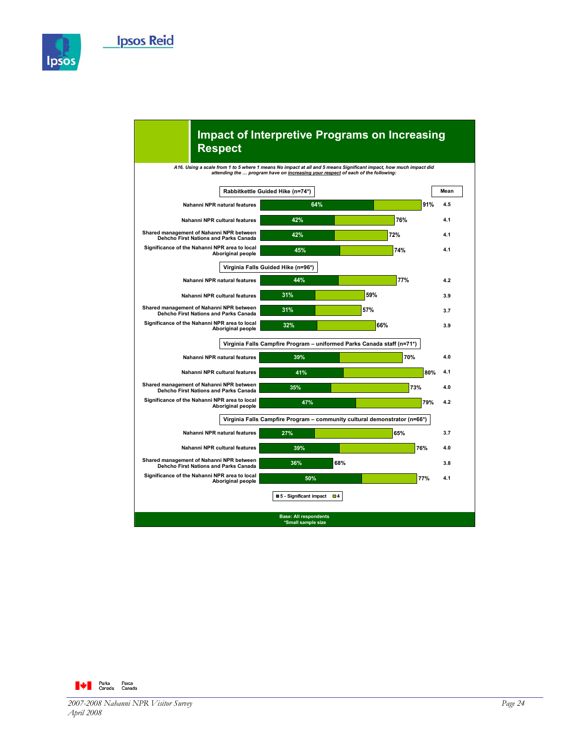



### **Impact of Interpretive Programs on Increasing Respect**

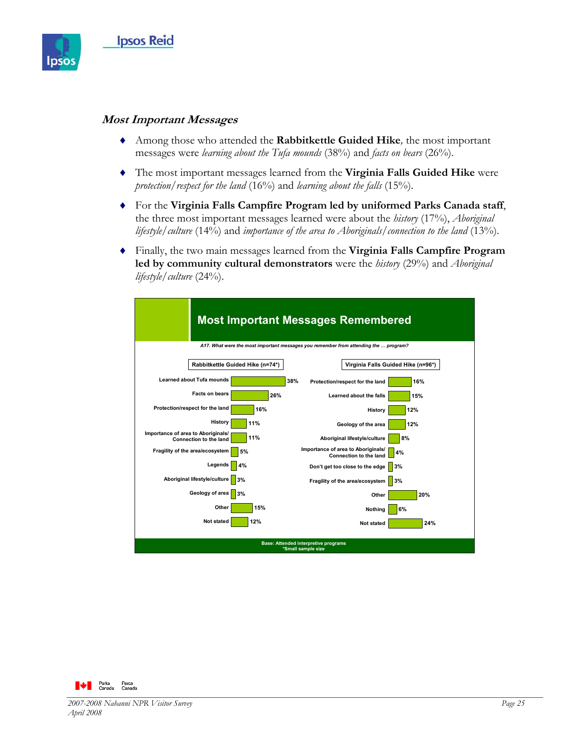

#### **Most Important Messages**

- ♦ Among those who attended the **Rabbitkettle Guided Hike***,* the most important messages were *learning about the Tufa mounds* (38%) and *facts on bears* (26%).
- ♦ The most important messages learned from the **Virginia Falls Guided Hike** were *protection/respect for the land* (16%) and *learning about the falls* (15%).
- ♦ For the **Virginia Falls Campfire Program led by uniformed Parks Canada staff**, the three most important messages learned were about the *history* (17%), *Aboriginal lifestyle/culture* (14%) and *importance of the area to Aboriginals/connection to the land* (13%).
- ♦ Finally, the two main messages learned from the **Virginia Falls Campfire Program led by community cultural demonstrators** were the *history* (29%) and *Aboriginal lifestyle/culture* (24%).

| <b>Most Important Messages Remembered</b>                                            |                                                                    |  |  |
|--------------------------------------------------------------------------------------|--------------------------------------------------------------------|--|--|
| A17. What were the most important messages you remember from attending the  program? |                                                                    |  |  |
| Rabbitkettle Guided Hike (n=74*)                                                     | Virginia Falls Guided Hike (n=96*)                                 |  |  |
| <b>Learned about Tufa mounds</b>                                                     | 38%<br>Protection/respect for the land<br>16%                      |  |  |
| <b>Facts on bears</b>                                                                | 26%<br>Learned about the falls<br>15%                              |  |  |
| Protection/respect for the land<br>16%                                               | 12%<br>History                                                     |  |  |
| History<br>11%                                                                       | Geology of the area<br>12%                                         |  |  |
| Importance of area to Aboriginals/<br>11%<br>Connection to the land                  | 8%<br>Aboriginal lifestyle/culture                                 |  |  |
| Fragility of the area/ecosystem<br>5%                                                | Importance of area to Aboriginals/<br>4%<br>Connection to the land |  |  |
| Legends<br>4%                                                                        | Don't get too close to the edge<br>3%                              |  |  |
| Aboriginal lifestyle/culture<br>3%                                                   | 3%<br>Fragility of the area/ecosystem                              |  |  |
| Geology of area<br>3%                                                                | 20%<br>Other                                                       |  |  |
| Other<br>15%                                                                         | 6%<br>Nothing                                                      |  |  |
| 12%<br><b>Not stated</b>                                                             | 24%<br><b>Not stated</b>                                           |  |  |
| <b>Base: Attended interpretive programs</b><br>*Small sample size                    |                                                                    |  |  |

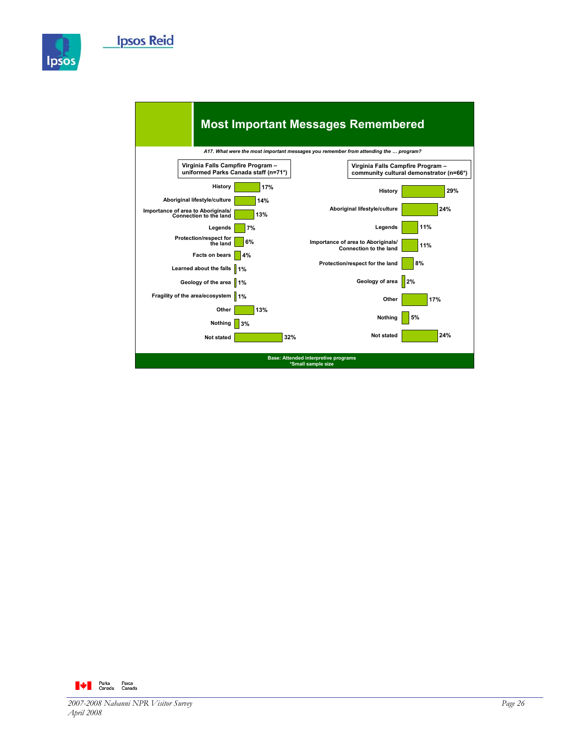



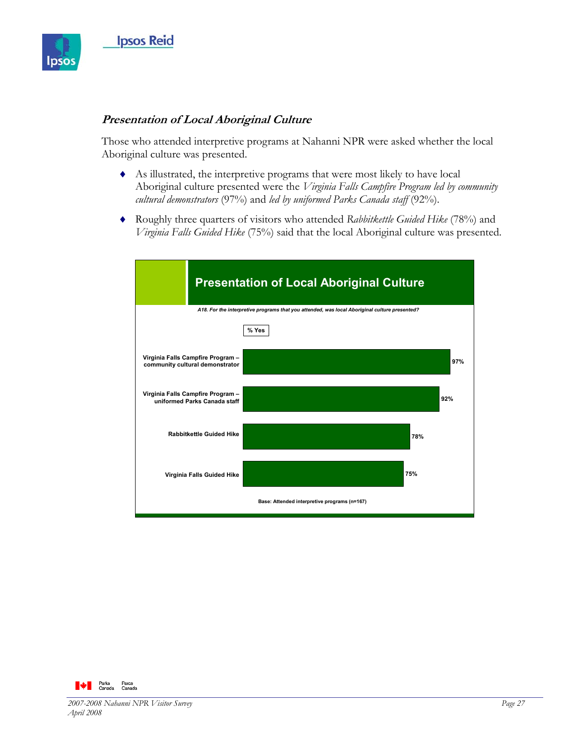

### **Presentation of Local Aboriginal Culture**

Those who attended interpretive programs at Nahanni NPR were asked whether the local Aboriginal culture was presented.

- ♦ As illustrated, the interpretive programs that were most likely to have local Aboriginal culture presented were the *Virginia Falls Campfire Program led by community cultural demonstrators* (97%) and *led by uniformed Parks Canada staff* (92%).
- ♦ Roughly three quarters of visitors who attended *Rabbitkettle Guided Hike* (78%) and *Virginia Falls Guided Hike* (75%) said that the local Aboriginal culture was presented.

| <b>Presentation of Local Aboriginal Culture</b>                                               |                                              |     |
|-----------------------------------------------------------------------------------------------|----------------------------------------------|-----|
| A18. For the interpretive programs that you attended, was local Aboriginal culture presented? |                                              |     |
|                                                                                               | % Yes                                        |     |
| Virginia Falls Campfire Program -<br>community cultural demonstrator                          |                                              | 97% |
| Virginia Falls Campfire Program -<br>uniformed Parks Canada staff                             |                                              | 92% |
| <b>Rabbitkettle Guided Hike</b>                                                               |                                              | 78% |
| Virginia Falls Guided Hike                                                                    | 75%                                          |     |
|                                                                                               | Base: Attended interpretive programs (n=167) |     |

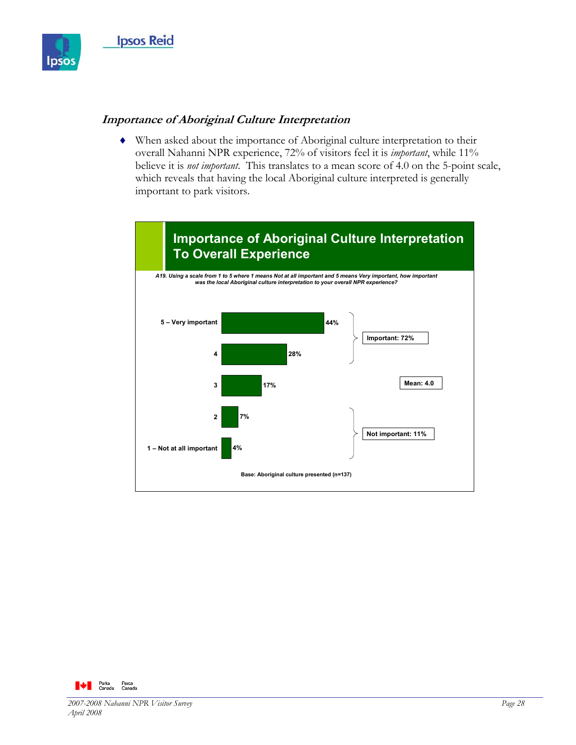

### **Importance of Aboriginal Culture Interpretation**

♦ When asked about the importance of Aboriginal culture interpretation to their overall Nahanni NPR experience, 72% of visitors feel it is *important*, while 11% believe it is *not important*. This translates to a mean score of 4.0 on the 5-point scale, which reveals that having the local Aboriginal culture interpreted is generally important to park visitors.



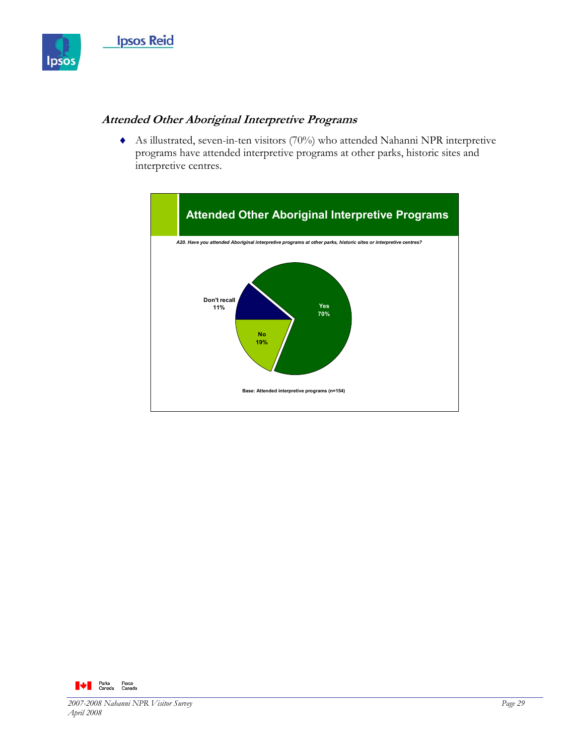

## **Attended Other Aboriginal Interpretive Programs**

♦ As illustrated, seven-in-ten visitors (70%) who attended Nahanni NPR interpretive programs have attended interpretive programs at other parks, historic sites and interpretive centres.



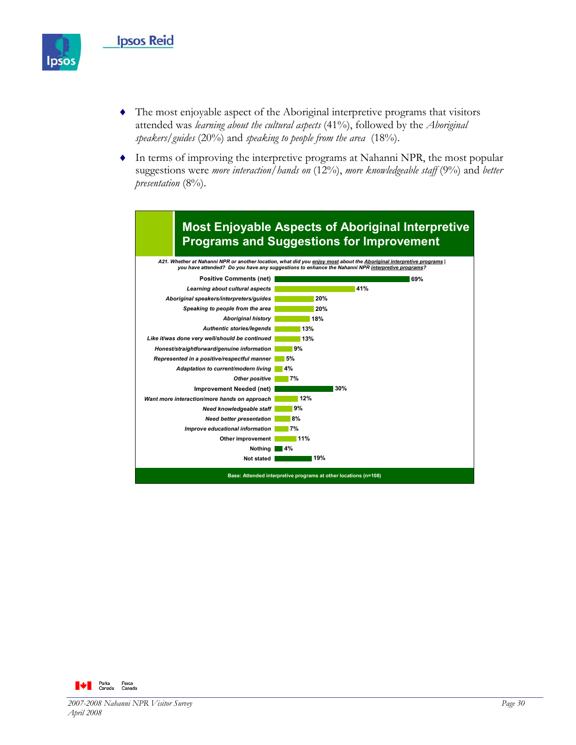

- ♦ The most enjoyable aspect of the Aboriginal interpretive programs that visitors attended was *learning about the cultural aspects* (41%), followed by the *Aboriginal speakers/guides* (20%) and *speaking to people from the area* (18%).
- ♦ In terms of improving the interpretive programs at Nahanni NPR, the most popular suggestions were *more interaction/hands on* (12%), *more knowledgeable staff* (9%) and *better presentation* (8%).



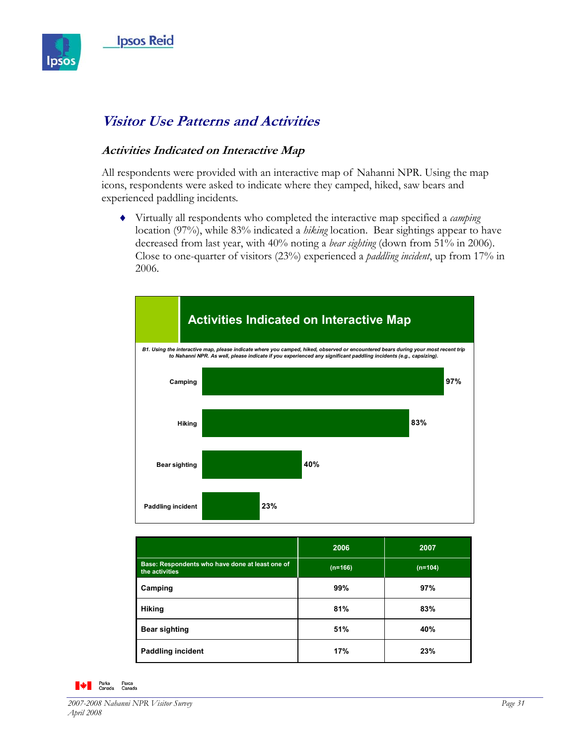

# **Visitor Use Patterns and Activities**

## **Activities Indicated on Interactive Map**

All respondents were provided with an interactive map of Nahanni NPR. Using the map icons, respondents were asked to indicate where they camped, hiked, saw bears and experienced paddling incidents.

♦ Virtually all respondents who completed the interactive map specified a *camping*  location (97%), while 83% indicated a *hiking* location. Bear sightings appear to have decreased from last year, with 40% noting a *bear sighting* (down from 51% in 2006). Close to one-quarter of visitors (23%) experienced a *paddling incident*, up from 17% in 2006.



|                                                                   | 2006      | 2007      |
|-------------------------------------------------------------------|-----------|-----------|
| Base: Respondents who have done at least one of<br>the activities | $(n=166)$ | $(n=104)$ |
| Camping                                                           | 99%       | 97%       |
| <b>Hiking</b>                                                     | 81%       | 83%       |
| <b>Bear sighting</b>                                              | 51%       | 40%       |
| <b>Paddling incident</b>                                          | 17%       | 23%       |

#### **A** Parks Parcs<br>Canada Canada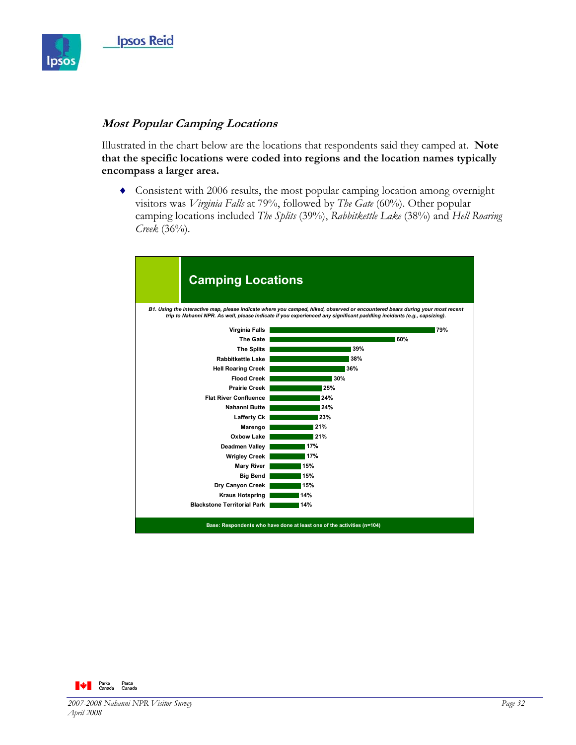

#### **Most Popular Camping Locations**

Illustrated in the chart below are the locations that respondents said they camped at. **Note that the specific locations were coded into regions and the location names typically encompass a larger area.** 

♦ Consistent with 2006 results, the most popular camping location among overnight visitors was *Virginia Falls* at 79%, followed by *The Gate* (60%). Other popular camping locations included *The Splits* (39%), *Rabbitkettle Lake* (38%) and *Hell Roaring Creek* (36%).



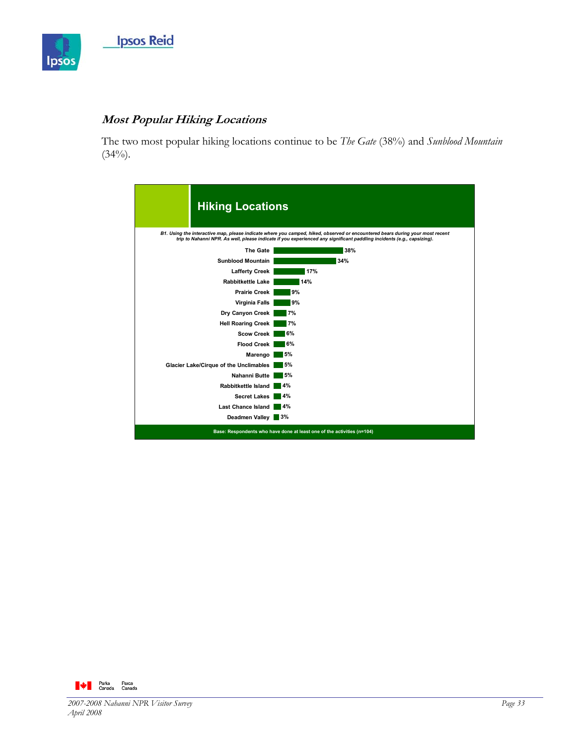

## **Most Popular Hiking Locations**

The two most popular hiking locations continue to be *The Gate* (38%) and *Sunblood Mountain*  $(34\%)$ .

| <b>Hiking Locations</b>                                                |                                                                                                                                                                                                                                                         |
|------------------------------------------------------------------------|---------------------------------------------------------------------------------------------------------------------------------------------------------------------------------------------------------------------------------------------------------|
|                                                                        | B1. Using the interactive map, please indicate where you camped, hiked, observed or encountered bears during your most recent<br>trip to Nahanni NPR. As well, please indicate if you experienced any significant paddling incidents (e.g., capsizing). |
| <b>The Gate</b>                                                        | 38%                                                                                                                                                                                                                                                     |
| <b>Sunblood Mountain</b>                                               | 34%                                                                                                                                                                                                                                                     |
| <b>Lafferty Creek</b>                                                  | 17%                                                                                                                                                                                                                                                     |
| <b>Rabbitkettle Lake</b>                                               | 14%                                                                                                                                                                                                                                                     |
| <b>Prairie Creek</b>                                                   | 9%                                                                                                                                                                                                                                                      |
| Virginia Falls                                                         | 9%                                                                                                                                                                                                                                                      |
| Dry Canyon Creek                                                       | 7%                                                                                                                                                                                                                                                      |
| <b>Hell Roaring Creek</b>                                              | 7%                                                                                                                                                                                                                                                      |
| <b>Scow Creek</b>                                                      | 6%                                                                                                                                                                                                                                                      |
| <b>Flood Creek</b>                                                     | 6%                                                                                                                                                                                                                                                      |
| Marengo                                                                | 5%                                                                                                                                                                                                                                                      |
| Glacier Lake/Cirque of the Unclimables                                 | 5%                                                                                                                                                                                                                                                      |
| Nahanni Butte                                                          | 5%                                                                                                                                                                                                                                                      |
| Rabbitkettle Island                                                    | 4%                                                                                                                                                                                                                                                      |
| <b>Secret Lakes</b>                                                    | 4%                                                                                                                                                                                                                                                      |
| <b>Last Chance Island</b>                                              | 4%                                                                                                                                                                                                                                                      |
| Deadmen Valley 3%                                                      |                                                                                                                                                                                                                                                         |
| Base: Respondents who have done at least one of the activities (n=104) |                                                                                                                                                                                                                                                         |

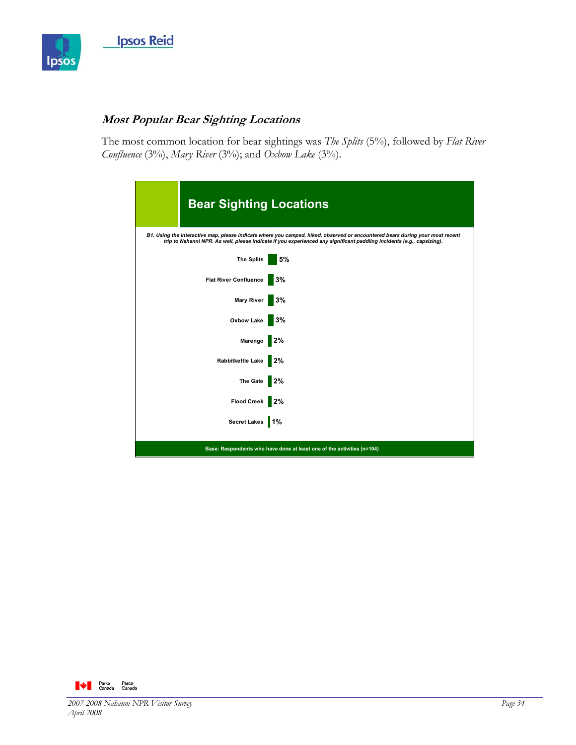

# **Most Popular Bear Sighting Locations**

The most common location for bear sightings was *The Splits* (5%), followed by *Flat River Confluence* (3%), *Mary River* (3%); and *Oxbow Lake* (3%).

| <b>Bear Sighting Locations</b>                                                                                                                                                                                                                          |    |
|---------------------------------------------------------------------------------------------------------------------------------------------------------------------------------------------------------------------------------------------------------|----|
| B1. Using the interactive map, please indicate where you camped, hiked, observed or encountered bears during your most recent<br>trip to Nahanni NPR. As well, please indicate if you experienced any significant paddling incidents (e.g., capsizing). |    |
| <b>The Splits</b>                                                                                                                                                                                                                                       | 5% |
| <b>Flat River Confluence</b>                                                                                                                                                                                                                            | 3% |
| Mary River                                                                                                                                                                                                                                              | 3% |
| Oxbow Lake                                                                                                                                                                                                                                              | 3% |
| Marengo                                                                                                                                                                                                                                                 | 2% |
| Rabbitkettle Lake                                                                                                                                                                                                                                       | 2% |
| The Gate                                                                                                                                                                                                                                                | 2% |
| Flood Creek 2%                                                                                                                                                                                                                                          |    |
| Secret Lakes 1%                                                                                                                                                                                                                                         |    |
| Base: Respondents who have done at least one of the activities (n=104)                                                                                                                                                                                  |    |

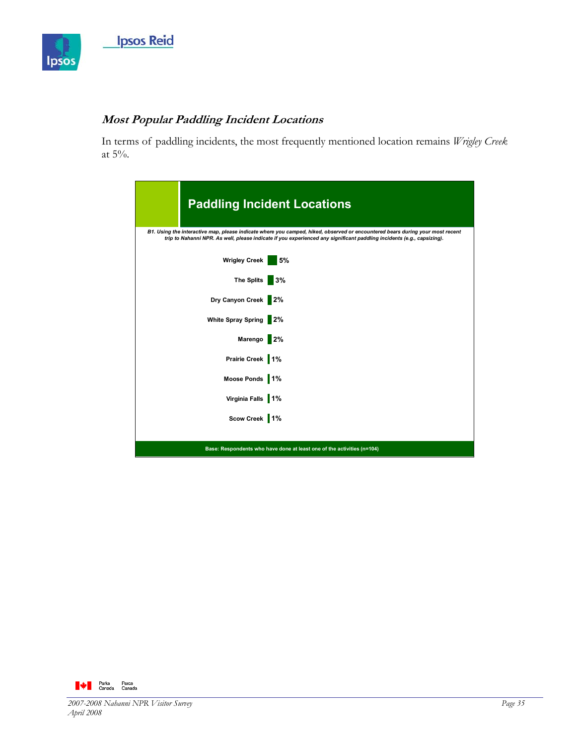

# **Most Popular Paddling Incident Locations**

In terms of paddling incidents, the most frequently mentioned location remains *Wrigley Creek* at 5%.

|                      | <b>Paddling Incident Locations</b>                                                                                                                                                                                                                      |
|----------------------|---------------------------------------------------------------------------------------------------------------------------------------------------------------------------------------------------------------------------------------------------------|
|                      | B1. Using the interactive map, please indicate where you camped, hiked, observed or encountered bears during your most recent<br>trip to Nahanni NPR. As well, please indicate if you experienced any significant paddling incidents (e.g., capsizing). |
| <b>Wrigley Creek</b> | 5%                                                                                                                                                                                                                                                      |
| <b>The Splits</b>    | 3%                                                                                                                                                                                                                                                      |
| Dry Canyon Creek 2%  |                                                                                                                                                                                                                                                         |
| White Spray Spring   | $\overline{2\%}$                                                                                                                                                                                                                                        |
| Marengo 2%           |                                                                                                                                                                                                                                                         |
| Prairie Creek 1%     |                                                                                                                                                                                                                                                         |
| Moose Ponds 1%       |                                                                                                                                                                                                                                                         |
| Virginia Falls 1%    |                                                                                                                                                                                                                                                         |
| Scow Creek 1%        |                                                                                                                                                                                                                                                         |
|                      | Base: Respondents who have done at least one of the activities (n=104)                                                                                                                                                                                  |

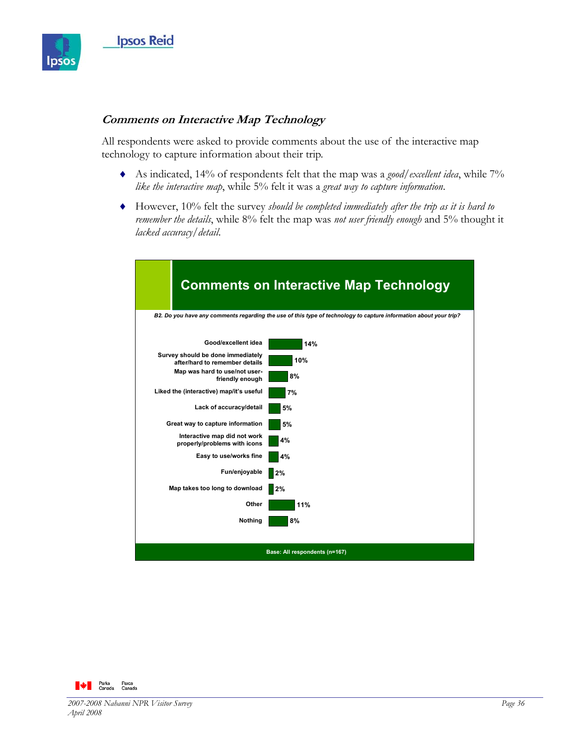

#### **Comments on Interactive Map Technology**

All respondents were asked to provide comments about the use of the interactive map technology to capture information about their trip.

- ♦ As indicated, 14% of respondents felt that the map was a *good/excellent idea*, while 7% *like the interactive map*, while 5% felt it was a *great way to capture information*.
- ♦ However, 10% felt the survey *should be completed immediately after the trip as it is hard to remember the details*, while 8% felt the map was *not user friendly enough* and 5% thought it *lacked accuracy/detail*.



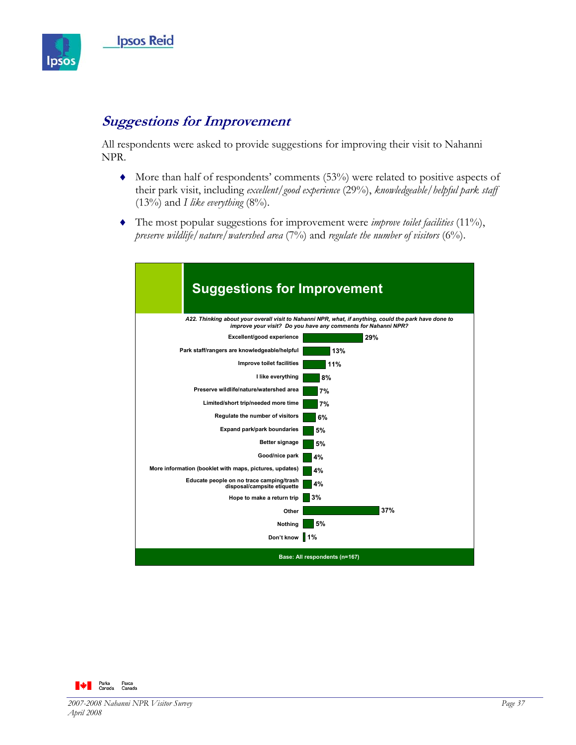

# **Suggestions for Improvement**

All respondents were asked to provide suggestions for improving their visit to Nahanni NPR.

- $\blacklozenge$  More than half of respondents' comments (53%) were related to positive aspects of their park visit, including *excellent/good experience* (29%), *knowledgeable/helpful park staff*  $(13\%)$  and *I like everything*  $(8\%)$ .
- ♦ The most popular suggestions for improvement were *improve toilet facilities* (11%), *preserve wildlife/nature/watershed area* (7%) and *regulate the number of visitors* (6%).



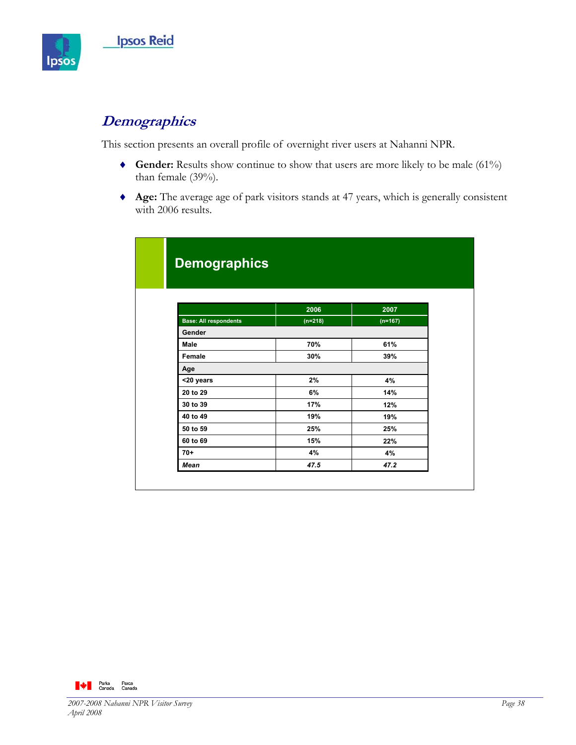

# **Demographics**

This section presents an overall profile of overnight river users at Nahanni NPR.

- ♦ **Gender:** Results show continue to show that users are more likely to be male (61%) than female (39%).
- ♦ **Age:** The average age of park visitors stands at 47 years, which is generally consistent with 2006 results.

| <b>Demographics</b>          |           |           |
|------------------------------|-----------|-----------|
|                              |           |           |
|                              |           |           |
|                              |           |           |
|                              | 2006      | 2007      |
| <b>Base: All respondents</b> | $(n=218)$ | $(n=167)$ |
| Gender                       |           |           |
| Male                         | 70%       | 61%       |
| Female                       | 30%       | 39%       |
| Age                          |           |           |
| <20 years                    | 2%        | 4%        |
| 20 to 29                     | 6%        | 14%       |
| 30 to 39                     | 17%       | 12%       |
| 40 to 49                     | 19%       | 19%       |
| 50 to 59                     | 25%       | 25%       |
| 60 to 69                     | 15%       | 22%       |
| $70+$                        | 4%        | 4%        |
| <b>Mean</b>                  | 47.5      | 47.2      |

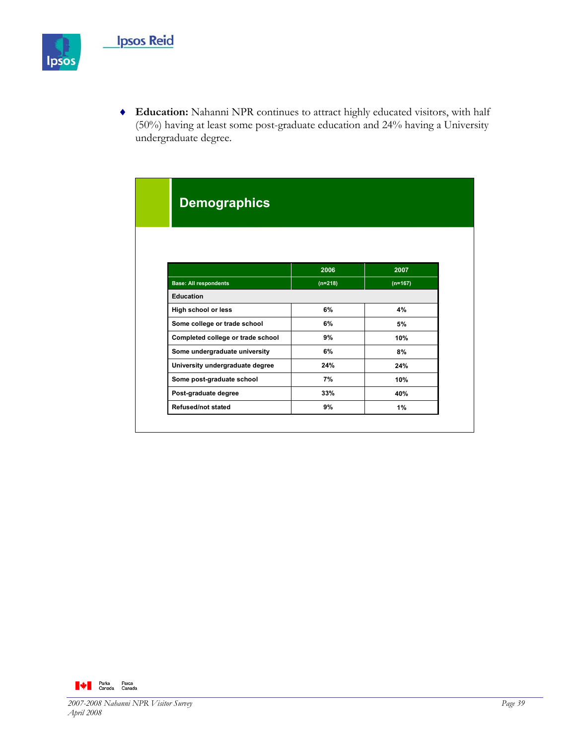

♦ **Education:** Nahanni NPR continues to attract highly educated visitors, with half (50%) having at least some post-graduate education and 24% having a University undergraduate degree.

| <b>Demographics</b>               |           |           |
|-----------------------------------|-----------|-----------|
|                                   |           |           |
|                                   |           |           |
|                                   | 2006      | 2007      |
| <b>Base: All respondents</b>      | $(n=218)$ | $(n=167)$ |
| <b>Education</b>                  |           |           |
| High school or less               | 6%        | 4%        |
| Some college or trade school      | 6%        | 5%        |
| Completed college or trade school | 9%        | 10%       |
| Some undergraduate university     | 6%        | 8%        |
| University undergraduate degree   | 24%       | 24%       |
| Some post-graduate school         | 7%        | 10%       |
| Post-graduate degree              | 33%       | 40%       |
|                                   | 9%        | 1%        |

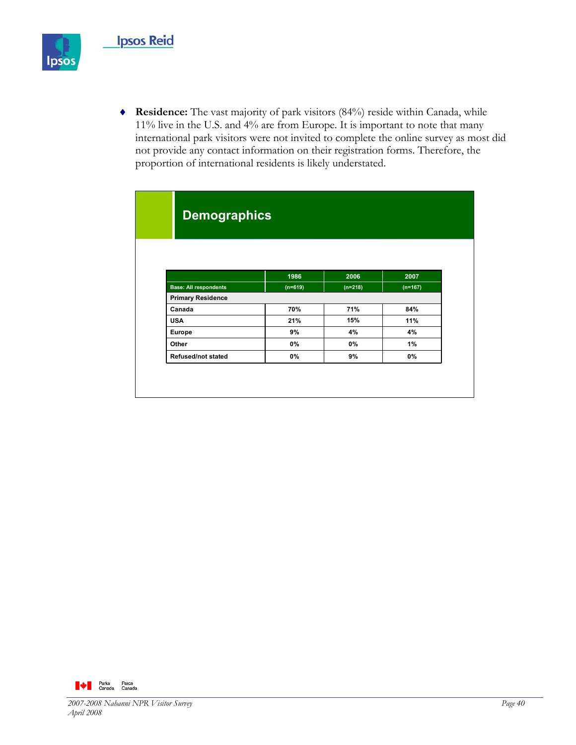

♦ **Residence:** The vast majority of park visitors (84%) reside within Canada, while 11% live in the U.S. and 4% are from Europe. It is important to note that many international park visitors were not invited to complete the online survey as most did not provide any contact information on their registration forms. Therefore, the proportion of international residents is likely understated.

| <b>Demographics</b>          |           |           |           |  |  |
|------------------------------|-----------|-----------|-----------|--|--|
|                              |           |           |           |  |  |
|                              |           |           |           |  |  |
|                              |           |           |           |  |  |
|                              | 1986      | 2006      | 2007      |  |  |
| <b>Base: All respondents</b> | $(n=619)$ | $(n=218)$ | $(n=167)$ |  |  |
| <b>Primary Residence</b>     |           |           |           |  |  |
| Canada                       | 70%       | 71%       | 84%       |  |  |
| <b>USA</b>                   | 21%       | 15%       | 11%       |  |  |
| Europe                       | 9%        | 4%        | 4%        |  |  |
| Other                        | 0%        | 0%        | $1\%$     |  |  |
| <b>Refused/not stated</b>    | 0%        | 9%        | 0%        |  |  |

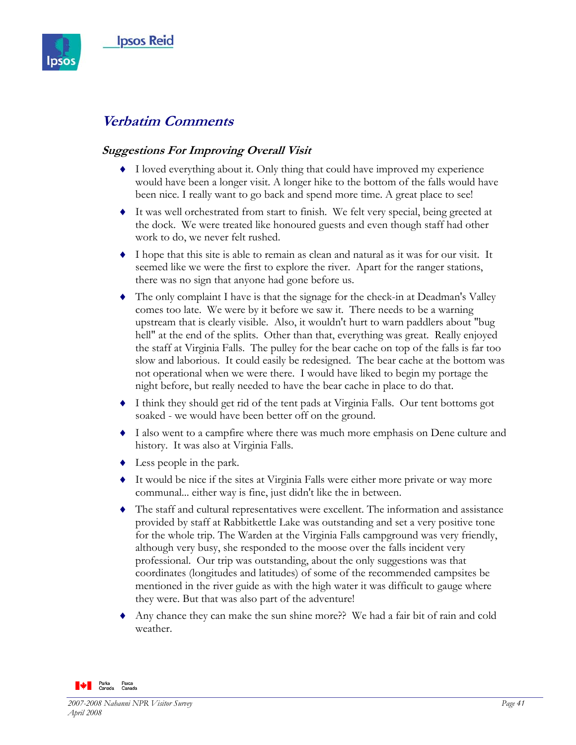

# **Verbatim Comments**

## **Suggestions For Improving Overall Visit**

- ♦ I loved everything about it. Only thing that could have improved my experience would have been a longer visit. A longer hike to the bottom of the falls would have been nice. I really want to go back and spend more time. A great place to see!
- ♦ It was well orchestrated from start to finish. We felt very special, being greeted at the dock. We were treated like honoured guests and even though staff had other work to do, we never felt rushed.
- ♦ I hope that this site is able to remain as clean and natural as it was for our visit. It seemed like we were the first to explore the river. Apart for the ranger stations, there was no sign that anyone had gone before us.
- ♦ The only complaint I have is that the signage for the check-in at Deadman's Valley comes too late. We were by it before we saw it. There needs to be a warning upstream that is clearly visible. Also, it wouldn't hurt to warn paddlers about "bug hell" at the end of the splits. Other than that, everything was great. Really enjoyed the staff at Virginia Falls. The pulley for the bear cache on top of the falls is far too slow and laborious. It could easily be redesigned. The bear cache at the bottom was not operational when we were there. I would have liked to begin my portage the night before, but really needed to have the bear cache in place to do that.
- ♦ I think they should get rid of the tent pads at Virginia Falls. Our tent bottoms got soaked - we would have been better off on the ground.
- ♦ I also went to a campfire where there was much more emphasis on Dene culture and history. It was also at Virginia Falls.
- $\bullet$  Less people in the park.
- ♦ It would be nice if the sites at Virginia Falls were either more private or way more communal... either way is fine, just didn't like the in between.
- ♦ The staff and cultural representatives were excellent. The information and assistance provided by staff at Rabbitkettle Lake was outstanding and set a very positive tone for the whole trip. The Warden at the Virginia Falls campground was very friendly, although very busy, she responded to the moose over the falls incident very professional. Our trip was outstanding, about the only suggestions was that coordinates (longitudes and latitudes) of some of the recommended campsites be mentioned in the river guide as with the high water it was difficult to gauge where they were. But that was also part of the adventure!
- Any chance they can make the sun shine more?? We had a fair bit of rain and cold weather.

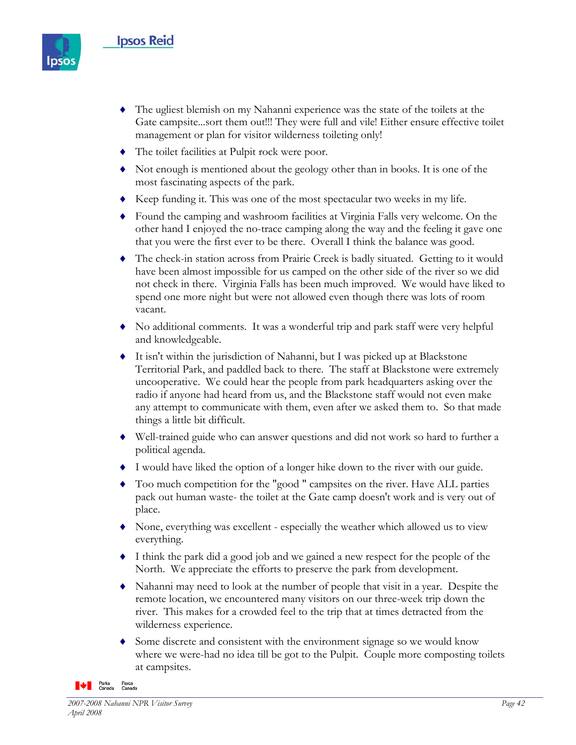

- ♦ The ugliest blemish on my Nahanni experience was the state of the toilets at the Gate campsite...sort them out!!! They were full and vile! Either ensure effective toilet management or plan for visitor wilderness toileting only!
- ♦ The toilet facilities at Pulpit rock were poor.
- ♦ Not enough is mentioned about the geology other than in books. It is one of the most fascinating aspects of the park.
- ♦ Keep funding it. This was one of the most spectacular two weeks in my life.
- ♦ Found the camping and washroom facilities at Virginia Falls very welcome. On the other hand I enjoyed the no-trace camping along the way and the feeling it gave one that you were the first ever to be there. Overall I think the balance was good.
- ♦ The check-in station across from Prairie Creek is badly situated. Getting to it would have been almost impossible for us camped on the other side of the river so we did not check in there. Virginia Falls has been much improved. We would have liked to spend one more night but were not allowed even though there was lots of room vacant.
- ♦ No additional comments. It was a wonderful trip and park staff were very helpful and knowledgeable.
- ♦ It isn't within the jurisdiction of Nahanni, but I was picked up at Blackstone Territorial Park, and paddled back to there. The staff at Blackstone were extremely uncooperative. We could hear the people from park headquarters asking over the radio if anyone had heard from us, and the Blackstone staff would not even make any attempt to communicate with them, even after we asked them to. So that made things a little bit difficult.
- ♦ Well-trained guide who can answer questions and did not work so hard to further a political agenda.
- ♦ I would have liked the option of a longer hike down to the river with our guide.
- Too much competition for the "good " campsites on the river. Have ALL parties pack out human waste- the toilet at the Gate camp doesn't work and is very out of place.
- ♦ None, everything was excellent especially the weather which allowed us to view everything.
- ♦ I think the park did a good job and we gained a new respect for the people of the North. We appreciate the efforts to preserve the park from development.
- ♦ Nahanni may need to look at the number of people that visit in a year. Despite the remote location, we encountered many visitors on our three-week trip down the river. This makes for a crowded feel to the trip that at times detracted from the wilderness experience.
- ♦ Some discrete and consistent with the environment signage so we would know where we were-had no idea till be got to the Pulpit. Couple more composting toilets at campsites.

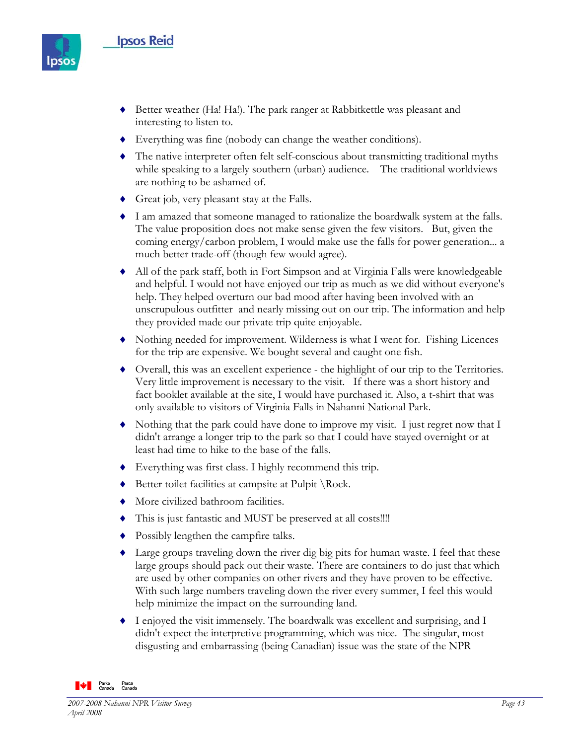

- ♦ Better weather (Ha! Ha!). The park ranger at Rabbitkettle was pleasant and interesting to listen to.
- ♦ Everything was fine (nobody can change the weather conditions).
- ♦ The native interpreter often felt self-conscious about transmitting traditional myths while speaking to a largely southern (urban) audience. The traditional worldviews are nothing to be ashamed of.
- ♦ Great job, very pleasant stay at the Falls.
- ♦ I am amazed that someone managed to rationalize the boardwalk system at the falls. The value proposition does not make sense given the few visitors. But, given the coming energy/carbon problem, I would make use the falls for power generation... a much better trade-off (though few would agree).
- ♦ All of the park staff, both in Fort Simpson and at Virginia Falls were knowledgeable and helpful. I would not have enjoyed our trip as much as we did without everyone's help. They helped overturn our bad mood after having been involved with an unscrupulous outfitter and nearly missing out on our trip. The information and help they provided made our private trip quite enjoyable.
- ♦ Nothing needed for improvement. Wilderness is what I went for. Fishing Licences for the trip are expensive. We bought several and caught one fish.
- ♦ Overall, this was an excellent experience the highlight of our trip to the Territories. Very little improvement is necessary to the visit. If there was a short history and fact booklet available at the site, I would have purchased it. Also, a t-shirt that was only available to visitors of Virginia Falls in Nahanni National Park.
- ♦ Nothing that the park could have done to improve my visit. I just regret now that I didn't arrange a longer trip to the park so that I could have stayed overnight or at least had time to hike to the base of the falls.
- ♦ Everything was first class. I highly recommend this trip.
- Better toilet facilities at campsite at Pulpit \Rock.
- ♦ More civilized bathroom facilities.
- ♦ This is just fantastic and MUST be preserved at all costs!!!!
- ♦ Possibly lengthen the campfire talks.
- ♦ Large groups traveling down the river dig big pits for human waste. I feel that these large groups should pack out their waste. There are containers to do just that which are used by other companies on other rivers and they have proven to be effective. With such large numbers traveling down the river every summer, I feel this would help minimize the impact on the surrounding land.
- ♦ I enjoyed the visit immensely. The boardwalk was excellent and surprising, and I didn't expect the interpretive programming, which was nice. The singular, most disgusting and embarrassing (being Canadian) issue was the state of the NPR

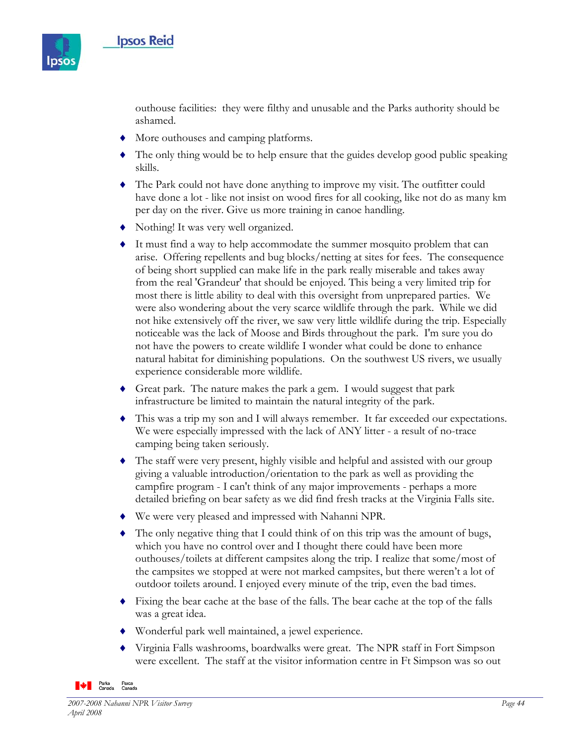

outhouse facilities: they were filthy and unusable and the Parks authority should be ashamed.

- ♦ More outhouses and camping platforms.
- ♦ The only thing would be to help ensure that the guides develop good public speaking skills.
- ♦ The Park could not have done anything to improve my visit. The outfitter could have done a lot - like not insist on wood fires for all cooking, like not do as many km per day on the river. Give us more training in canoe handling.
- ♦ Nothing! It was very well organized.
- ♦ It must find a way to help accommodate the summer mosquito problem that can arise. Offering repellents and bug blocks/netting at sites for fees. The consequence of being short supplied can make life in the park really miserable and takes away from the real 'Grandeur' that should be enjoyed. This being a very limited trip for most there is little ability to deal with this oversight from unprepared parties. We were also wondering about the very scarce wildlife through the park. While we did not hike extensively off the river, we saw very little wildlife during the trip. Especially noticeable was the lack of Moose and Birds throughout the park. I'm sure you do not have the powers to create wildlife I wonder what could be done to enhance natural habitat for diminishing populations. On the southwest US rivers, we usually experience considerable more wildlife.
- ♦ Great park. The nature makes the park a gem. I would suggest that park infrastructure be limited to maintain the natural integrity of the park.
- ♦ This was a trip my son and I will always remember. It far exceeded our expectations. We were especially impressed with the lack of ANY litter - a result of no-trace camping being taken seriously.
- ♦ The staff were very present, highly visible and helpful and assisted with our group giving a valuable introduction/orientation to the park as well as providing the campfire program - I can't think of any major improvements - perhaps a more detailed briefing on bear safety as we did find fresh tracks at the Virginia Falls site.
- ♦ We were very pleased and impressed with Nahanni NPR.
- The only negative thing that I could think of on this trip was the amount of bugs, which you have no control over and I thought there could have been more outhouses/toilets at different campsites along the trip. I realize that some/most of the campsites we stopped at were not marked campsites, but there weren't a lot of outdoor toilets around. I enjoyed every minute of the trip, even the bad times.
- ♦ Fixing the bear cache at the base of the falls. The bear cache at the top of the falls was a great idea.
- ♦ Wonderful park well maintained, a jewel experience.
- ♦ Virginia Falls washrooms, boardwalks were great. The NPR staff in Fort Simpson were excellent. The staff at the visitor information centre in Ft Simpson was so out

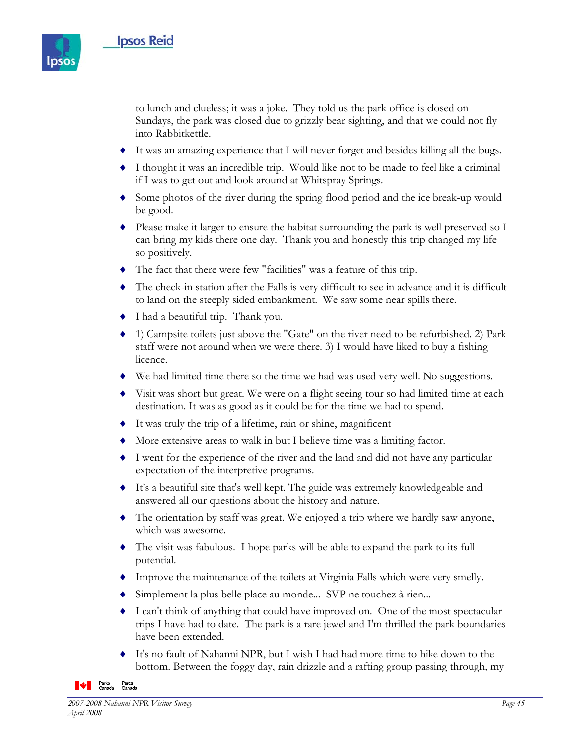

to lunch and clueless; it was a joke. They told us the park office is closed on Sundays, the park was closed due to grizzly bear sighting, and that we could not fly into Rabbitkettle.

- ♦ It was an amazing experience that I will never forget and besides killing all the bugs.
- ♦ I thought it was an incredible trip. Would like not to be made to feel like a criminal if I was to get out and look around at Whitspray Springs.
- ♦ Some photos of the river during the spring flood period and the ice break-up would be good.
- ♦ Please make it larger to ensure the habitat surrounding the park is well preserved so I can bring my kids there one day. Thank you and honestly this trip changed my life so positively.
- ♦ The fact that there were few "facilities" was a feature of this trip.
- ♦ The check-in station after the Falls is very difficult to see in advance and it is difficult to land on the steeply sided embankment. We saw some near spills there.
- ♦ I had a beautiful trip. Thank you.
- ♦ 1) Campsite toilets just above the "Gate" on the river need to be refurbished. 2) Park staff were not around when we were there. 3) I would have liked to buy a fishing licence.
- ♦ We had limited time there so the time we had was used very well. No suggestions.
- ♦ Visit was short but great. We were on a flight seeing tour so had limited time at each destination. It was as good as it could be for the time we had to spend.
- ♦ It was truly the trip of a lifetime, rain or shine, magnificent
- ♦ More extensive areas to walk in but I believe time was a limiting factor.
- ♦ I went for the experience of the river and the land and did not have any particular expectation of the interpretive programs.
- ♦ It's a beautiful site that's well kept. The guide was extremely knowledgeable and answered all our questions about the history and nature.
- ♦ The orientation by staff was great. We enjoyed a trip where we hardly saw anyone, which was awesome.
- ♦ The visit was fabulous. I hope parks will be able to expand the park to its full potential.
- ♦ Improve the maintenance of the toilets at Virginia Falls which were very smelly.
- ♦ Simplement la plus belle place au monde... SVP ne touchez à rien...
- ♦ I can't think of anything that could have improved on. One of the most spectacular trips I have had to date. The park is a rare jewel and I'm thrilled the park boundaries have been extended.
- ♦ It's no fault of Nahanni NPR, but I wish I had had more time to hike down to the bottom. Between the foggy day, rain drizzle and a rafting group passing through, my

**A** Parks Parcs<br>Canada Canada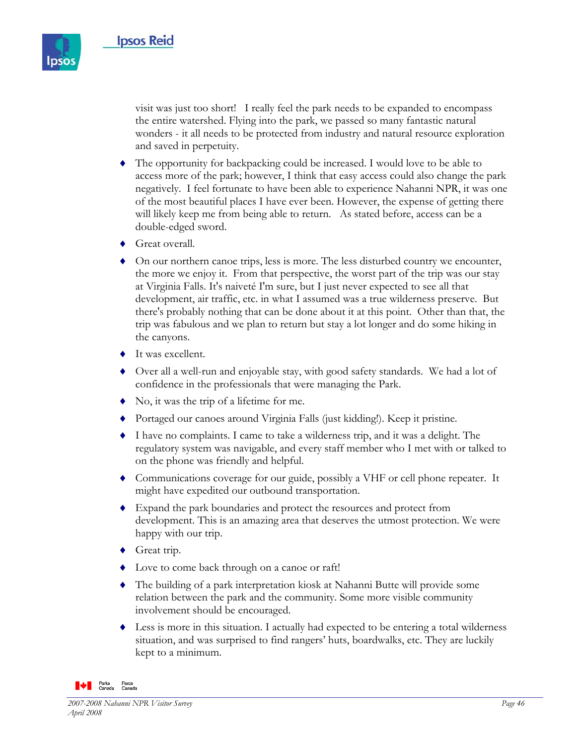

visit was just too short! I really feel the park needs to be expanded to encompass the entire watershed. Flying into the park, we passed so many fantastic natural wonders - it all needs to be protected from industry and natural resource exploration and saved in perpetuity.

- ♦ The opportunity for backpacking could be increased. I would love to be able to access more of the park; however, I think that easy access could also change the park negatively. I feel fortunate to have been able to experience Nahanni NPR, it was one of the most beautiful places I have ever been. However, the expense of getting there will likely keep me from being able to return. As stated before, access can be a double-edged sword.
- ♦ Great overall.
- ♦ On our northern canoe trips, less is more. The less disturbed country we encounter, the more we enjoy it. From that perspective, the worst part of the trip was our stay at Virginia Falls. It's naiveté I'm sure, but I just never expected to see all that development, air traffic, etc. in what I assumed was a true wilderness preserve. But there's probably nothing that can be done about it at this point. Other than that, the trip was fabulous and we plan to return but stay a lot longer and do some hiking in the canyons.
- ♦ It was excellent.
- ♦ Over all a well-run and enjoyable stay, with good safety standards. We had a lot of confidence in the professionals that were managing the Park.
- No, it was the trip of a lifetime for me.
- ♦ Portaged our canoes around Virginia Falls (just kidding!). Keep it pristine.
- ♦ I have no complaints. I came to take a wilderness trip, and it was a delight. The regulatory system was navigable, and every staff member who I met with or talked to on the phone was friendly and helpful.
- ♦ Communications coverage for our guide, possibly a VHF or cell phone repeater. It might have expedited our outbound transportation.
- ♦ Expand the park boundaries and protect the resources and protect from development. This is an amazing area that deserves the utmost protection. We were happy with our trip.
- ◆ Great trip.
- ♦ Love to come back through on a canoe or raft!
- ♦ The building of a park interpretation kiosk at Nahanni Butte will provide some relation between the park and the community. Some more visible community involvement should be encouraged.
- Less is more in this situation. I actually had expected to be entering a total wilderness situation, and was surprised to find rangers' huts, boardwalks, etc. They are luckily kept to a minimum.

**WE Parks** Parcs<br>Canada Canada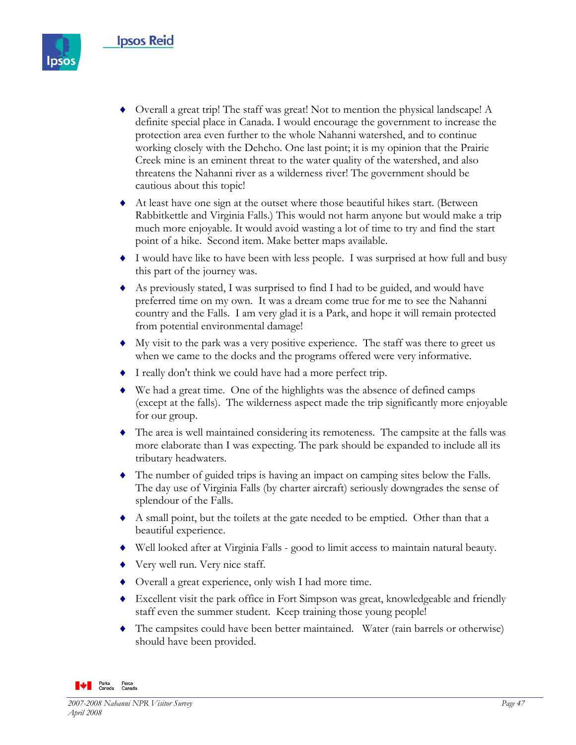

- ♦ Overall a great trip! The staff was great! Not to mention the physical landscape! A definite special place in Canada. I would encourage the government to increase the protection area even further to the whole Nahanni watershed, and to continue working closely with the Dehcho. One last point; it is my opinion that the Prairie Creek mine is an eminent threat to the water quality of the watershed, and also threatens the Nahanni river as a wilderness river! The government should be cautious about this topic!
- ♦ At least have one sign at the outset where those beautiful hikes start. (Between Rabbitkettle and Virginia Falls.) This would not harm anyone but would make a trip much more enjoyable. It would avoid wasting a lot of time to try and find the start point of a hike. Second item. Make better maps available.
- ♦ I would have like to have been with less people. I was surprised at how full and busy this part of the journey was.
- ♦ As previously stated, I was surprised to find I had to be guided, and would have preferred time on my own. It was a dream come true for me to see the Nahanni country and the Falls. I am very glad it is a Park, and hope it will remain protected from potential environmental damage!
- ♦ My visit to the park was a very positive experience. The staff was there to greet us when we came to the docks and the programs offered were very informative.
- ♦ I really don't think we could have had a more perfect trip.
- ♦ We had a great time. One of the highlights was the absence of defined camps (except at the falls). The wilderness aspect made the trip significantly more enjoyable for our group.
- ♦ The area is well maintained considering its remoteness. The campsite at the falls was more elaborate than I was expecting. The park should be expanded to include all its tributary headwaters.
- ♦ The number of guided trips is having an impact on camping sites below the Falls. The day use of Virginia Falls (by charter aircraft) seriously downgrades the sense of splendour of the Falls.
- ♦ A small point, but the toilets at the gate needed to be emptied. Other than that a beautiful experience.
- ♦ Well looked after at Virginia Falls good to limit access to maintain natural beauty.
- ♦ Very well run. Very nice staff.
- ♦ Overall a great experience, only wish I had more time.
- ♦ Excellent visit the park office in Fort Simpson was great, knowledgeable and friendly staff even the summer student. Keep training those young people!
- The campsites could have been better maintained. Water (rain barrels or otherwise) should have been provided.

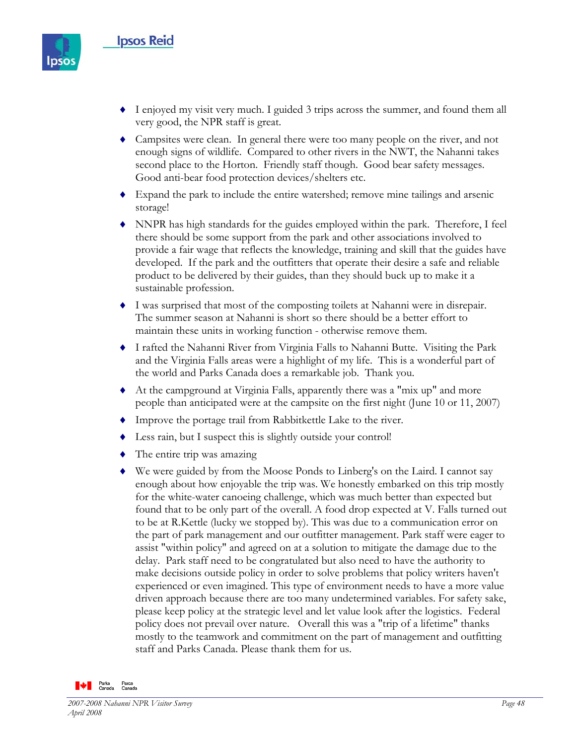

- ♦ I enjoyed my visit very much. I guided 3 trips across the summer, and found them all very good, the NPR staff is great.
- ♦ Campsites were clean. In general there were too many people on the river, and not enough signs of wildlife. Compared to other rivers in the NWT, the Nahanni takes second place to the Horton. Friendly staff though. Good bear safety messages. Good anti-bear food protection devices/shelters etc.
- ♦ Expand the park to include the entire watershed; remove mine tailings and arsenic storage!
- ♦ NNPR has high standards for the guides employed within the park. Therefore, I feel there should be some support from the park and other associations involved to provide a fair wage that reflects the knowledge, training and skill that the guides have developed. If the park and the outfitters that operate their desire a safe and reliable product to be delivered by their guides, than they should buck up to make it a sustainable profession.
- ♦ I was surprised that most of the composting toilets at Nahanni were in disrepair. The summer season at Nahanni is short so there should be a better effort to maintain these units in working function - otherwise remove them.
- ♦ I rafted the Nahanni River from Virginia Falls to Nahanni Butte. Visiting the Park and the Virginia Falls areas were a highlight of my life. This is a wonderful part of the world and Parks Canada does a remarkable job. Thank you.
- ♦ At the campground at Virginia Falls, apparently there was a "mix up" and more people than anticipated were at the campsite on the first night (June 10 or 11, 2007)
- ♦ Improve the portage trail from Rabbitkettle Lake to the river.
- ♦ Less rain, but I suspect this is slightly outside your control!
- ♦ The entire trip was amazing
- ♦ We were guided by from the Moose Ponds to Linberg's on the Laird. I cannot say enough about how enjoyable the trip was. We honestly embarked on this trip mostly for the white-water canoeing challenge, which was much better than expected but found that to be only part of the overall. A food drop expected at V. Falls turned out to be at R.Kettle (lucky we stopped by). This was due to a communication error on the part of park management and our outfitter management. Park staff were eager to assist "within policy" and agreed on at a solution to mitigate the damage due to the delay. Park staff need to be congratulated but also need to have the authority to make decisions outside policy in order to solve problems that policy writers haven't experienced or even imagined. This type of environment needs to have a more value driven approach because there are too many undetermined variables. For safety sake, please keep policy at the strategic level and let value look after the logistics. Federal policy does not prevail over nature. Overall this was a "trip of a lifetime" thanks mostly to the teamwork and commitment on the part of management and outfitting staff and Parks Canada. Please thank them for us.

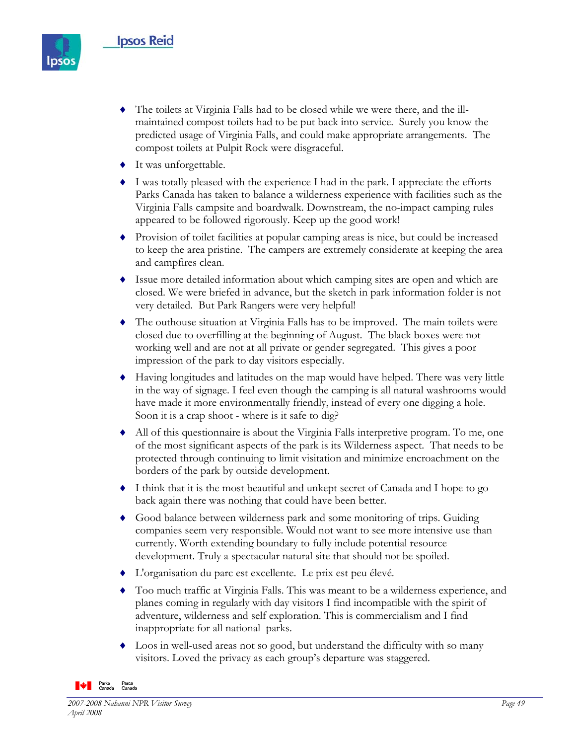

- The toilets at Virginia Falls had to be closed while we were there, and the illmaintained compost toilets had to be put back into service. Surely you know the predicted usage of Virginia Falls, and could make appropriate arrangements. The compost toilets at Pulpit Rock were disgraceful.
- ♦ It was unforgettable.
- ♦ I was totally pleased with the experience I had in the park. I appreciate the efforts Parks Canada has taken to balance a wilderness experience with facilities such as the Virginia Falls campsite and boardwalk. Downstream, the no-impact camping rules appeared to be followed rigorously. Keep up the good work!
- ♦ Provision of toilet facilities at popular camping areas is nice, but could be increased to keep the area pristine. The campers are extremely considerate at keeping the area and campfires clean.
- ♦ Issue more detailed information about which camping sites are open and which are closed. We were briefed in advance, but the sketch in park information folder is not very detailed. But Park Rangers were very helpful!
- ♦ The outhouse situation at Virginia Falls has to be improved. The main toilets were closed due to overfilling at the beginning of August. The black boxes were not working well and are not at all private or gender segregated. This gives a poor impression of the park to day visitors especially.
- ♦ Having longitudes and latitudes on the map would have helped. There was very little in the way of signage. I feel even though the camping is all natural washrooms would have made it more environmentally friendly, instead of every one digging a hole. Soon it is a crap shoot - where is it safe to dig?
- ♦ All of this questionnaire is about the Virginia Falls interpretive program. To me, one of the most significant aspects of the park is its Wilderness aspect. That needs to be protected through continuing to limit visitation and minimize encroachment on the borders of the park by outside development.
- ♦ I think that it is the most beautiful and unkept secret of Canada and I hope to go back again there was nothing that could have been better.
- ♦ Good balance between wilderness park and some monitoring of trips. Guiding companies seem very responsible. Would not want to see more intensive use than currently. Worth extending boundary to fully include potential resource development. Truly a spectacular natural site that should not be spoiled.
- ♦ L'organisation du parc est excellente. Le prix est peu élevé.
- ♦ Too much traffic at Virginia Falls. This was meant to be a wilderness experience, and planes coming in regularly with day visitors I find incompatible with the spirit of adventure, wilderness and self exploration. This is commercialism and I find inappropriate for all national parks.
- ♦ Loos in well-used areas not so good, but understand the difficulty with so many visitors. Loved the privacy as each group's departure was staggered.

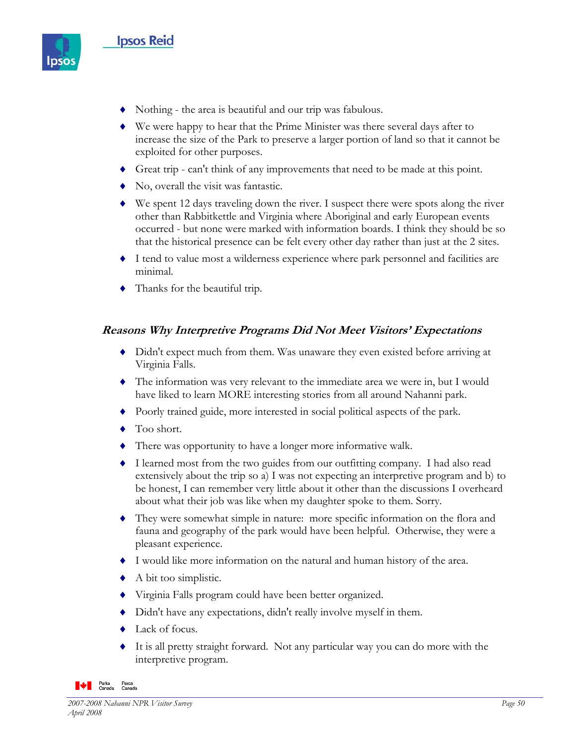

- ♦ Nothing the area is beautiful and our trip was fabulous.
- ♦ We were happy to hear that the Prime Minister was there several days after to increase the size of the Park to preserve a larger portion of land so that it cannot be exploited for other purposes.
- ♦ Great trip can't think of any improvements that need to be made at this point.
- ♦ No, overall the visit was fantastic.
- ♦ We spent 12 days traveling down the river. I suspect there were spots along the river other than Rabbitkettle and Virginia where Aboriginal and early European events occurred - but none were marked with information boards. I think they should be so that the historical presence can be felt every other day rather than just at the 2 sites.
- ♦ I tend to value most a wilderness experience where park personnel and facilities are minimal.
- ♦ Thanks for the beautiful trip.

#### **Reasons Why Interpretive Programs Did Not Meet Visitors' Expectations**

- ♦ Didn't expect much from them. Was unaware they even existed before arriving at Virginia Falls.
- ♦ The information was very relevant to the immediate area we were in, but I would have liked to learn MORE interesting stories from all around Nahanni park.
- ♦ Poorly trained guide, more interested in social political aspects of the park.
- ◆ Too short.
- ♦ There was opportunity to have a longer more informative walk.
- ♦ I learned most from the two guides from our outfitting company. I had also read extensively about the trip so a) I was not expecting an interpretive program and b) to be honest, I can remember very little about it other than the discussions I overheard about what their job was like when my daughter spoke to them. Sorry.
- ♦ They were somewhat simple in nature: more specific information on the flora and fauna and geography of the park would have been helpful. Otherwise, they were a pleasant experience.
- ♦ I would like more information on the natural and human history of the area.
- $\blacklozenge$  A bit too simplistic.
- ♦ Virginia Falls program could have been better organized.
- ♦ Didn't have any expectations, didn't really involve myself in them.
- ♦ Lack of focus.
- It is all pretty straight forward. Not any particular way you can do more with the interpretive program.

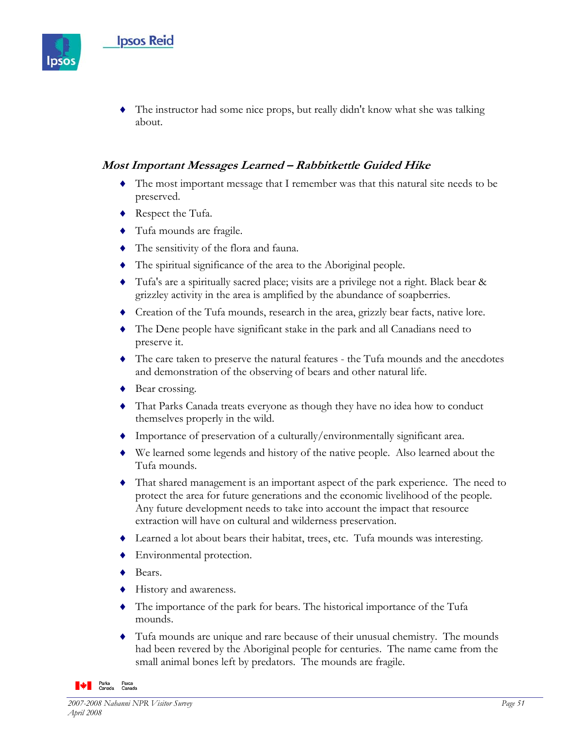

The instructor had some nice props, but really didn't know what she was talking about.

### **Most Important Messages Learned – Rabbitkettle Guided Hike**

- ♦ The most important message that I remember was that this natural site needs to be preserved.
- ♦ Respect the Tufa.
- ♦ Tufa mounds are fragile.
- ♦ The sensitivity of the flora and fauna.
- ♦ The spiritual significance of the area to the Aboriginal people.
- ♦ Tufa's are a spiritually sacred place; visits are a privilege not a right. Black bear & grizzley activity in the area is amplified by the abundance of soapberries.
- ♦ Creation of the Tufa mounds, research in the area, grizzly bear facts, native lore.
- ♦ The Dene people have significant stake in the park and all Canadians need to preserve it.
- ♦ The care taken to preserve the natural features the Tufa mounds and the anecdotes and demonstration of the observing of bears and other natural life.
- ♦ Bear crossing.
- ♦ That Parks Canada treats everyone as though they have no idea how to conduct themselves properly in the wild.
- ♦ Importance of preservation of a culturally/environmentally significant area.
- ♦ We learned some legends and history of the native people. Also learned about the Tufa mounds.
- ♦ That shared management is an important aspect of the park experience. The need to protect the area for future generations and the economic livelihood of the people. Any future development needs to take into account the impact that resource extraction will have on cultural and wilderness preservation.
- ♦ Learned a lot about bears their habitat, trees, etc. Tufa mounds was interesting.
- ♦ Environmental protection.
- ♦ Bears.
- ♦ History and awareness.
- ♦ The importance of the park for bears. The historical importance of the Tufa mounds.
- ♦ Tufa mounds are unique and rare because of their unusual chemistry. The mounds had been revered by the Aboriginal people for centuries. The name came from the small animal bones left by predators. The mounds are fragile.

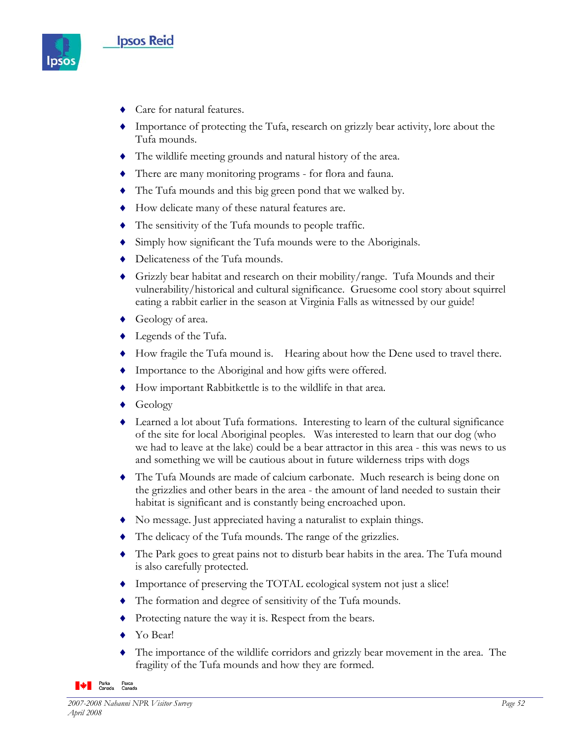

- ♦ Care for natural features.
- ♦ Importance of protecting the Tufa, research on grizzly bear activity, lore about the Tufa mounds.
- ♦ The wildlife meeting grounds and natural history of the area.
- ♦ There are many monitoring programs for flora and fauna.
- ♦ The Tufa mounds and this big green pond that we walked by.
- ♦ How delicate many of these natural features are.
- ♦ The sensitivity of the Tufa mounds to people traffic.
- ♦ Simply how significant the Tufa mounds were to the Aboriginals.
- ◆ Delicateness of the Tufa mounds.
- ♦ Grizzly bear habitat and research on their mobility/range. Tufa Mounds and their vulnerability/historical and cultural significance. Gruesome cool story about squirrel eating a rabbit earlier in the season at Virginia Falls as witnessed by our guide!
- ♦ Geology of area.
- ♦ Legends of the Tufa.
- ♦ How fragile the Tufa mound is. Hearing about how the Dene used to travel there.
- ♦ Importance to the Aboriginal and how gifts were offered.
- ♦ How important Rabbitkettle is to the wildlife in that area.
- ◆ Geology
- ♦ Learned a lot about Tufa formations. Interesting to learn of the cultural significance of the site for local Aboriginal peoples. Was interested to learn that our dog (who we had to leave at the lake) could be a bear attractor in this area - this was news to us and something we will be cautious about in future wilderness trips with dogs
- ♦ The Tufa Mounds are made of calcium carbonate. Much research is being done on the grizzlies and other bears in the area - the amount of land needed to sustain their habitat is significant and is constantly being encroached upon.
- ♦ No message. Just appreciated having a naturalist to explain things.
- ♦ The delicacy of the Tufa mounds. The range of the grizzlies.
- ♦ The Park goes to great pains not to disturb bear habits in the area. The Tufa mound is also carefully protected.
- ♦ Importance of preserving the TOTAL ecological system not just a slice!
- ♦ The formation and degree of sensitivity of the Tufa mounds.
- ♦ Protecting nature the way it is. Respect from the bears.
- ♦ Yo Bear!
- The importance of the wildlife corridors and grizzly bear movement in the area. The fragility of the Tufa mounds and how they are formed.

**Parks** Parcs<br>Canada Canada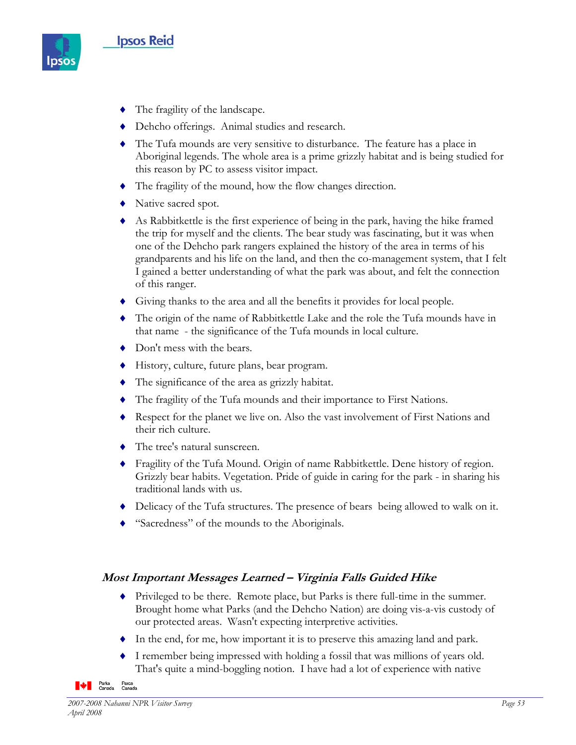

- ♦ The fragility of the landscape.
- ♦ Dehcho offerings. Animal studies and research.
- ♦ The Tufa mounds are very sensitive to disturbance. The feature has a place in Aboriginal legends. The whole area is a prime grizzly habitat and is being studied for this reason by PC to assess visitor impact.
- ♦ The fragility of the mound, how the flow changes direction.
- ♦ Native sacred spot.
- ♦ As Rabbitkettle is the first experience of being in the park, having the hike framed the trip for myself and the clients. The bear study was fascinating, but it was when one of the Dehcho park rangers explained the history of the area in terms of his grandparents and his life on the land, and then the co-management system, that I felt I gained a better understanding of what the park was about, and felt the connection of this ranger.
- ♦ Giving thanks to the area and all the benefits it provides for local people.
- ♦ The origin of the name of Rabbitkettle Lake and the role the Tufa mounds have in that name - the significance of the Tufa mounds in local culture.
- ♦ Don't mess with the bears.
- ♦ History, culture, future plans, bear program.
- ♦ The significance of the area as grizzly habitat.
- ♦ The fragility of the Tufa mounds and their importance to First Nations.
- ♦ Respect for the planet we live on. Also the vast involvement of First Nations and their rich culture.
- ♦ The tree's natural sunscreen.
- ♦ Fragility of the Tufa Mound. Origin of name Rabbitkettle. Dene history of region. Grizzly bear habits. Vegetation. Pride of guide in caring for the park - in sharing his traditional lands with us.
- ♦ Delicacy of the Tufa structures. The presence of bears being allowed to walk on it.
- "Sacredness" of the mounds to the Aboriginals.

#### **Most Important Messages Learned – Virginia Falls Guided Hike**

- ♦ Privileged to be there. Remote place, but Parks is there full-time in the summer. Brought home what Parks (and the Dehcho Nation) are doing vis-a-vis custody of our protected areas. Wasn't expecting interpretive activities.
- ♦ In the end, for me, how important it is to preserve this amazing land and park.
- ♦ I remember being impressed with holding a fossil that was millions of years old. That's quite a mind-boggling notion. I have had a lot of experience with native

**Parks** Parcs<br>Canada Canada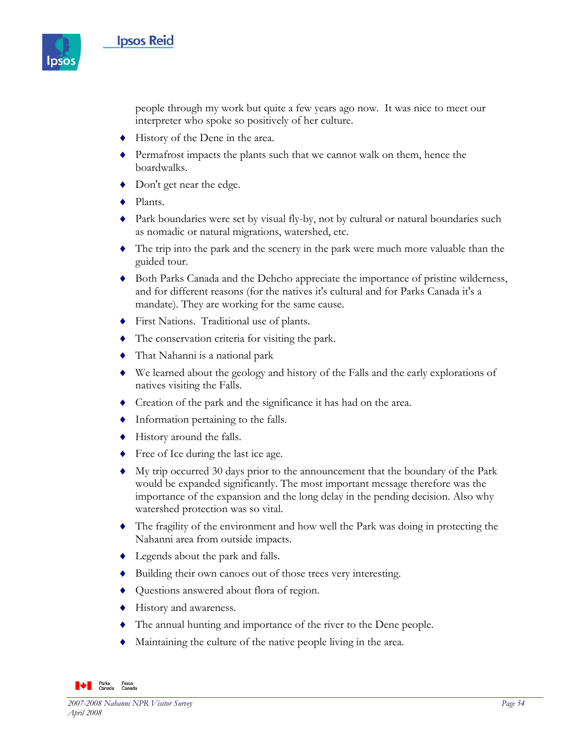

people through my work but quite a few years ago now. It was nice to meet our interpreter who spoke so positively of her culture.

- ♦ History of the Dene in the area.
- ♦ Permafrost impacts the plants such that we cannot walk on them, hence the boardwalks.
- ♦ Don't get near the edge.
- ♦ Plants.
- ♦ Park boundaries were set by visual fly-by, not by cultural or natural boundaries such as nomadic or natural migrations, watershed, etc.
- ♦ The trip into the park and the scenery in the park were much more valuable than the guided tour.
- ♦ Both Parks Canada and the Dehcho appreciate the importance of pristine wilderness, and for different reasons (for the natives it's cultural and for Parks Canada it's a mandate). They are working for the same cause.
- ♦ First Nations. Traditional use of plants.
- ♦ The conservation criteria for visiting the park.
- ♦ That Nahanni is a national park
- ♦ We learned about the geology and history of the Falls and the early explorations of natives visiting the Falls.
- ♦ Creation of the park and the significance it has had on the area.
- ♦ Information pertaining to the falls.
- ♦ History around the falls.
- ◆ Free of Ice during the last ice age.
- ♦ My trip occurred 30 days prior to the announcement that the boundary of the Park would be expanded significantly. The most important message therefore was the importance of the expansion and the long delay in the pending decision. Also why watershed protection was so vital.
- ♦ The fragility of the environment and how well the Park was doing in protecting the Nahanni area from outside impacts.
- ♦ Legends about the park and falls.
- ♦ Building their own canoes out of those trees very interesting.
- ♦ Questions answered about flora of region.
- ♦ History and awareness.
- ♦ The annual hunting and importance of the river to the Dene people.
- ♦ Maintaining the culture of the native people living in the area.

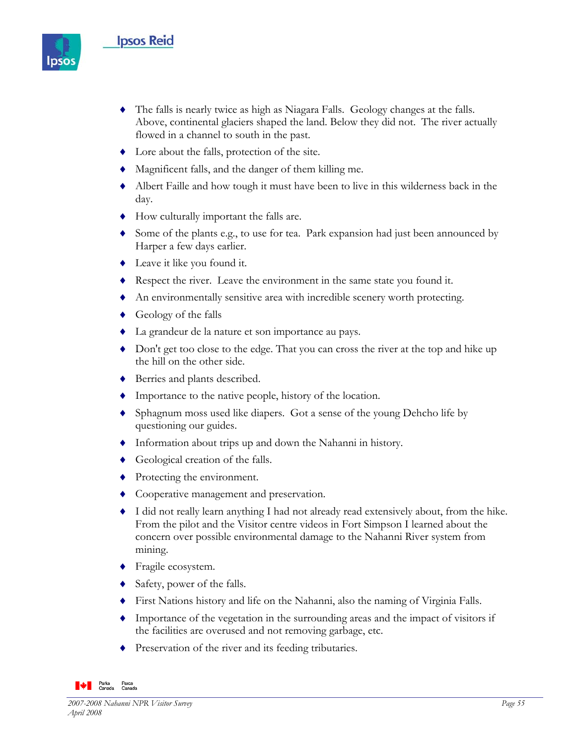# **Ipsos Reid**



- ♦ The falls is nearly twice as high as Niagara Falls. Geology changes at the falls. Above, continental glaciers shaped the land. Below they did not. The river actually flowed in a channel to south in the past.
- ♦ Lore about the falls, protection of the site.
- ♦ Magnificent falls, and the danger of them killing me.
- ♦ Albert Faille and how tough it must have been to live in this wilderness back in the day.
- ♦ How culturally important the falls are.
- ♦ Some of the plants e.g., to use for tea. Park expansion had just been announced by Harper a few days earlier.
- ♦ Leave it like you found it.
- ♦ Respect the river. Leave the environment in the same state you found it.
- ♦ An environmentally sensitive area with incredible scenery worth protecting.
- $\leftrightarrow$  Geology of the falls
- ♦ La grandeur de la nature et son importance au pays.
- ♦ Don't get too close to the edge. That you can cross the river at the top and hike up the hill on the other side.
- ♦ Berries and plants described.
- ♦ Importance to the native people, history of the location.
- ♦ Sphagnum moss used like diapers. Got a sense of the young Dehcho life by questioning our guides.
- ♦ Information about trips up and down the Nahanni in history.
- ♦ Geological creation of the falls.
- ◆ Protecting the environment.
- ♦ Cooperative management and preservation.
- ♦ I did not really learn anything I had not already read extensively about, from the hike. From the pilot and the Visitor centre videos in Fort Simpson I learned about the concern over possible environmental damage to the Nahanni River system from mining.
- ♦ Fragile ecosystem.
- ♦ Safety, power of the falls.
- ♦ First Nations history and life on the Nahanni, also the naming of Virginia Falls.
- ♦ Importance of the vegetation in the surrounding areas and the impact of visitors if the facilities are overused and not removing garbage, etc.
- ♦ Preservation of the river and its feeding tributaries.

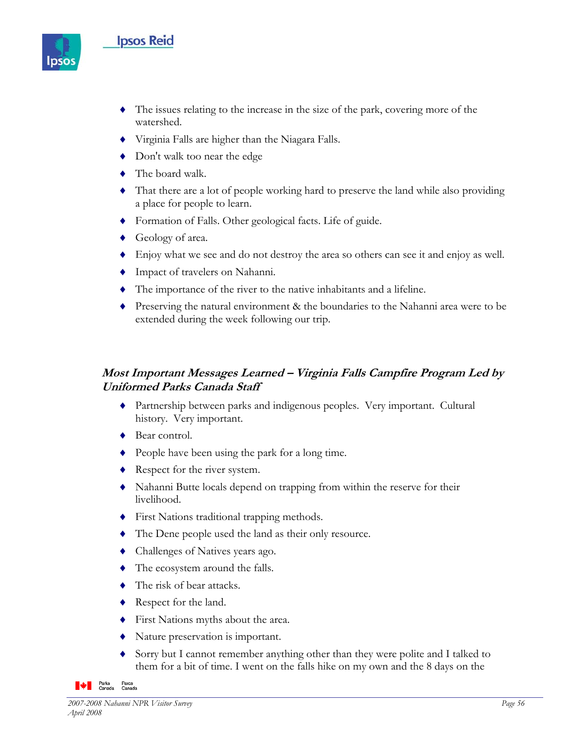# **Ipsos Reid**



- ♦ The issues relating to the increase in the size of the park, covering more of the watershed.
- ♦ Virginia Falls are higher than the Niagara Falls.
- ◆ Don't walk too near the edge
- ♦ The board walk.
- ♦ That there are a lot of people working hard to preserve the land while also providing a place for people to learn.
- ♦ Formation of Falls. Other geological facts. Life of guide.
- ♦ Geology of area.
- ♦ Enjoy what we see and do not destroy the area so others can see it and enjoy as well.
- ♦ Impact of travelers on Nahanni.
- ♦ The importance of the river to the native inhabitants and a lifeline.
- ♦ Preserving the natural environment & the boundaries to the Nahanni area were to be extended during the week following our trip.

# **Most Important Messages Learned – Virginia Falls Campfire Program Led by Uniformed Parks Canada Staff**

- ♦ Partnership between parks and indigenous peoples. Very important. Cultural history. Very important.
- ♦ Bear control.
- ♦ People have been using the park for a long time.
- ♦ Respect for the river system.
- ♦ Nahanni Butte locals depend on trapping from within the reserve for their livelihood.
- ♦ First Nations traditional trapping methods.
- ♦ The Dene people used the land as their only resource.
- ♦ Challenges of Natives years ago.
- ♦ The ecosystem around the falls.
- ♦ The risk of bear attacks.
- ♦ Respect for the land.
- ♦ First Nations myths about the area.
- ♦ Nature preservation is important.
- ♦ Sorry but I cannot remember anything other than they were polite and I talked to them for a bit of time. I went on the falls hike on my own and the 8 days on the

**Parks** Parcs<br>Canada Canada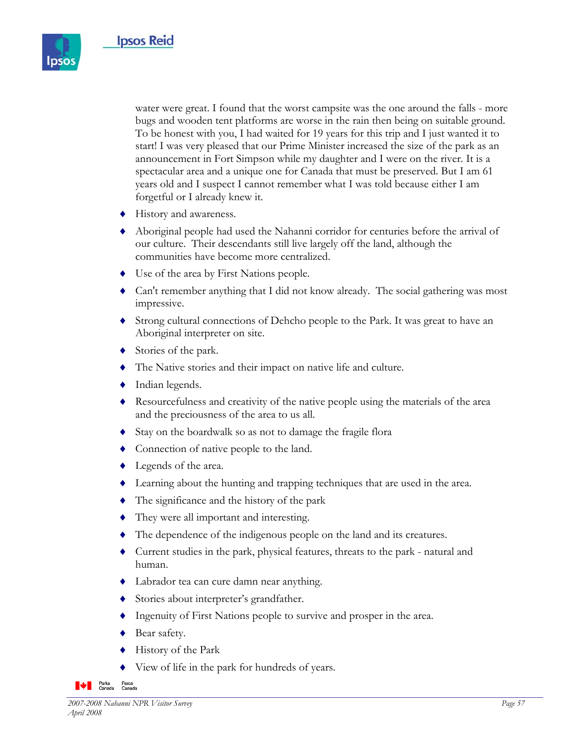

water were great. I found that the worst campsite was the one around the falls - more bugs and wooden tent platforms are worse in the rain then being on suitable ground. To be honest with you, I had waited for 19 years for this trip and I just wanted it to start! I was very pleased that our Prime Minister increased the size of the park as an announcement in Fort Simpson while my daughter and I were on the river. It is a spectacular area and a unique one for Canada that must be preserved. But I am 61 years old and I suspect I cannot remember what I was told because either I am forgetful or I already knew it.

- ♦ History and awareness.
- ♦ Aboriginal people had used the Nahanni corridor for centuries before the arrival of our culture. Their descendants still live largely off the land, although the communities have become more centralized.
- ♦ Use of the area by First Nations people.
- ♦ Can't remember anything that I did not know already. The social gathering was most impressive.
- ♦ Strong cultural connections of Dehcho people to the Park. It was great to have an Aboriginal interpreter on site.
- ♦ Stories of the park.
- ♦ The Native stories and their impact on native life and culture.
- $\blacklozenge$  Indian legends.
- ♦ Resourcefulness and creativity of the native people using the materials of the area and the preciousness of the area to us all.
- ♦ Stay on the boardwalk so as not to damage the fragile flora
- ♦ Connection of native people to the land.
- $\blacklozenge$  Legends of the area.
- ♦ Learning about the hunting and trapping techniques that are used in the area.
- ♦ The significance and the history of the park
- ♦ They were all important and interesting.
- ♦ The dependence of the indigenous people on the land and its creatures.
- ♦ Current studies in the park, physical features, threats to the park natural and human.
- ♦ Labrador tea can cure damn near anything.
- ♦ Stories about interpreter's grandfather.
- ♦ Ingenuity of First Nations people to survive and prosper in the area.
- ◆ Bear safety.
- History of the Park
- View of life in the park for hundreds of years.

**WE Parks** Parcs<br>Canada Canada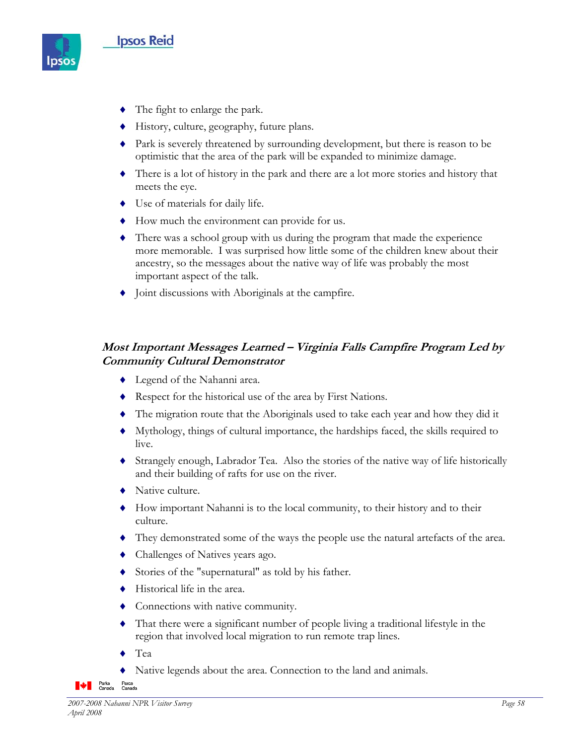

- ♦ The fight to enlarge the park.
- ♦ History, culture, geography, future plans.
- ♦ Park is severely threatened by surrounding development, but there is reason to be optimistic that the area of the park will be expanded to minimize damage.
- ♦ There is a lot of history in the park and there are a lot more stories and history that meets the eye.
- ♦ Use of materials for daily life.
- ♦ How much the environment can provide for us.
- ♦ There was a school group with us during the program that made the experience more memorable. I was surprised how little some of the children knew about their ancestry, so the messages about the native way of life was probably the most important aspect of the talk.
- Joint discussions with Aboriginals at the campfire.

# **Most Important Messages Learned – Virginia Falls Campfire Program Led by Community Cultural Demonstrator**

- ♦ Legend of the Nahanni area.
- ♦ Respect for the historical use of the area by First Nations.
- ♦ The migration route that the Aboriginals used to take each year and how they did it
- ♦ Mythology, things of cultural importance, the hardships faced, the skills required to live.
- ♦ Strangely enough, Labrador Tea. Also the stories of the native way of life historically and their building of rafts for use on the river.
- ♦ Native culture.
- ♦ How important Nahanni is to the local community, to their history and to their culture.
- ♦ They demonstrated some of the ways the people use the natural artefacts of the area.
- ♦ Challenges of Natives years ago.
- ♦ Stories of the "supernatural" as told by his father.
- ♦ Historical life in the area.
- ♦ Connections with native community.
- ♦ That there were a significant number of people living a traditional lifestyle in the region that involved local migration to run remote trap lines.
- Tea
- Native legends about the area. Connection to the land and animals.

**Le Parks** Parcs<br>Canada Canada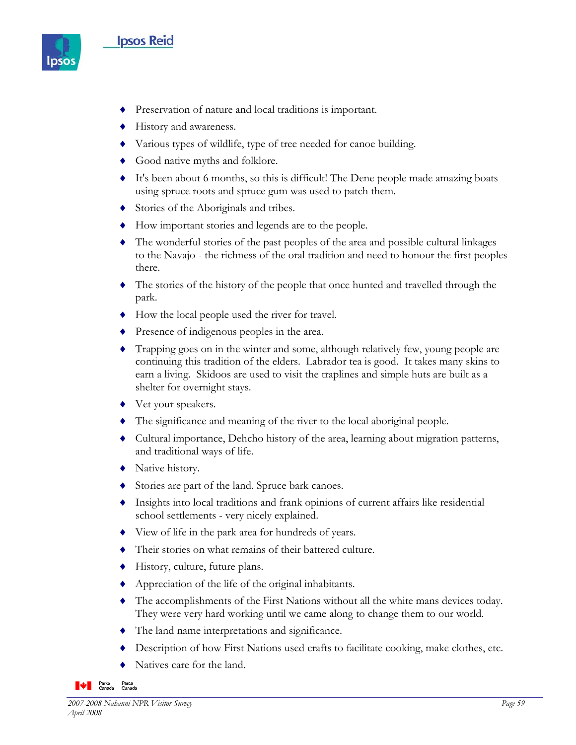## **Ipsos Reid**



- ♦ Preservation of nature and local traditions is important.
- ♦ History and awareness.
- ♦ Various types of wildlife, type of tree needed for canoe building.
- ♦ Good native myths and folklore.
- ♦ It's been about 6 months, so this is difficult! The Dene people made amazing boats using spruce roots and spruce gum was used to patch them.
- ♦ Stories of the Aboriginals and tribes.
- ♦ How important stories and legends are to the people.
- ♦ The wonderful stories of the past peoples of the area and possible cultural linkages to the Navajo - the richness of the oral tradition and need to honour the first peoples there.
- ♦ The stories of the history of the people that once hunted and travelled through the park.
- ♦ How the local people used the river for travel.
- ♦ Presence of indigenous peoples in the area.
- ♦ Trapping goes on in the winter and some, although relatively few, young people are continuing this tradition of the elders. Labrador tea is good. It takes many skins to earn a living. Skidoos are used to visit the traplines and simple huts are built as a shelter for overnight stays.
- ◆ Vet your speakers.
- ♦ The significance and meaning of the river to the local aboriginal people.
- ♦ Cultural importance, Dehcho history of the area, learning about migration patterns, and traditional ways of life.
- ♦ Native history.
- Stories are part of the land. Spruce bark canoes.
- ♦ Insights into local traditions and frank opinions of current affairs like residential school settlements - very nicely explained.
- ♦ View of life in the park area for hundreds of years.
- ♦ Their stories on what remains of their battered culture.
- ♦ History, culture, future plans.
- ♦ Appreciation of the life of the original inhabitants.
- ♦ The accomplishments of the First Nations without all the white mans devices today. They were very hard working until we came along to change them to our world.
- ♦ The land name interpretations and significance.
- Description of how First Nations used crafts to facilitate cooking, make clothes, etc.
- Natives care for the land.

**Parks** Parcs<br>Canada Canada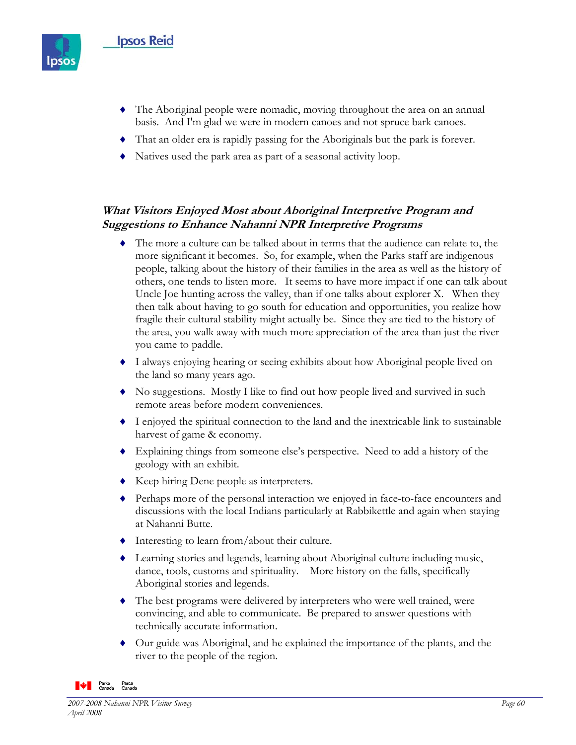

- ♦ The Aboriginal people were nomadic, moving throughout the area on an annual basis. And I'm glad we were in modern canoes and not spruce bark canoes.
- ♦ That an older era is rapidly passing for the Aboriginals but the park is forever.
- ♦ Natives used the park area as part of a seasonal activity loop.

## **What Visitors Enjoyed Most about Aboriginal Interpretive Program and Suggestions to Enhance Nahanni NPR Interpretive Programs**

- ♦ The more a culture can be talked about in terms that the audience can relate to, the more significant it becomes. So, for example, when the Parks staff are indigenous people, talking about the history of their families in the area as well as the history of others, one tends to listen more. It seems to have more impact if one can talk about Uncle Joe hunting across the valley, than if one talks about explorer X. When they then talk about having to go south for education and opportunities, you realize how fragile their cultural stability might actually be. Since they are tied to the history of the area, you walk away with much more appreciation of the area than just the river you came to paddle.
- ♦ I always enjoying hearing or seeing exhibits about how Aboriginal people lived on the land so many years ago.
- ♦ No suggestions. Mostly I like to find out how people lived and survived in such remote areas before modern conveniences.
- ♦ I enjoyed the spiritual connection to the land and the inextricable link to sustainable harvest of game & economy.
- ♦ Explaining things from someone else's perspective. Need to add a history of the geology with an exhibit.
- ♦ Keep hiring Dene people as interpreters.
- ♦ Perhaps more of the personal interaction we enjoyed in face-to-face encounters and discussions with the local Indians particularly at Rabbikettle and again when staying at Nahanni Butte.
- ♦ Interesting to learn from/about their culture.
- ♦ Learning stories and legends, learning about Aboriginal culture including music, dance, tools, customs and spirituality. More history on the falls, specifically Aboriginal stories and legends.
- ♦ The best programs were delivered by interpreters who were well trained, were convincing, and able to communicate. Be prepared to answer questions with technically accurate information.
- ♦ Our guide was Aboriginal, and he explained the importance of the plants, and the river to the people of the region.

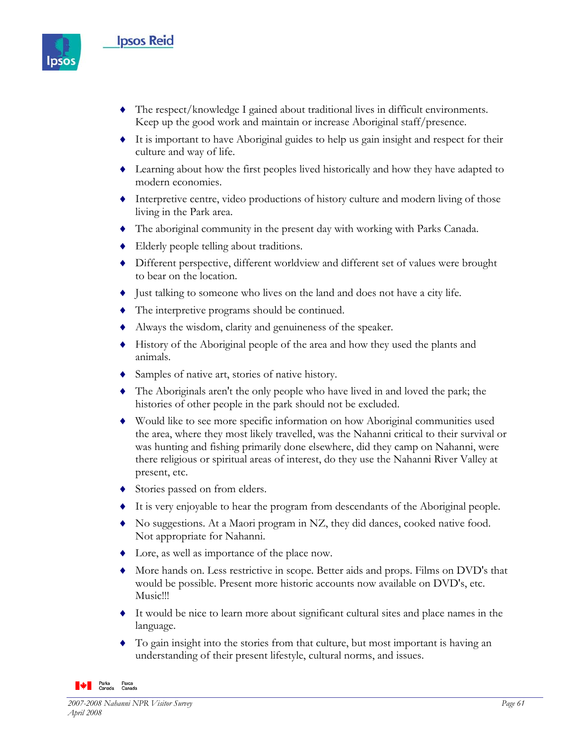## **Ipsos Reid**



- ♦ The respect/knowledge I gained about traditional lives in difficult environments. Keep up the good work and maintain or increase Aboriginal staff/presence.
- ♦ It is important to have Aboriginal guides to help us gain insight and respect for their culture and way of life.
- ♦ Learning about how the first peoples lived historically and how they have adapted to modern economies.
- ♦ Interpretive centre, video productions of history culture and modern living of those living in the Park area.
- ♦ The aboriginal community in the present day with working with Parks Canada.
- ♦ Elderly people telling about traditions.
- ♦ Different perspective, different worldview and different set of values were brought to bear on the location.
- ♦ Just talking to someone who lives on the land and does not have a city life.
- ♦ The interpretive programs should be continued.
- ♦ Always the wisdom, clarity and genuineness of the speaker.
- ♦ History of the Aboriginal people of the area and how they used the plants and animals.
- Samples of native art, stories of native history.
- ♦ The Aboriginals aren't the only people who have lived in and loved the park; the histories of other people in the park should not be excluded.
- ♦ Would like to see more specific information on how Aboriginal communities used the area, where they most likely travelled, was the Nahanni critical to their survival or was hunting and fishing primarily done elsewhere, did they camp on Nahanni, were there religious or spiritual areas of interest, do they use the Nahanni River Valley at present, etc.
- ◆ Stories passed on from elders.
- ♦ It is very enjoyable to hear the program from descendants of the Aboriginal people.
- ♦ No suggestions. At a Maori program in NZ, they did dances, cooked native food. Not appropriate for Nahanni.
- ♦ Lore, as well as importance of the place now.
- ♦ More hands on. Less restrictive in scope. Better aids and props. Films on DVD's that would be possible. Present more historic accounts now available on DVD's, etc. Music!!!
- ♦ It would be nice to learn more about significant cultural sites and place names in the language.
- ♦ To gain insight into the stories from that culture, but most important is having an understanding of their present lifestyle, cultural norms, and issues.

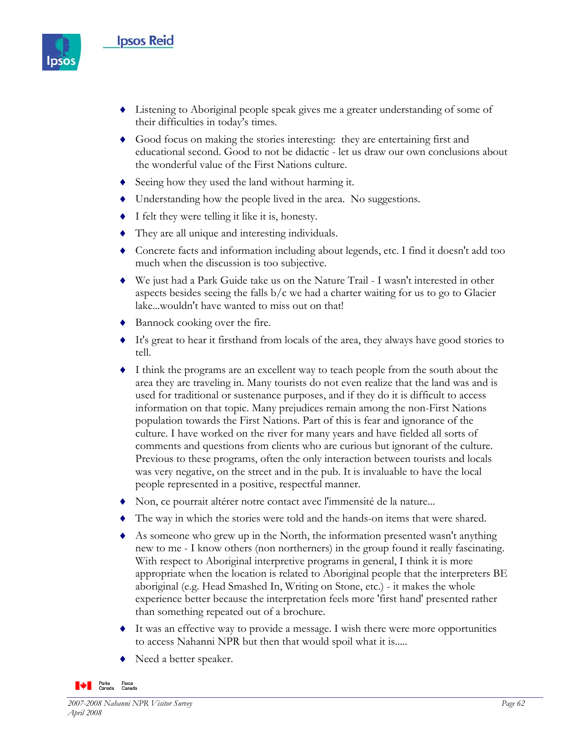

- ♦ Listening to Aboriginal people speak gives me a greater understanding of some of their difficulties in today's times.
- ♦ Good focus on making the stories interesting: they are entertaining first and educational second. Good to not be didactic - let us draw our own conclusions about the wonderful value of the First Nations culture.
- ♦ Seeing how they used the land without harming it.
- ♦ Understanding how the people lived in the area. No suggestions.
- ♦ I felt they were telling it like it is, honesty.
- ♦ They are all unique and interesting individuals.
- ♦ Concrete facts and information including about legends, etc. I find it doesn't add too much when the discussion is too subjective.
- ♦ We just had a Park Guide take us on the Nature Trail I wasn't interested in other aspects besides seeing the falls  $b/c$  we had a charter waiting for us to go to Glacier lake...wouldn't have wanted to miss out on that!
- ♦ Bannock cooking over the fire.
- ♦ It's great to hear it firsthand from locals of the area, they always have good stories to tell.
- ♦ I think the programs are an excellent way to teach people from the south about the area they are traveling in. Many tourists do not even realize that the land was and is used for traditional or sustenance purposes, and if they do it is difficult to access information on that topic. Many prejudices remain among the non-First Nations population towards the First Nations. Part of this is fear and ignorance of the culture. I have worked on the river for many years and have fielded all sorts of comments and questions from clients who are curious but ignorant of the culture. Previous to these programs, often the only interaction between tourists and locals was very negative, on the street and in the pub. It is invaluable to have the local people represented in a positive, respectful manner.
- ♦ Non, ce pourrait altérer notre contact avec l'immensité de la nature...
- ♦ The way in which the stories were told and the hands-on items that were shared.
- ♦ As someone who grew up in the North, the information presented wasn't anything new to me - I know others (non northerners) in the group found it really fascinating. With respect to Aboriginal interpretive programs in general, I think it is more appropriate when the location is related to Aboriginal people that the interpreters BE aboriginal (e.g. Head Smashed In, Writing on Stone, etc.) - it makes the whole experience better because the interpretation feels more 'first hand' presented rather than something repeated out of a brochure.
- ♦ It was an effective way to provide a message. I wish there were more opportunities to access Nahanni NPR but then that would spoil what it is.....
- ♦ Need a better speaker.

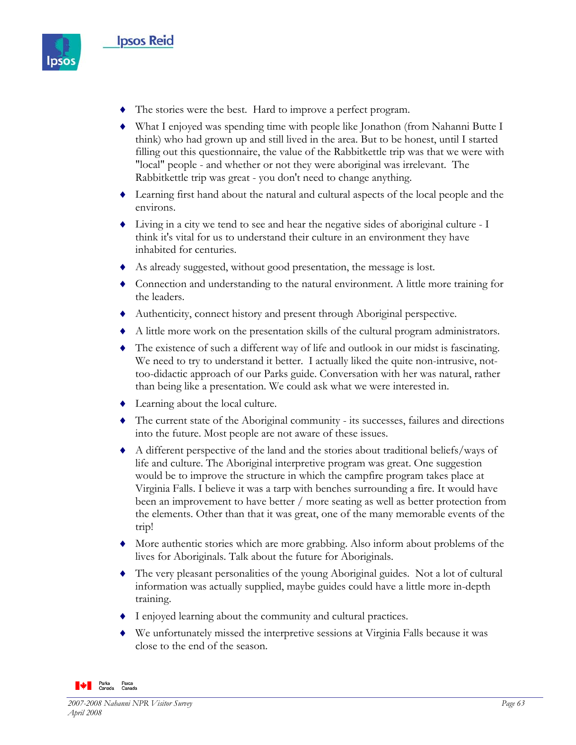

- ♦ The stories were the best. Hard to improve a perfect program.
- ♦ What I enjoyed was spending time with people like Jonathon (from Nahanni Butte I think) who had grown up and still lived in the area. But to be honest, until I started filling out this questionnaire, the value of the Rabbitkettle trip was that we were with "local" people - and whether or not they were aboriginal was irrelevant. The Rabbitkettle trip was great - you don't need to change anything.
- ♦ Learning first hand about the natural and cultural aspects of the local people and the environs.
- ♦ Living in a city we tend to see and hear the negative sides of aboriginal culture I think it's vital for us to understand their culture in an environment they have inhabited for centuries.
- ♦ As already suggested, without good presentation, the message is lost.
- ♦ Connection and understanding to the natural environment. A little more training for the leaders.
- ♦ Authenticity, connect history and present through Aboriginal perspective.
- ♦ A little more work on the presentation skills of the cultural program administrators.
- ♦ The existence of such a different way of life and outlook in our midst is fascinating. We need to try to understand it better. I actually liked the quite non-intrusive, nottoo-didactic approach of our Parks guide. Conversation with her was natural, rather than being like a presentation. We could ask what we were interested in.
- ♦ Learning about the local culture.
- ♦ The current state of the Aboriginal community its successes, failures and directions into the future. Most people are not aware of these issues.
- ♦ A different perspective of the land and the stories about traditional beliefs/ways of life and culture. The Aboriginal interpretive program was great. One suggestion would be to improve the structure in which the campfire program takes place at Virginia Falls. I believe it was a tarp with benches surrounding a fire. It would have been an improvement to have better / more seating as well as better protection from the elements. Other than that it was great, one of the many memorable events of the trip!
- ♦ More authentic stories which are more grabbing. Also inform about problems of the lives for Aboriginals. Talk about the future for Aboriginals.
- ♦ The very pleasant personalities of the young Aboriginal guides. Not a lot of cultural information was actually supplied, maybe guides could have a little more in-depth training.
- ♦ I enjoyed learning about the community and cultural practices.
- ♦ We unfortunately missed the interpretive sessions at Virginia Falls because it was close to the end of the season.

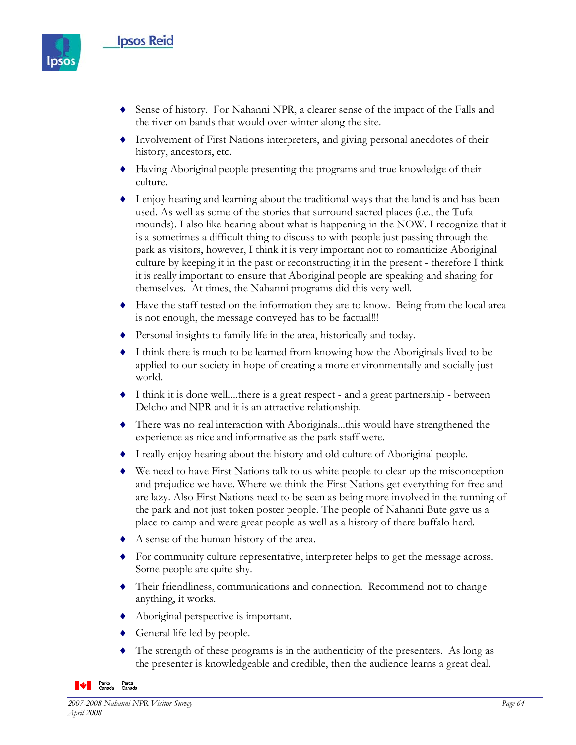

- ♦ Sense of history. For Nahanni NPR, a clearer sense of the impact of the Falls and the river on bands that would over-winter along the site.
- ♦ Involvement of First Nations interpreters, and giving personal anecdotes of their history, ancestors, etc.
- ♦ Having Aboriginal people presenting the programs and true knowledge of their culture.
- ♦ I enjoy hearing and learning about the traditional ways that the land is and has been used. As well as some of the stories that surround sacred places (i.e., the Tufa mounds). I also like hearing about what is happening in the NOW. I recognize that it is a sometimes a difficult thing to discuss to with people just passing through the park as visitors, however, I think it is very important not to romanticize Aboriginal culture by keeping it in the past or reconstructing it in the present - therefore I think it is really important to ensure that Aboriginal people are speaking and sharing for themselves. At times, the Nahanni programs did this very well.
- ♦ Have the staff tested on the information they are to know. Being from the local area is not enough, the message conveyed has to be factual!!!
- ♦ Personal insights to family life in the area, historically and today.
- ♦ I think there is much to be learned from knowing how the Aboriginals lived to be applied to our society in hope of creating a more environmentally and socially just world.
- ♦ I think it is done well....there is a great respect and a great partnership between Delcho and NPR and it is an attractive relationship.
- ♦ There was no real interaction with Aboriginals...this would have strengthened the experience as nice and informative as the park staff were.
- ♦ I really enjoy hearing about the history and old culture of Aboriginal people.
- ♦ We need to have First Nations talk to us white people to clear up the misconception and prejudice we have. Where we think the First Nations get everything for free and are lazy. Also First Nations need to be seen as being more involved in the running of the park and not just token poster people. The people of Nahanni Bute gave us a place to camp and were great people as well as a history of there buffalo herd.
- ♦ A sense of the human history of the area.
- ♦ For community culture representative, interpreter helps to get the message across. Some people are quite shy.
- ♦ Their friendliness, communications and connection. Recommend not to change anything, it works.
- ♦ Aboriginal perspective is important.
- $\triangleleft$  General life led by people.
- $\blacklozenge$  The strength of these programs is in the authenticity of the presenters. As long as the presenter is knowledgeable and credible, then the audience learns a great deal.

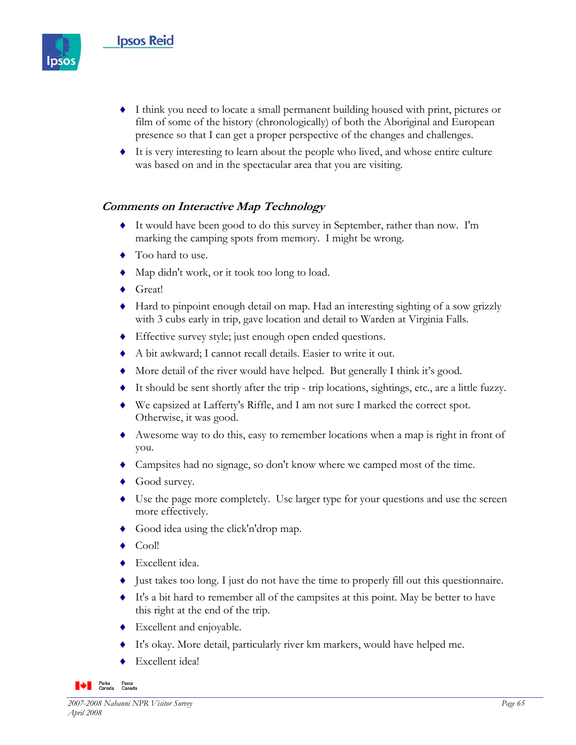

- ♦ I think you need to locate a small permanent building housed with print, pictures or film of some of the history (chronologically) of both the Aboriginal and European presence so that I can get a proper perspective of the changes and challenges.
- $\bullet$  It is very interesting to learn about the people who lived, and whose entire culture was based on and in the spectacular area that you are visiting.

### **Comments on Interactive Map Technology**

- ♦ It would have been good to do this survey in September, rather than now. I'm marking the camping spots from memory. I might be wrong.
- ◆ Too hard to use.
- ♦ Map didn't work, or it took too long to load.
- ♦ Great!
- ♦ Hard to pinpoint enough detail on map. Had an interesting sighting of a sow grizzly with 3 cubs early in trip, gave location and detail to Warden at Virginia Falls.
- ♦ Effective survey style; just enough open ended questions.
- ♦ A bit awkward; I cannot recall details. Easier to write it out.
- ♦ More detail of the river would have helped. But generally I think it's good.
- ♦ It should be sent shortly after the trip trip locations, sightings, etc., are a little fuzzy.
- ♦ We capsized at Lafferty's Riffle, and I am not sure I marked the correct spot. Otherwise, it was good.
- ♦ Awesome way to do this, easy to remember locations when a map is right in front of you.
- ♦ Campsites had no signage, so don't know where we camped most of the time.
- ◆ Good survey.
- ♦ Use the page more completely. Use larger type for your questions and use the screen more effectively.
- ♦ Good idea using the click'n'drop map.
- $\bullet$  Cool!
- ♦ Excellent idea.
- ♦ Just takes too long. I just do not have the time to properly fill out this questionnaire.
- ♦ It's a bit hard to remember all of the campsites at this point. May be better to have this right at the end of the trip.
- ♦ Excellent and enjoyable.
- ♦ It's okay. More detail, particularly river km markers, would have helped me.
- Excellent idea!

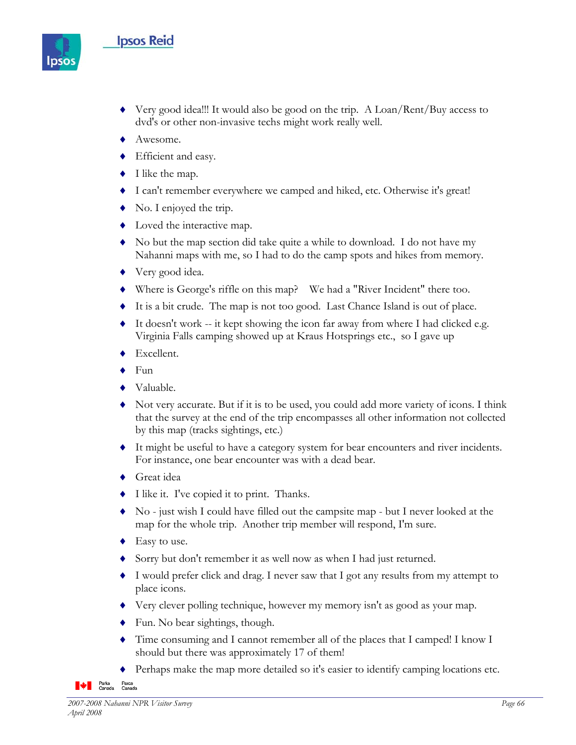## **Ipsos Reid**



- ♦ Very good idea!!! It would also be good on the trip. A Loan/Rent/Buy access to dvd's or other non-invasive techs might work really well.
- ◆ Awesome.
- ♦ Efficient and easy.
- $\blacklozenge$  I like the map.
- ♦ I can't remember everywhere we camped and hiked, etc. Otherwise it's great!
- $\blacklozenge$  No. I enjoyed the trip.
- Loved the interactive map.
- ♦ No but the map section did take quite a while to download. I do not have my Nahanni maps with me, so I had to do the camp spots and hikes from memory.
- ◆ Very good idea.
- ♦ Where is George's riffle on this map? We had a "River Incident" there too.
- ♦ It is a bit crude. The map is not too good. Last Chance Island is out of place.
- $\bullet$  It doesn't work -- it kept showing the icon far away from where I had clicked e.g. Virginia Falls camping showed up at Kraus Hotsprings etc., so I gave up
- ◆ Excellent.
- ♦ Fun
- ♦ Valuable.
- ♦ Not very accurate. But if it is to be used, you could add more variety of icons. I think that the survey at the end of the trip encompasses all other information not collected by this map (tracks sightings, etc.)
- ♦ It might be useful to have a category system for bear encounters and river incidents. For instance, one bear encounter was with a dead bear.
- ♦ Great idea
- ♦ I like it. I've copied it to print. Thanks.
- ♦ No just wish I could have filled out the campsite map but I never looked at the map for the whole trip. Another trip member will respond, I'm sure.
- ◆ Easy to use.
- ♦ Sorry but don't remember it as well now as when I had just returned.
- ♦ I would prefer click and drag. I never saw that I got any results from my attempt to place icons.
- ♦ Very clever polling technique, however my memory isn't as good as your map.
- $\blacklozenge$  Fun. No bear sightings, though.
- ♦ Time consuming and I cannot remember all of the places that I camped! I know I should but there was approximately 17 of them!
- Perhaps make the map more detailed so it's easier to identify camping locations etc.

**Parks**<br>Canada Parcs<br>Canada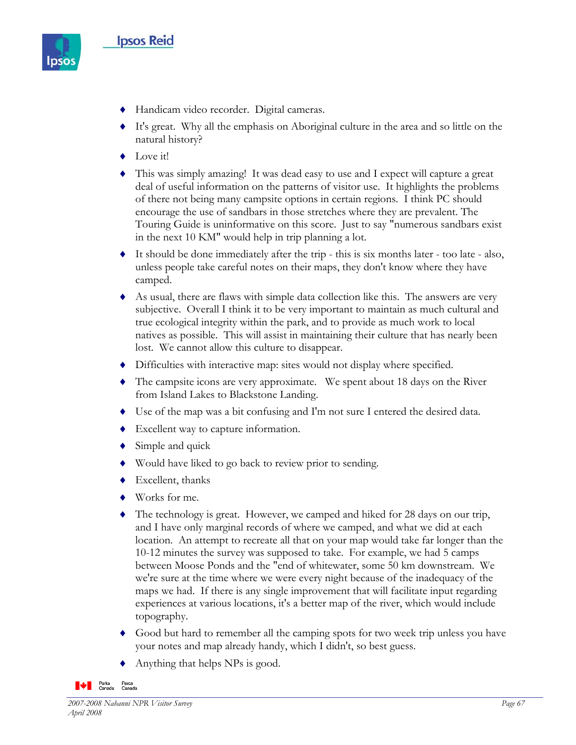

- ♦ Handicam video recorder. Digital cameras.
- ♦ It's great. Why all the emphasis on Aboriginal culture in the area and so little on the natural history?
- ◆ Love it!
- ♦ This was simply amazing! It was dead easy to use and I expect will capture a great deal of useful information on the patterns of visitor use. It highlights the problems of there not being many campsite options in certain regions. I think PC should encourage the use of sandbars in those stretches where they are prevalent. The Touring Guide is uninformative on this score. Just to say "numerous sandbars exist in the next 10 KM" would help in trip planning a lot.
- $\bullet$  It should be done immediately after the trip this is six months later too late also, unless people take careful notes on their maps, they don't know where they have camped.
- ♦ As usual, there are flaws with simple data collection like this. The answers are very subjective. Overall I think it to be very important to maintain as much cultural and true ecological integrity within the park, and to provide as much work to local natives as possible. This will assist in maintaining their culture that has nearly been lost. We cannot allow this culture to disappear.
- ♦ Difficulties with interactive map: sites would not display where specified.
- ♦ The campsite icons are very approximate. We spent about 18 days on the River from Island Lakes to Blackstone Landing.
- ♦ Use of the map was a bit confusing and I'm not sure I entered the desired data.
- ♦ Excellent way to capture information.
- $\bullet$  Simple and quick
- ♦ Would have liked to go back to review prior to sending.
- ♦ Excellent, thanks
- ♦ Works for me.
- ♦ The technology is great. However, we camped and hiked for 28 days on our trip, and I have only marginal records of where we camped, and what we did at each location. An attempt to recreate all that on your map would take far longer than the 10-12 minutes the survey was supposed to take. For example, we had 5 camps between Moose Ponds and the "end of whitewater, some 50 km downstream. We we're sure at the time where we were every night because of the inadequacy of the maps we had. If there is any single improvement that will facilitate input regarding experiences at various locations, it's a better map of the river, which would include topography.
- Good but hard to remember all the camping spots for two week trip unless you have your notes and map already handy, which I didn't, so best guess.
- Anything that helps NPs is good.

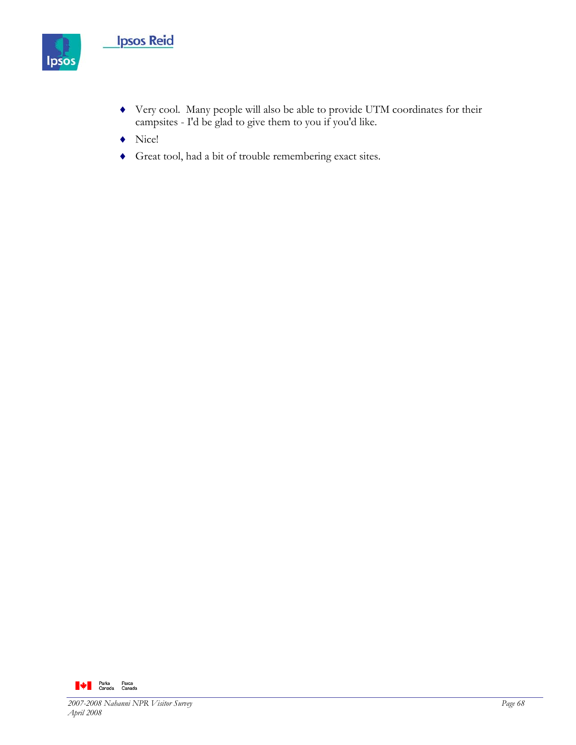

- ♦ Very cool. Many people will also be able to provide UTM coordinates for their campsites - I'd be glad to give them to you if you'd like.
- ♦ Nice!
- ♦ Great tool, had a bit of trouble remembering exact sites.

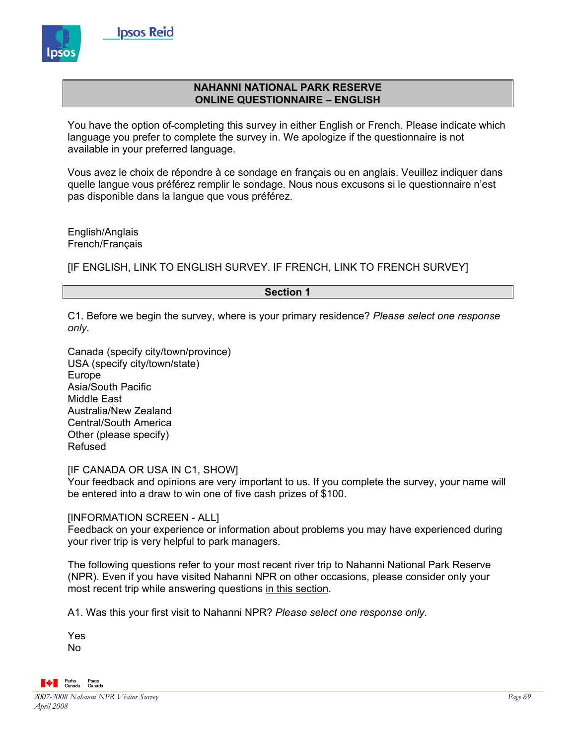

#### **NAHANNI NATIONAL PARK RESERVE ONLINE QUESTIONNAIRE – ENGLISH**

You have the option of-completing this survey in either English or French. Please indicate which language you prefer to complete the survey in. We apologize if the questionnaire is not available in your preferred language.

Vous avez le choix de répondre à ce sondage en français ou en anglais. Veuillez indiquer dans quelle langue vous préférez remplir le sondage. Nous nous excusons si le questionnaire n'est pas disponible dans la langue que vous préférez.

English/Anglais French/Français

[IF ENGLISH, LINK TO ENGLISH SURVEY. IF FRENCH, LINK TO FRENCH SURVEY]

#### **Section 1**

C1. Before we begin the survey, where is your primary residence? *Please select one response only.*

Canada (specify city/town/province) USA (specify city/town/state) Europe Asia/South Pacific Middle East Australia/New Zealand Central/South America Other (please specify) Refused

[IF CANADA OR USA IN C1, SHOW]

Your feedback and opinions are very important to us. If you complete the survey, your name will be entered into a draw to win one of five cash prizes of \$100.

[INFORMATION SCREEN - ALL]

Feedback on your experience or information about problems you may have experienced during your river trip is very helpful to park managers.

The following questions refer to your most recent river trip to Nahanni National Park Reserve (NPR). Even if you have visited Nahanni NPR on other occasions, please consider only your most recent trip while answering questions in this section.

A1. Was this your first visit to Nahanni NPR? *Please select one response only.* 

Yes No

 $\bigotimes$   $\bigotimes$  Parks<br>Canada *2007-2008 Nahanni NPR Visitor Survey Page 69 April 2008*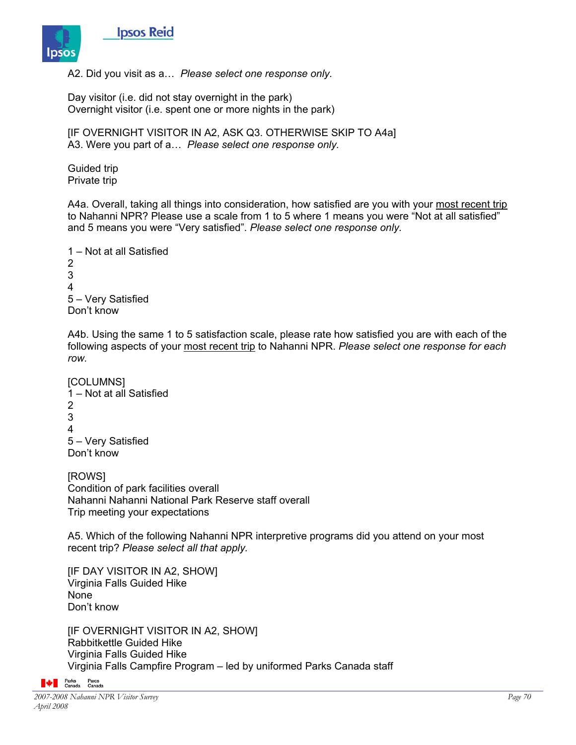

A2. Did you visit as a… *Please select one response only.*

Day visitor (i.e. did not stay overnight in the park) Overnight visitor (i.e. spent one or more nights in the park)

[IF OVERNIGHT VISITOR IN A2, ASK Q3. OTHERWISE SKIP TO A4a] A3. Were you part of a… *Please select one response only.*

Guided trip Private trip

A4a. Overall, taking all things into consideration, how satisfied are you with your most recent trip to Nahanni NPR? Please use a scale from 1 to 5 where 1 means you were "Not at all satisfied" and 5 means you were "Very satisfied". *Please select one response only.* 

```
1 – Not at all Satisfied 
2 
3 
4 
5 – Very Satisfied 
Don't know
```
A4b. Using the same 1 to 5 satisfaction scale, please rate how satisfied you are with each of the following aspects of your most recent trip to Nahanni NPR. *Please select one response for each row.*

```
[COLUMNS] 
1 – Not at all Satisfied 
2 
3 
4 
5 – Very Satisfied 
Don't know
```
[ROWS] Condition of park facilities overall Nahanni Nahanni National Park Reserve staff overall Trip meeting your expectations

A5. Which of the following Nahanni NPR interpretive programs did you attend on your most recent trip? *Please select all that apply.* 

[IF DAY VISITOR IN A2, SHOW] Virginia Falls Guided Hike None Don't know

[IF OVERNIGHT VISITOR IN A2, SHOW] Rabbitkettle Guided Hike Virginia Falls Guided Hike Virginia Falls Campfire Program – led by uniformed Parks Canada staff

**A** Parks Parcs<br>Canada Canada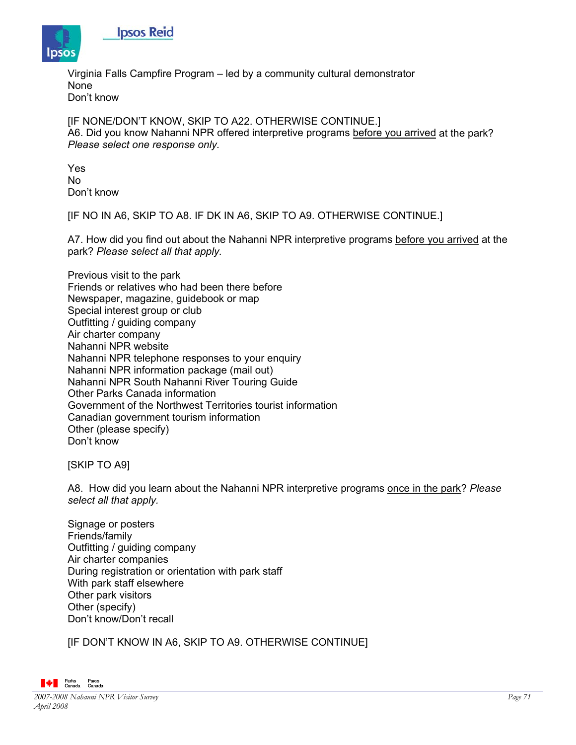

**Ipsos Reid** 

Virginia Falls Campfire Program – led by a community cultural demonstrator None Don't know

[IF NONE/DON'T KNOW, SKIP TO A22. OTHERWISE CONTINUE.] A6. Did you know Nahanni NPR offered interpretive programs before you arrived at the park? *Please select one response only.* 

Yes No Don't know

[IF NO IN A6, SKIP TO A8. IF DK IN A6, SKIP TO A9. OTHERWISE CONTINUE.]

A7. How did you find out about the Nahanni NPR interpretive programs before you arrived at the park? *Please select all that apply.*

Previous visit to the park Friends or relatives who had been there before Newspaper, magazine, guidebook or map Special interest group or club Outfitting / guiding company Air charter company Nahanni NPR website Nahanni NPR telephone responses to your enquiry Nahanni NPR information package (mail out) Nahanni NPR South Nahanni River Touring Guide Other Parks Canada information Government of the Northwest Territories tourist information Canadian government tourism information Other (please specify) Don't know

[SKIP TO A9]

A8. How did you learn about the Nahanni NPR interpretive programs once in the park? *Please select all that apply.*

Signage or posters Friends/family Outfitting / guiding company Air charter companies During registration or orientation with park staff With park staff elsewhere Other park visitors Other (specify) Don't know/Don't recall

[IF DON'T KNOW IN A6, SKIP TO A9. OTHERWISE CONTINUE]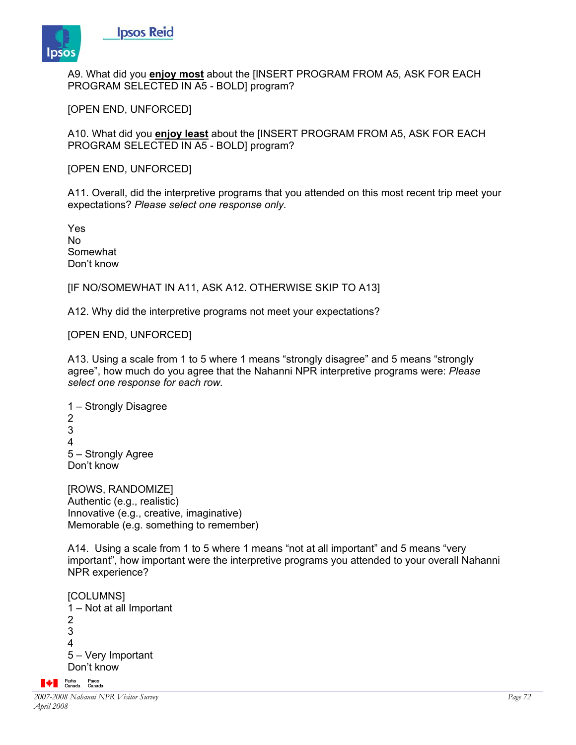

A9. What did you **enjoy most** about the [INSERT PROGRAM FROM A5, ASK FOR EACH PROGRAM SELECTED IN A5 - BOLD] program?

[OPEN END, UNFORCED]

**Ipsos Reid** 

A10. What did you **enjoy least** about the [INSERT PROGRAM FROM A5, ASK FOR EACH PROGRAM SELECTED IN A5 - BOLD] program?

[OPEN END, UNFORCED]

A11. Overall, did the interpretive programs that you attended on this most recent trip meet your expectations? *Please select one response only.* 

Yes No Somewhat Don't know

[IF NO/SOMEWHAT IN A11, ASK A12. OTHERWISE SKIP TO A13]

A12. Why did the interpretive programs not meet your expectations?

[OPEN END, UNFORCED]

A13. Using a scale from 1 to 5 where 1 means "strongly disagree" and 5 means "strongly agree", how much do you agree that the Nahanni NPR interpretive programs were: *Please select one response for each row.*

1 – Strongly Disagree 2 3 4 5 – Strongly Agree Don't know

[ROWS, RANDOMIZE] Authentic (e.g., realistic) Innovative (e.g., creative, imaginative) Memorable (e.g. something to remember)

A14. Using a scale from 1 to 5 where 1 means "not at all important" and 5 means "very important", how important were the interpretive programs you attended to your overall Nahanni NPR experience?

[COLUMNS] 1 – Not at all Important 2 3 4 5 – Very Important Don't know

**A** Parks Parcs<br>Canada Canada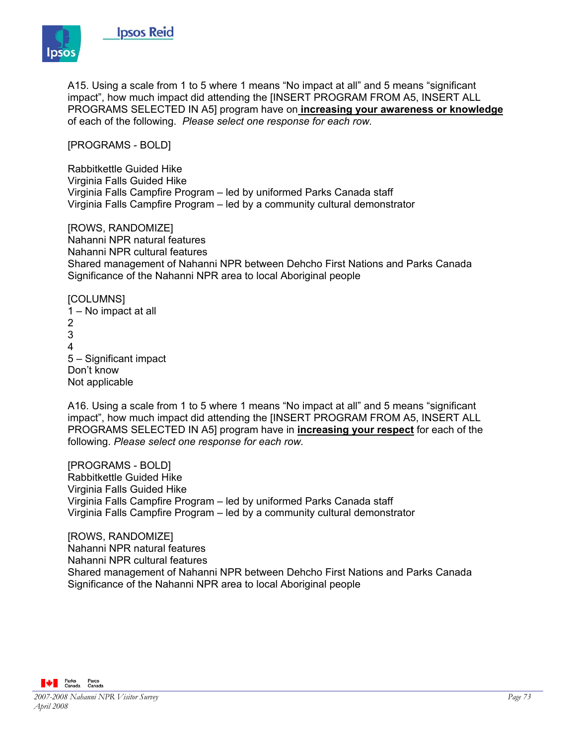

A15. Using a scale from 1 to 5 where 1 means "No impact at all" and 5 means "significant impact", how much impact did attending the [INSERT PROGRAM FROM A5, INSERT ALL PROGRAMS SELECTED IN A5] program have on **increasing your awareness or knowledge** of each of the following. *Please select one response for each row.*

[PROGRAMS - BOLD]

**Ipsos Reid** 

Rabbitkettle Guided Hike Virginia Falls Guided Hike Virginia Falls Campfire Program – led by uniformed Parks Canada staff Virginia Falls Campfire Program – led by a community cultural demonstrator

[ROWS, RANDOMIZE] Nahanni NPR natural features Nahanni NPR cultural features Shared management of Nahanni NPR between Dehcho First Nations and Parks Canada Significance of the Nahanni NPR area to local Aboriginal people

[COLUMNS] 1 – No impact at all 2 3 4 5 – Significant impact Don't know Not applicable

A16. Using a scale from 1 to 5 where 1 means "No impact at all" and 5 means "significant impact", how much impact did attending the [INSERT PROGRAM FROM A5, INSERT ALL PROGRAMS SELECTED IN A5] program have in **increasing your respect** for each of the following. *Please select one response for each row.*

[PROGRAMS - BOLD] Rabbitkettle Guided Hike Virginia Falls Guided Hike Virginia Falls Campfire Program – led by uniformed Parks Canada staff Virginia Falls Campfire Program – led by a community cultural demonstrator

[ROWS, RANDOMIZE] Nahanni NPR natural features Nahanni NPR cultural features Shared management of Nahanni NPR between Dehcho First Nations and Parks Canada Significance of the Nahanni NPR area to local Aboriginal people

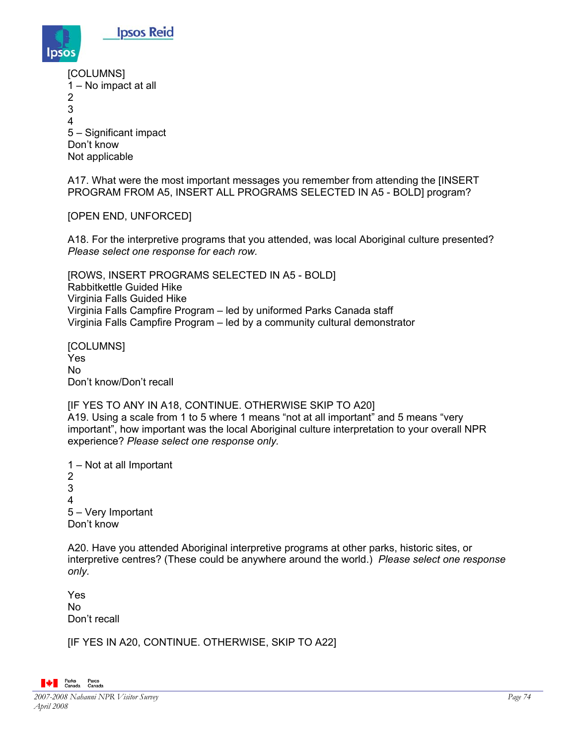

| [COLUMNS]<br>1 – No impact at all |
|-----------------------------------|
| 2                                 |
| 3                                 |
| 4                                 |
| 5 - Significant impact            |
| Don't know                        |
| Not applicable                    |

**Ipsos Reid** 

A17. What were the most important messages you remember from attending the [INSERT PROGRAM FROM A5, INSERT ALL PROGRAMS SELECTED IN A5 - BOLD] program?

## [OPEN END, UNFORCED]

A18. For the interpretive programs that you attended, was local Aboriginal culture presented? *Please select one response for each row.*

[ROWS, INSERT PROGRAMS SELECTED IN A5 - BOLD] Rabbitkettle Guided Hike Virginia Falls Guided Hike Virginia Falls Campfire Program – led by uniformed Parks Canada staff Virginia Falls Campfire Program – led by a community cultural demonstrator

[COLUMNS] Yes No Don't know/Don't recall

### [IF YES TO ANY IN A18, CONTINUE. OTHERWISE SKIP TO A20] A19. Using a scale from 1 to 5 where 1 means "not at all important" and 5 means "very important", how important was the local Aboriginal culture interpretation to your overall NPR experience? *Please select one response only.*

1 – Not at all Important 2 3 4 5 – Very Important Don't know

A20. Have you attended Aboriginal interpretive programs at other parks, historic sites, or interpretive centres? (These could be anywhere around the world.) *Please select one response only.* 

Yes No Don't recall

[IF YES IN A20, CONTINUE. OTHERWISE, SKIP TO A22]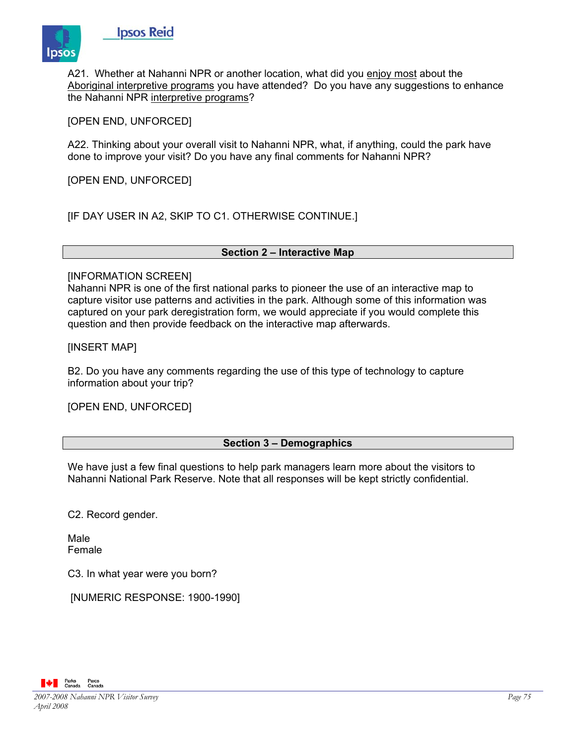

A21. Whether at Nahanni NPR or another location, what did you enjoy most about the Aboriginal interpretive programs you have attended? Do you have any suggestions to enhance the Nahanni NPR interpretive programs?

[OPEN END, UNFORCED]

**Ipsos Reid** 

A22. Thinking about your overall visit to Nahanni NPR, what, if anything, could the park have done to improve your visit? Do you have any final comments for Nahanni NPR?

[OPEN END, UNFORCED]

[IF DAY USER IN A2, SKIP TO C1. OTHERWISE CONTINUE.]

#### **Section 2 – Interactive Map**

#### [INFORMATION SCREEN]

Nahanni NPR is one of the first national parks to pioneer the use of an interactive map to capture visitor use patterns and activities in the park. Although some of this information was captured on your park deregistration form, we would appreciate if you would complete this question and then provide feedback on the interactive map afterwards.

[INSERT MAP]

B2. Do you have any comments regarding the use of this type of technology to capture information about your trip?

[OPEN END, UNFORCED]

### **Section 3 – Demographics**

We have just a few final questions to help park managers learn more about the visitors to Nahanni National Park Reserve. Note that all responses will be kept strictly confidential.

C2. Record gender.

Male Female

C3. In what year were you born?

[NUMERIC RESPONSE: 1900-1990]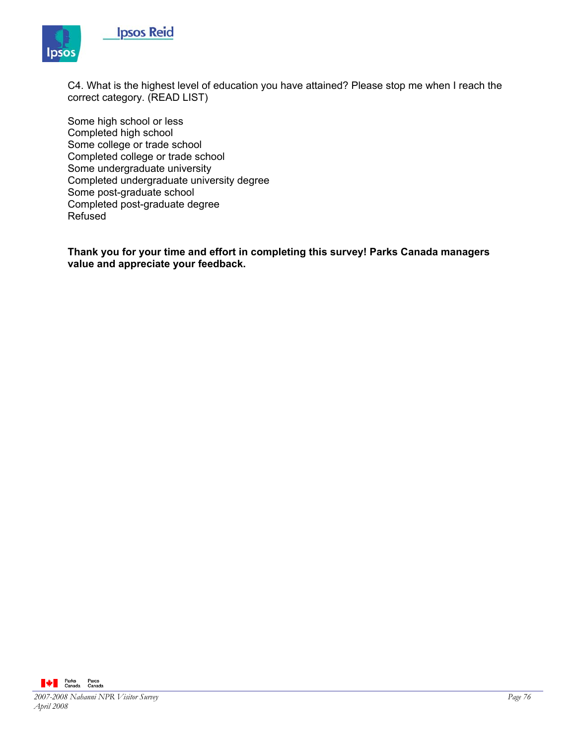



C4. What is the highest level of education you have attained? Please stop me when I reach the correct category. (READ LIST)

Some high school or less Completed high school Some college or trade school Completed college or trade school Some undergraduate university Completed undergraduate university degree Some post-graduate school Completed post-graduate degree Refused

**Thank you for your time and effort in completing this survey! Parks Canada managers value and appreciate your feedback.** 

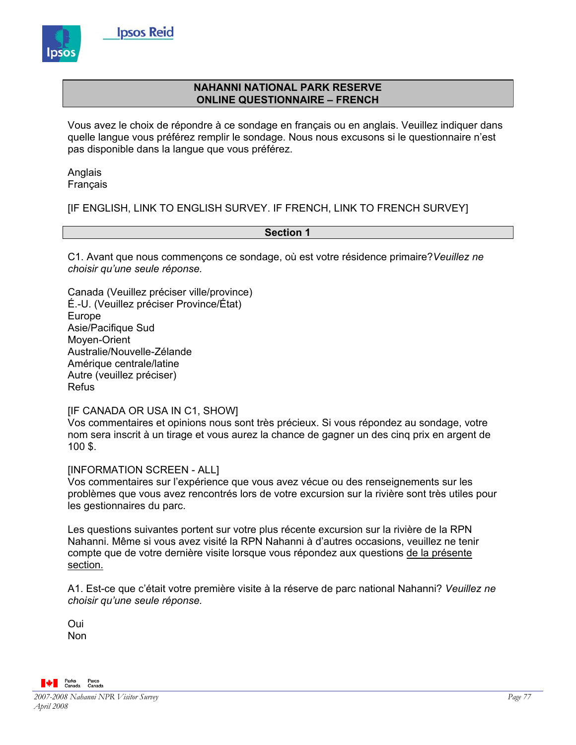

# **NAHANNI NATIONAL PARK RESERVE ONLINE QUESTIONNAIRE – FRENCH**

Vous avez le choix de répondre à ce sondage en français ou en anglais. Veuillez indiquer dans quelle langue vous préférez remplir le sondage. Nous nous excusons si le questionnaire n'est pas disponible dans la langue que vous préférez.

Anglais Français

[IF ENGLISH, LINK TO ENGLISH SURVEY. IF FRENCH, LINK TO FRENCH SURVEY]

### **Section 1**

C1. Avant que nous commençons ce sondage, où est votre résidence primaire?*Veuillez ne choisir qu'une seule réponse.* 

Canada (Veuillez préciser ville/province) É.-U. (Veuillez préciser Province/État) Europe Asie/Pacifique Sud Moyen-Orient Australie/Nouvelle-Zélande Amérique centrale/latine Autre (veuillez préciser) Refus

[IF CANADA OR USA IN C1, SHOW]

Vos commentaires et opinions nous sont très précieux. Si vous répondez au sondage, votre nom sera inscrit à un tirage et vous aurez la chance de gagner un des cinq prix en argent de 100 \$.

[INFORMATION SCREEN - ALL]

Vos commentaires sur l'expérience que vous avez vécue ou des renseignements sur les problèmes que vous avez rencontrés lors de votre excursion sur la rivière sont très utiles pour les gestionnaires du parc.

Les questions suivantes portent sur votre plus récente excursion sur la rivière de la RPN Nahanni. Même si vous avez visité la RPN Nahanni à d'autres occasions, veuillez ne tenir compte que de votre dernière visite lorsque vous répondez aux questions de la présente section.

A1. Est-ce que c'était votre première visite à la réserve de parc national Nahanni? *Veuillez ne choisir qu'une seule réponse.* 

Oui Non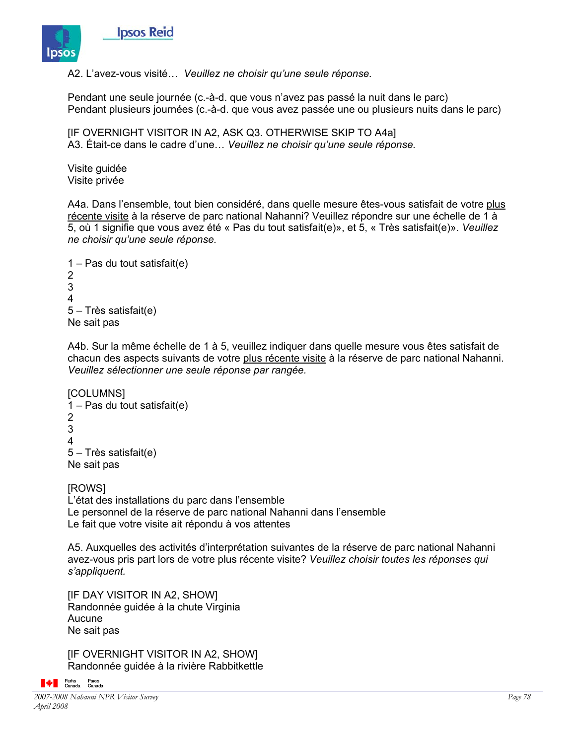

A2. L'avez-vous visité… *Veuillez ne choisir qu'une seule réponse.*

Pendant une seule journée (c.-à-d. que vous n'avez pas passé la nuit dans le parc) Pendant plusieurs journées (c.-à-d. que vous avez passée une ou plusieurs nuits dans le parc)

[IF OVERNIGHT VISITOR IN A2, ASK Q3. OTHERWISE SKIP TO A4a] A3. Était-ce dans le cadre d'une… *Veuillez ne choisir qu'une seule réponse.*

Visite guidée Visite privée

A4a. Dans l'ensemble, tout bien considéré, dans quelle mesure êtes-vous satisfait de votre plus récente visite à la réserve de parc national Nahanni? Veuillez répondre sur une échelle de 1 à 5, où 1 signifie que vous avez été « Pas du tout satisfait(e)», et 5, « Très satisfait(e)». *Veuillez ne choisir qu'une seule réponse.* 

```
1 – Pas du tout satisfait(e) 
2 
3 
4 
5 – Très satisfait(e) 
Ne sait pas
```
A4b. Sur la même échelle de 1 à 5, veuillez indiquer dans quelle mesure vous êtes satisfait de chacun des aspects suivants de votre plus récente visite à la réserve de parc national Nahanni. *Veuillez sélectionner une seule réponse par rangée.*

```
[COLUMNS] 
1 – Pas du tout satisfait(e) 
2 
3 
4 
5 – Très satisfait(e) 
Ne sait pas
```
**IROWSI** L'état des installations du parc dans l'ensemble Le personnel de la réserve de parc national Nahanni dans l'ensemble Le fait que votre visite ait répondu à vos attentes

A5. Auxquelles des activités d'interprétation suivantes de la réserve de parc national Nahanni avez-vous pris part lors de votre plus récente visite? *Veuillez choisir toutes les réponses qui s'appliquent.* 

[IF DAY VISITOR IN A2, SHOW] Randonnée guidée à la chute Virginia Aucune Ne sait pas

[IF OVERNIGHT VISITOR IN A2, SHOW] Randonnée guidée à la rivière Rabbitkettle

```
A Parks Parcs<br>Canada Canada
```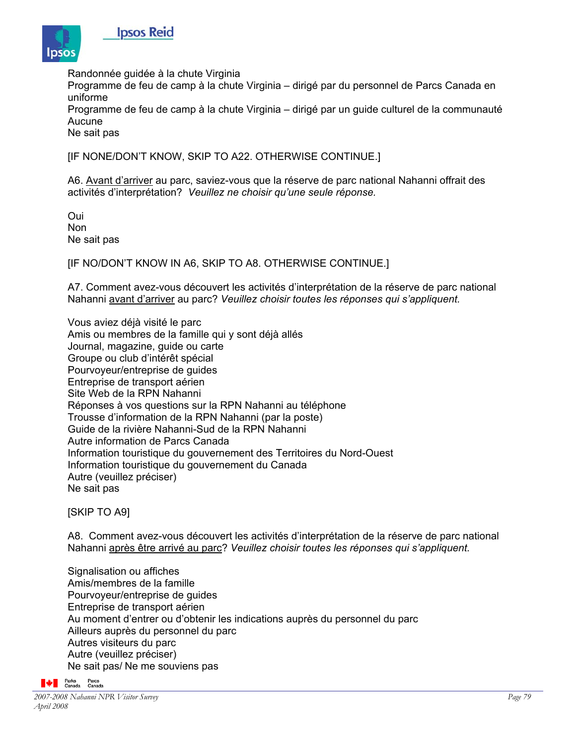

Randonnée guidée à la chute Virginia

Programme de feu de camp à la chute Virginia – dirigé par du personnel de Parcs Canada en uniforme

Programme de feu de camp à la chute Virginia – dirigé par un guide culturel de la communauté Aucune

Ne sait pas

[IF NONE/DON'T KNOW, SKIP TO A22. OTHERWISE CONTINUE.]

A6. Avant d'arriver au parc, saviez-vous que la réserve de parc national Nahanni offrait des activités d'interprétation? *Veuillez ne choisir qu'une seule réponse.* 

Oui Non Ne sait pas

[IF NO/DON'T KNOW IN A6, SKIP TO A8. OTHERWISE CONTINUE.]

A7. Comment avez-vous découvert les activités d'interprétation de la réserve de parc national Nahanni avant d'arriver au parc? *Veuillez choisir toutes les réponses qui s'appliquent.* 

Vous aviez déjà visité le parc Amis ou membres de la famille qui y sont déjà allés Journal, magazine, guide ou carte Groupe ou club d'intérêt spécial Pourvoyeur/entreprise de guides Entreprise de transport aérien Site Web de la RPN Nahanni Réponses à vos questions sur la RPN Nahanni au téléphone Trousse d'information de la RPN Nahanni (par la poste) Guide de la rivière Nahanni-Sud de la RPN Nahanni Autre information de Parcs Canada Information touristique du gouvernement des Territoires du Nord-Ouest Information touristique du gouvernement du Canada Autre (veuillez préciser) Ne sait pas

[SKIP TO A9]

A8. Comment avez-vous découvert les activités d'interprétation de la réserve de parc national Nahanni après être arrivé au parc? *Veuillez choisir toutes les réponses qui s'appliquent.* 

Signalisation ou affiches Amis/membres de la famille Pourvoyeur/entreprise de guides Entreprise de transport aérien Au moment d'entrer ou d'obtenir les indications auprès du personnel du parc Ailleurs auprès du personnel du parc Autres visiteurs du parc Autre (veuillez préciser) Ne sait pas/ Ne me souviens pas

**A** Parks Parcs<br>Canada Canada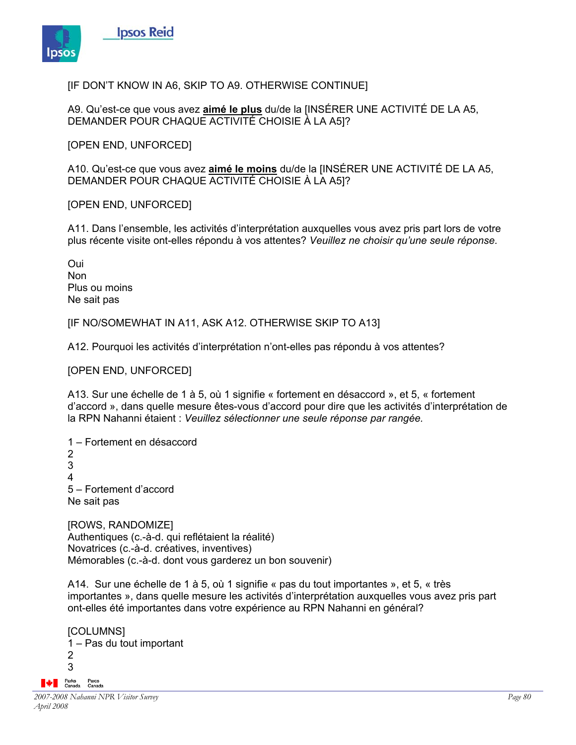

[IF DON'T KNOW IN A6, SKIP TO A9. OTHERWISE CONTINUE]

A9. Qu'est-ce que vous avez **aimé le plus** du/de la [INSÉRER UNE ACTIVITÉ DE LA A5, DEMANDER POUR CHAQUE ACTIVITÉ CHOISIE À LA A5]?

[OPEN END, UNFORCED]

A10. Qu'est-ce que vous avez **aimé le moins** du/de la [INSÉRER UNE ACTIVITÉ DE LA A5, DEMANDER POUR CHAQUE ACTIVITÉ CHOISIE À LA A5]?

[OPEN END, UNFORCED]

A11. Dans l'ensemble, les activités d'interprétation auxquelles vous avez pris part lors de votre plus récente visite ont-elles répondu à vos attentes? *Veuillez ne choisir qu'une seule réponse.* 

Oui Non Plus ou moins Ne sait pas

[IF NO/SOMEWHAT IN A11, ASK A12. OTHERWISE SKIP TO A13]

A12. Pourquoi les activités d'interprétation n'ont-elles pas répondu à vos attentes?

[OPEN END, UNFORCED]

A13. Sur une échelle de 1 à 5, où 1 signifie « fortement en désaccord », et 5, « fortement d'accord », dans quelle mesure êtes-vous d'accord pour dire que les activités d'interprétation de la RPN Nahanni étaient : *Veuillez sélectionner une seule réponse par rangée.* 

1 – Fortement en désaccord 2 3 4 5 – Fortement d'accord Ne sait pas

[ROWS, RANDOMIZE] Authentiques (c.-à-d. qui reflétaient la réalité) Novatrices (c.-à-d. créatives, inventives) Mémorables (c.-à-d. dont vous garderez un bon souvenir)

A14. Sur une échelle de 1 à 5, où 1 signifie « pas du tout importantes », et 5, « très importantes », dans quelle mesure les activités d'interprétation auxquelles vous avez pris part ont-elles été importantes dans votre expérience au RPN Nahanni en général?

[COLUMNS] 1 – Pas du tout important 2 3 **A** Parks Parcs<br>Canada Canada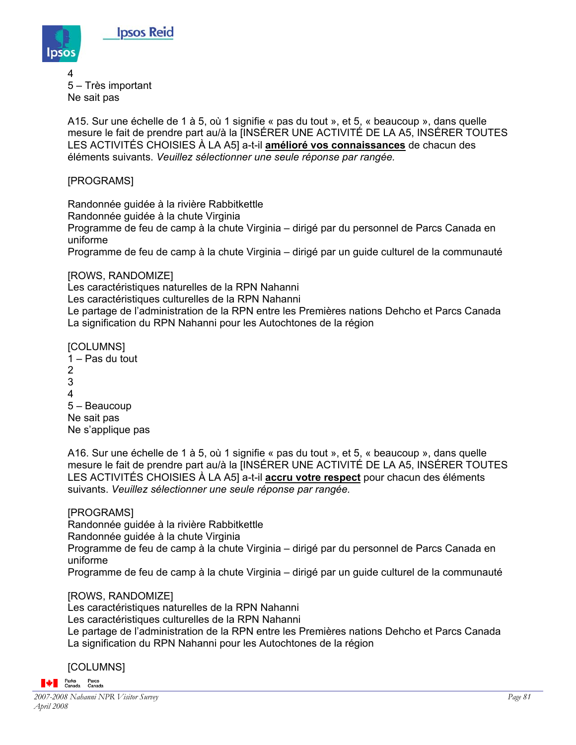

4 5 – Très important Ne sait pas

A15. Sur une échelle de 1 à 5, où 1 signifie « pas du tout », et 5, « beaucoup », dans quelle mesure le fait de prendre part au/à la [INSÉRER UNE ACTIVITÉ DE LA A5, INSÉRER TOUTES LES ACTIVITÉS CHOISIES À LA A5] a-t-il **amélioré vos connaissances** de chacun des éléments suivants. *Veuillez sélectionner une seule réponse par rangée.*

# [PROGRAMS]

Randonnée guidée à la rivière Rabbitkettle

Randonnée guidée à la chute Virginia

Programme de feu de camp à la chute Virginia – dirigé par du personnel de Parcs Canada en uniforme

Programme de feu de camp à la chute Virginia – dirigé par un guide culturel de la communauté

[ROWS, RANDOMIZE]

Les caractéristiques naturelles de la RPN Nahanni

Les caractéristiques culturelles de la RPN Nahanni

Le partage de l'administration de la RPN entre les Premières nations Dehcho et Parcs Canada La signification du RPN Nahanni pour les Autochtones de la région

[COLUMNS]

1 – Pas du tout 2 3 4 5 – Beaucoup Ne sait pas Ne s'applique pas

A16. Sur une échelle de 1 à 5, où 1 signifie « pas du tout », et 5, « beaucoup », dans quelle mesure le fait de prendre part au/à la [INSÉRER UNE ACTIVITÉ DE LA A5, INSÉRER TOUTES LES ACTIVITÉS CHOISIES À LA A5] a-t-il **accru votre respect** pour chacun des éléments suivants. *Veuillez sélectionner une seule réponse par rangée.*

# [PROGRAMS]

Randonnée guidée à la rivière Rabbitkettle

Randonnée guidée à la chute Virginia

Programme de feu de camp à la chute Virginia – dirigé par du personnel de Parcs Canada en uniforme

Programme de feu de camp à la chute Virginia – dirigé par un guide culturel de la communauté

# [ROWS, RANDOMIZE]

Les caractéristiques naturelles de la RPN Nahanni

Les caractéristiques culturelles de la RPN Nahanni

Le partage de l'administration de la RPN entre les Premières nations Dehcho et Parcs Canada La signification du RPN Nahanni pour les Autochtones de la région

# [COLUMNS]

**A** Parks Parcs<br>Canada Canada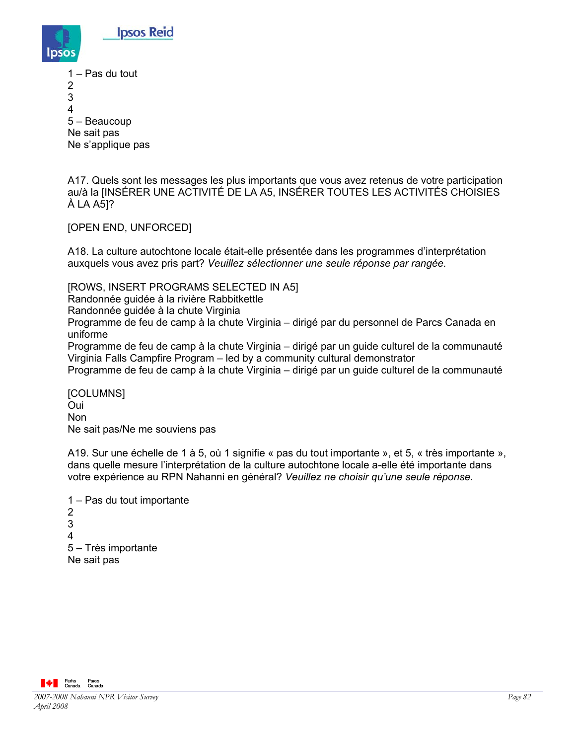

1 – Pas du tout

2

3

4

5 – Beaucoup

Ne sait pas

Ne s'applique pas

A17. Quels sont les messages les plus importants que vous avez retenus de votre participation au/à la [INSÉRER UNE ACTIVITÉ DE LA A5, INSÉRER TOUTES LES ACTIVITÉS CHOISIES À LA A5]?

[OPEN END, UNFORCED]

A18. La culture autochtone locale était-elle présentée dans les programmes d'interprétation auxquels vous avez pris part? *Veuillez sélectionner une seule réponse par rangée.*

[ROWS, INSERT PROGRAMS SELECTED IN A5]

Randonnée guidée à la rivière Rabbitkettle

Randonnée guidée à la chute Virginia

Programme de feu de camp à la chute Virginia – dirigé par du personnel de Parcs Canada en uniforme

Programme de feu de camp à la chute Virginia – dirigé par un guide culturel de la communauté Virginia Falls Campfire Program – led by a community cultural demonstrator

Programme de feu de camp à la chute Virginia – dirigé par un guide culturel de la communauté

[COLUMNS] Oui Non Ne sait pas/Ne me souviens pas

A19. Sur une échelle de 1 à 5, où 1 signifie « pas du tout importante », et 5, « très importante », dans quelle mesure l'interprétation de la culture autochtone locale a-elle été importante dans votre expérience au RPN Nahanni en général? *Veuillez ne choisir qu'une seule réponse.*

1 – Pas du tout importante 2 3 4 5 – Très importante Ne sait pas

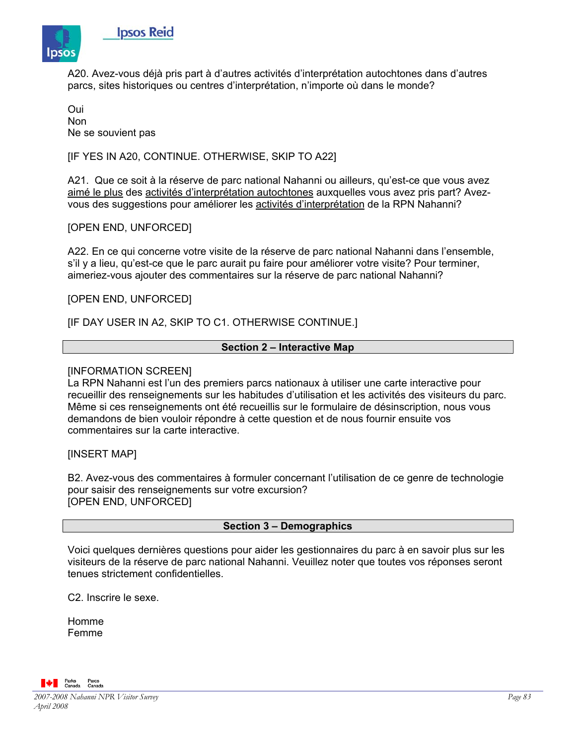

A20. Avez-vous déjà pris part à d'autres activités d'interprétation autochtones dans d'autres parcs, sites historiques ou centres d'interprétation, n'importe où dans le monde?

Oui Non Ne se souvient pas

**Ipsos Reid** 

[IF YES IN A20, CONTINUE. OTHERWISE, SKIP TO A22]

A21. Que ce soit à la réserve de parc national Nahanni ou ailleurs, qu'est-ce que vous avez aimé le plus des activités d'interprétation autochtones auxquelles vous avez pris part? Avezvous des suggestions pour améliorer les activités d'interprétation de la RPN Nahanni?

## [OPEN END, UNFORCED]

A22. En ce qui concerne votre visite de la réserve de parc national Nahanni dans l'ensemble, s'il y a lieu, qu'est-ce que le parc aurait pu faire pour améliorer votre visite? Pour terminer, aimeriez-vous ajouter des commentaires sur la réserve de parc national Nahanni?

### [OPEN END, UNFORCED]

[IF DAY USER IN A2, SKIP TO C1. OTHERWISE CONTINUE.]

### **Section 2 – Interactive Map**

#### [INFORMATION SCREEN]

La RPN Nahanni est l'un des premiers parcs nationaux à utiliser une carte interactive pour recueillir des renseignements sur les habitudes d'utilisation et les activités des visiteurs du parc. Même si ces renseignements ont été recueillis sur le formulaire de désinscription, nous vous demandons de bien vouloir répondre à cette question et de nous fournir ensuite vos commentaires sur la carte interactive.

### [INSERT MAP]

B2. Avez-vous des commentaires à formuler concernant l'utilisation de ce genre de technologie pour saisir des renseignements sur votre excursion? [OPEN END, UNFORCED]

### **Section 3 – Demographics**

Voici quelques dernières questions pour aider les gestionnaires du parc à en savoir plus sur les visiteurs de la réserve de parc national Nahanni. Veuillez noter que toutes vos réponses seront tenues strictement confidentielles.

C2. Inscrire le sexe.

Homme Femme